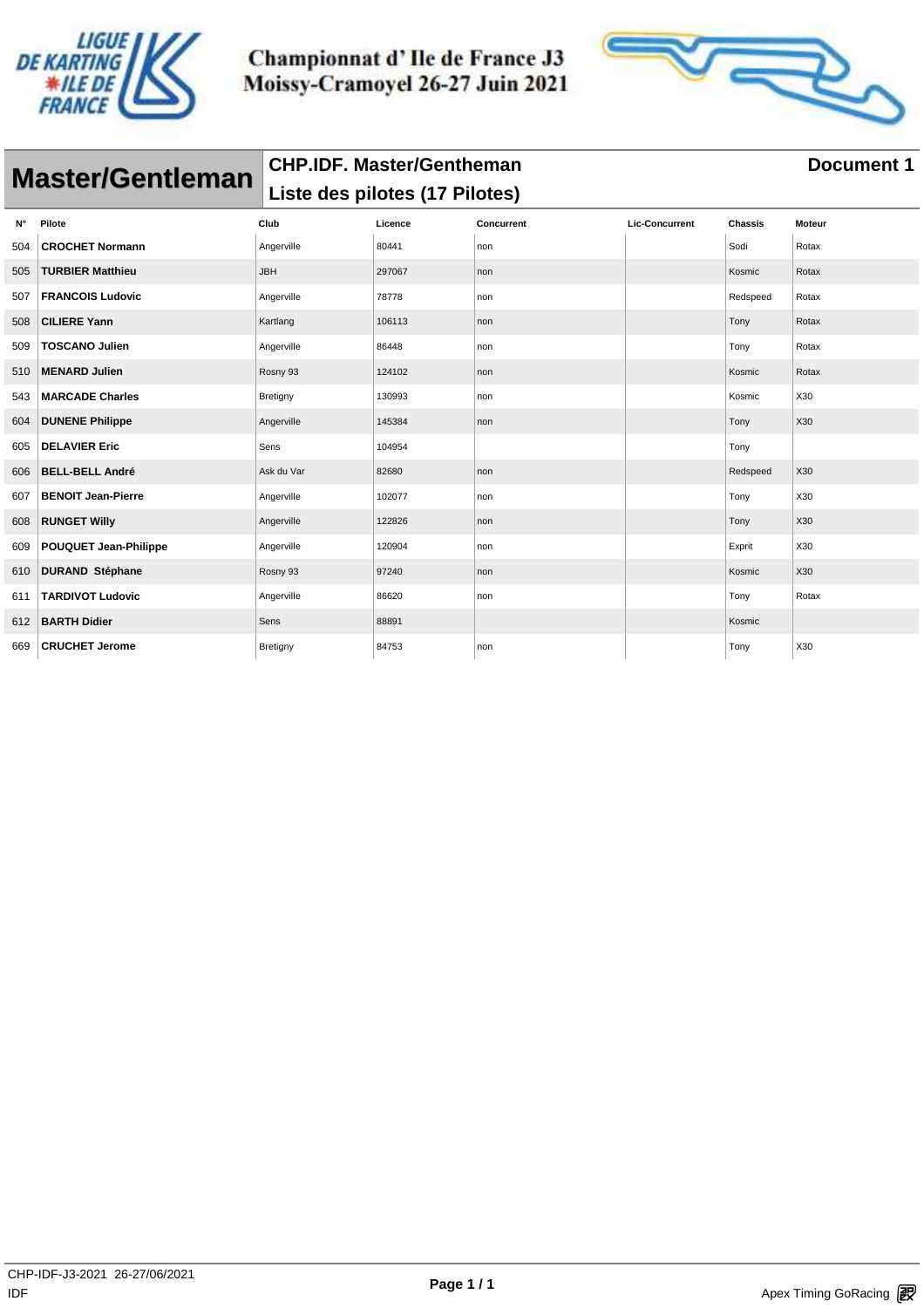



|     | <b>Master/Gentleman</b>   | <b>CHP.IDF. Master/Gentheman</b> |         |                   |                       |                | <b>Document 1</b> |
|-----|---------------------------|----------------------------------|---------|-------------------|-----------------------|----------------|-------------------|
|     |                           | Liste des pilotes (17 Pilotes)   |         |                   |                       |                |                   |
| N°  | Pilote                    | Club                             | Licence | <b>Concurrent</b> | <b>Lic-Concurrent</b> | <b>Chassis</b> | <b>Moteur</b>     |
| 504 | <b>CROCHET Normann</b>    | Angerville                       | 80441   | non               |                       | Sodi           | Rotax             |
| 505 | <b>TURBIER Matthieu</b>   | <b>JBH</b>                       | 297067  | non               |                       | Kosmic         | Rotax             |
| 507 | <b>FRANCOIS Ludovic</b>   | Angerville                       | 78778   | non               |                       | Redspeed       | Rotax             |
| 508 | <b>CILIERE Yann</b>       | Kartlang                         | 106113  | non               |                       | Tony           | Rotax             |
| 509 | <b>TOSCANO Julien</b>     | Angerville                       | 86448   | non               |                       | Tony           | Rotax             |
| 510 | <b>MENARD Julien</b>      | Rosny 93                         | 124102  | non               |                       | Kosmic         | Rotax             |
| 543 | <b>MARCADE Charles</b>    | Bretigny                         | 130993  | non               |                       | Kosmic         | X30               |
| 604 | <b>DUNENE Philippe</b>    | Angerville                       | 145384  | non               |                       | Tony           | X30               |
| 605 | <b>DELAVIER Eric</b>      | Sens                             | 104954  |                   |                       | Tony           |                   |
| 606 | <b>BELL-BELL André</b>    | Ask du Var                       | 82680   | non               |                       | Redspeed       | X30               |
| 607 | <b>BENOIT Jean-Pierre</b> | Angerville                       | 102077  | non               |                       | Tony           | X30               |
| 608 | <b>RUNGET Willy</b>       | Angerville                       | 122826  | non               |                       | Tony           | X30               |
| 609 | POUQUET Jean-Philippe     | Angerville                       | 120904  | non               |                       | Exprit         | X30               |
| 610 | <b>DURAND Stéphane</b>    | Rosny 93                         | 97240   | non               |                       | Kosmic         | X30               |
| 611 | <b>TARDIVOT Ludovic</b>   | Angerville                       | 86620   | non               |                       | Tony           | Rotax             |
| 612 | <b>BARTH Didier</b>       | Sens                             | 88891   |                   |                       | Kosmic         |                   |
| 669 | <b>CRUCHET Jerome</b>     | Bretigny                         | 84753   | non               |                       | Tony           | X30               |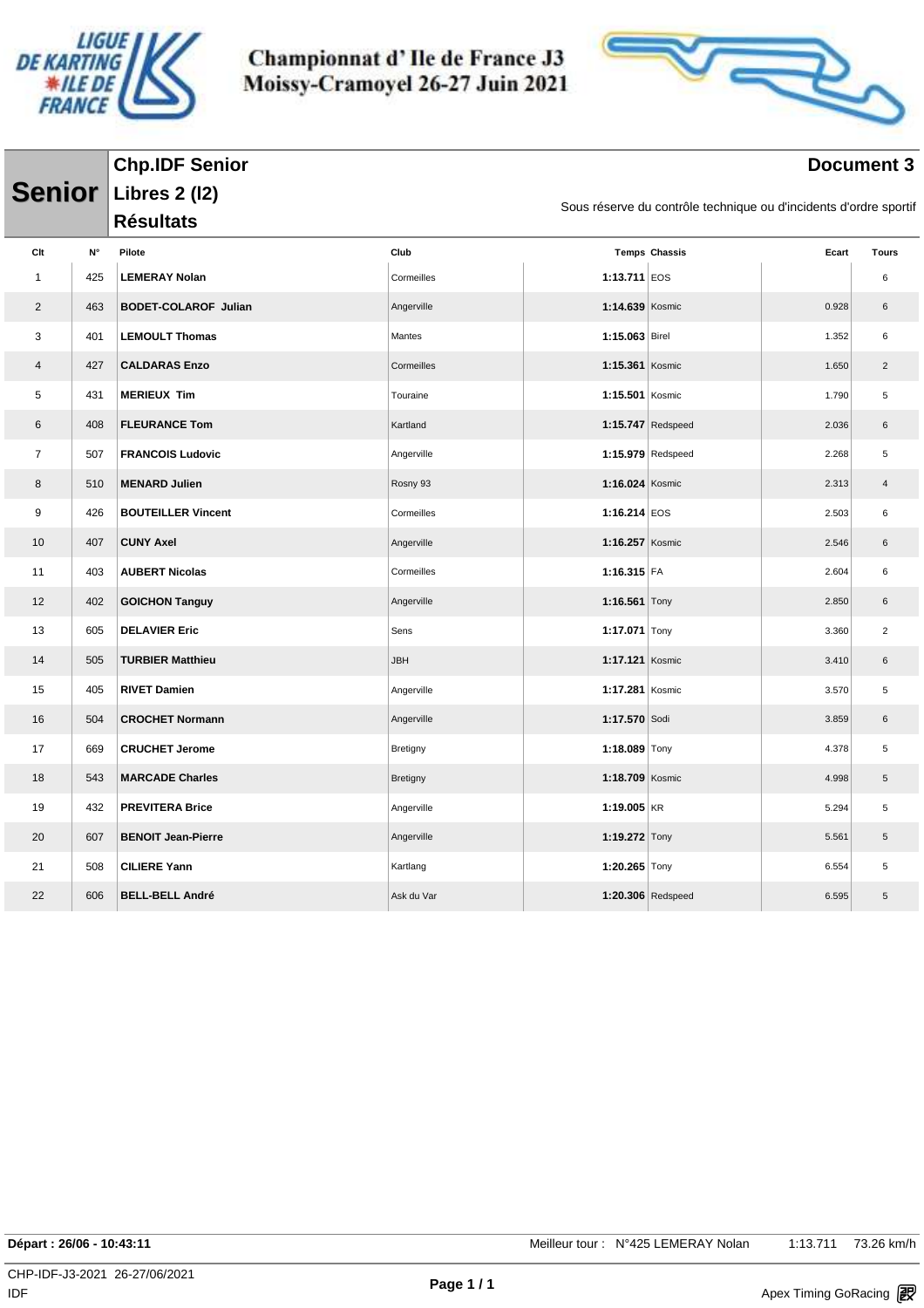

**Chp.IDF Senior**

Championnat d'Ile de France J3 Moissy-Cramoyel 26-27 Juin 2021



#### **Document 3**

| <b>Senior</b>  |                    | <b>Libres 2 (12)</b>        |                 |                   | Sous réserve du contrôle technique ou d'incidents d'ordre sportif |       |                |
|----------------|--------------------|-----------------------------|-----------------|-------------------|-------------------------------------------------------------------|-------|----------------|
|                |                    | <b>Résultats</b>            |                 |                   |                                                                   |       |                |
| Clt            | $\mathsf{N}^\circ$ | Pilote                      | Club            |                   | <b>Temps Chassis</b>                                              | Ecart | <b>Tours</b>   |
| $\mathbf{1}$   | 425                | <b>LEMERAY Nolan</b>        | Cormeilles      | 1:13.711 $ EOS$   |                                                                   |       | 6              |
| $\overline{2}$ | 463                | <b>BODET-COLAROF Julian</b> | Angerville      | 1:14.639 Kosmic   |                                                                   | 0.928 | $\,6\,$        |
| 3              | 401                | <b>LEMOULT Thomas</b>       | Mantes          | 1:15.063 Birel    |                                                                   | 1.352 | 6              |
| 4              | 427                | <b>CALDARAS Enzo</b>        | Cormeilles      | 1:15.361 Kosmic   |                                                                   | 1.650 | $\overline{2}$ |
| 5              | 431                | <b>MERIEUX Tim</b>          | Touraine        | $1:15.501$ Kosmic |                                                                   | 1.790 | 5              |
| 6              | 408                | <b>FLEURANCE Tom</b>        | Kartland        |                   | 1:15.747 Redspeed                                                 | 2.036 | $\,6\,$        |
| $\overline{7}$ | 507                | <b>FRANCOIS Ludovic</b>     | Angerville      |                   | 1:15.979 Redspeed                                                 | 2.268 | 5              |
| 8              | 510                | <b>MENARD Julien</b>        | Rosny 93        | 1:16.024 Kosmic   |                                                                   | 2.313 | $\overline{4}$ |
| 9              | 426                | <b>BOUTEILLER Vincent</b>   | Cormeilles      | 1:16.214 $EOS$    |                                                                   | 2.503 | 6              |
| 10             | 407                | <b>CUNY Axel</b>            | Angerville      | 1:16.257 Kosmic   |                                                                   | 2.546 | $\,6\,$        |
| 11             | 403                | <b>AUBERT Nicolas</b>       | Cormeilles      | $1:16.315$ FA     |                                                                   | 2.604 | 6              |
| 12             | 402                | <b>GOICHON Tanguy</b>       | Angerville      | 1:16.561 Tony     |                                                                   | 2.850 | $\,6\,$        |
| 13             | 605                | <b>DELAVIER Eric</b>        | Sens            | 1:17.071 Tony     |                                                                   | 3.360 | $\overline{c}$ |
| 14             | 505                | <b>TURBIER Matthieu</b>     | <b>JBH</b>      | 1:17.121 Kosmic   |                                                                   | 3.410 | $\,6\,$        |
| 15             | 405                | <b>RIVET Damien</b>         | Angerville      | 1:17.281 Kosmic   |                                                                   | 3.570 | $\mathbf 5$    |
| 16             | 504                | <b>CROCHET Normann</b>      | Angerville      | 1:17.570 Sodi     |                                                                   | 3.859 | $\,6\,$        |
| 17             | 669                | <b>CRUCHET Jerome</b>       | Bretigny        | 1:18.089 Tony     |                                                                   | 4.378 | 5              |
| 18             | 543                | <b>MARCADE Charles</b>      | <b>Bretigny</b> | 1:18.709 Kosmic   |                                                                   | 4.998 | $\,$ 5 $\,$    |
| 19             | 432                | <b>PREVITERA Brice</b>      | Angerville      | 1:19.005 $KR$     |                                                                   | 5.294 | 5              |
| 20             | 607                | <b>BENOIT Jean-Pierre</b>   | Angerville      | 1:19.272 Tony     |                                                                   | 5.561 | $\,$ 5 $\,$    |
| 21             | 508                | <b>CILIERE Yann</b>         | Kartlang        | 1:20.265 Tony     |                                                                   | 6.554 | 5              |
| 22             | 606                | <b>BELL-BELL André</b>      | Ask du Var      |                   | 1:20.306 Redspeed                                                 | 6.595 | $\,$ 5 $\,$    |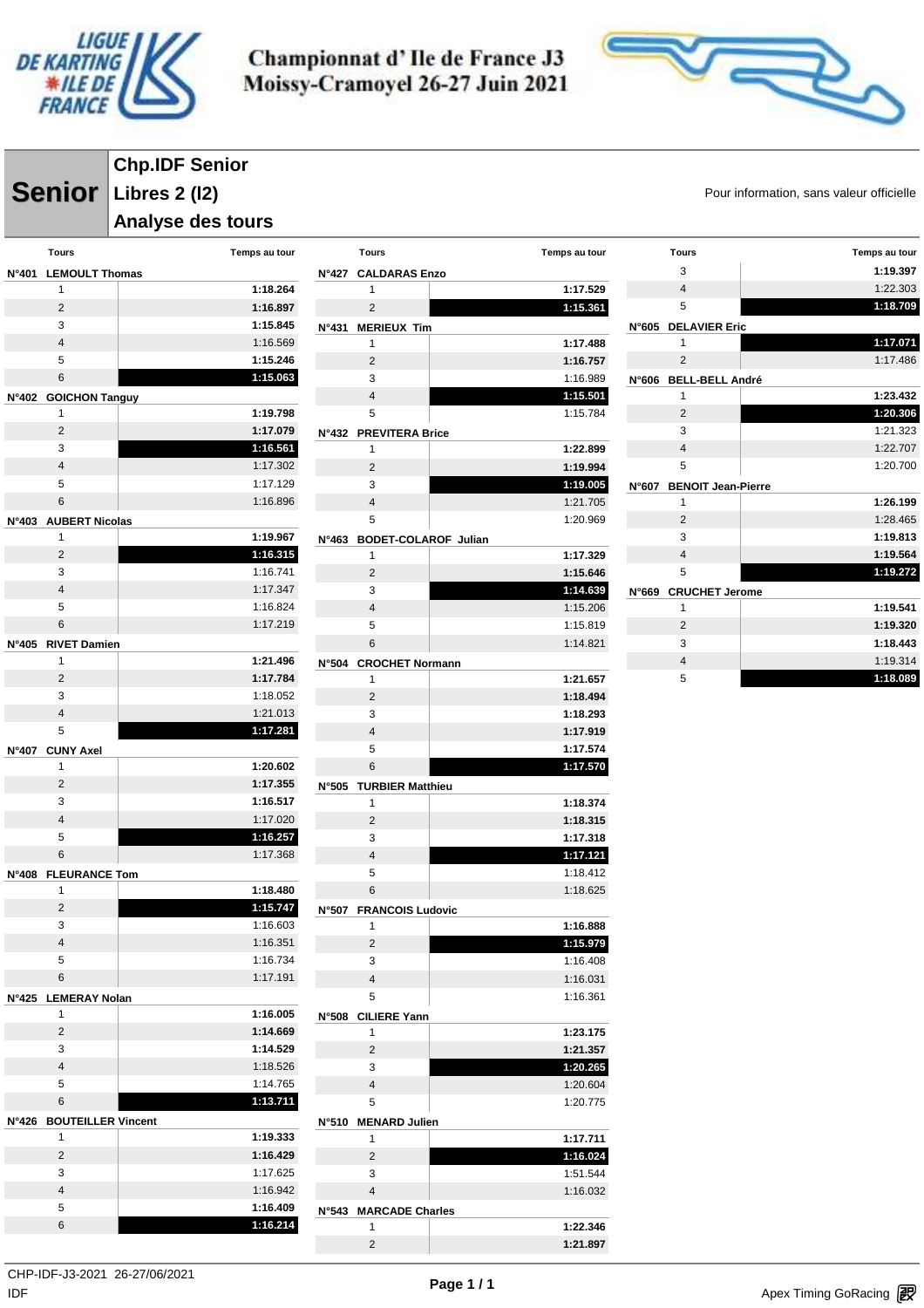



**Senior** Libres 2 (12) **Senior** Pour information, sans valeur officielle **Chp.IDF Senior Libres 2 (l2)**

#### **Analyse des tours**

|       | <b>Tours</b>               | Temps au tour             |
|-------|----------------------------|---------------------------|
| N°401 | <b>LEMOULT Thomas</b>      | N                         |
|       | 1                          | 1:18.264                  |
|       | $\overline{2}$             | 1:16.897                  |
|       | 3                          | 1:15.845<br>N             |
|       | $\overline{4}$             | 1:16.569                  |
|       | 5                          | 1:15.246                  |
|       | 6                          | 1:15.063                  |
| N°402 | <b>GOICHON Tanguy</b>      |                           |
|       | 1                          | 1:19.798                  |
|       | 2                          | 1:17.079<br>N             |
|       | 3                          | 1:16.561                  |
|       | $\overline{4}$             | 1:17.302                  |
|       | 5                          | 1:17.129<br>1:16.896      |
|       | 6                          |                           |
| N°403 | <b>AUBERT Nicolas</b><br>1 | 1:19.967                  |
|       | $\overline{2}$             | N<br>1:16.315             |
|       | 3                          | 1:16.741                  |
|       | 4                          | 1:17.347                  |
|       | 5                          | 1:16.824                  |
|       | 6                          | 1:17.219                  |
| N°405 | <b>RIVET Damien</b>        |                           |
|       | 1                          | 1:21.496<br>N             |
|       | 2                          | 1:17.784                  |
|       | 3                          | 1:18.052                  |
|       | $\overline{4}$             | 1:21.013                  |
|       | 5                          | 1:17.281                  |
| N°407 | <b>CUNY Axel</b>           |                           |
|       | 1                          |                           |
|       |                            | 1:20.602                  |
|       | $\overline{2}$             | 1:17.355<br>N             |
|       | 3                          | 1:16.517                  |
|       | $\overline{4}$             | 1:17.020                  |
|       | 5                          | 1:16.257                  |
|       | 6                          | 1:17.368                  |
| N°408 | <b>FLEURANCE Tom</b>       |                           |
|       | 1                          | 1:18.480                  |
|       | 2                          | 1:15.747<br>N             |
|       | 3<br>4                     | 1:16.603                  |
|       | 5                          | 1:16.351<br>1:16.734      |
|       | 6                          | 1:17.191                  |
| N°425 | <b>LEMERAY Nolan</b>       |                           |
|       | 1                          | 1:16.005<br>N             |
|       | 2                          | 1:14.669                  |
|       | 3                          | 1:14.529                  |
|       | $\overline{4}$             | 1:18.526                  |
|       | 5                          | 1:14.765                  |
|       | 6                          | 1:13.711                  |
| N°426 | <b>BOUTEILLER Vincent</b>  | N                         |
|       | 1                          | 1:19.333                  |
|       | $\overline{2}$             | 1:16.429                  |
|       | 3                          | 1:17.625                  |
|       | $\overline{4}$             | 1:16.942                  |
|       | 5<br>6                     | 1:16.409<br>N<br>1:16.214 |

|              | Tours                       | Temps au tour        |
|--------------|-----------------------------|----------------------|
|              | N°427 CALDARAS Enzo         |                      |
|              | 1                           | 1:17.529             |
|              | 2                           | 1:15.361             |
| N°431        | <b>MERIEUX Tim</b>          |                      |
|              | 1                           | 1:17.488             |
|              | 2                           | 1:16.757             |
|              | 3                           | 1:16.989             |
|              | 4                           | 1:15.501             |
|              | 5                           | 1:15.784             |
| N°432        | <b>PREVITERA Brice</b>      |                      |
|              | 1                           | 1:22.899             |
|              | 2                           | 1:19.994             |
|              | 3                           | 1:19.005             |
|              | 4                           | 1:21.705             |
|              | 5                           | 1:20.969             |
| N°463        | <b>BODET-COLAROF Julian</b> |                      |
|              | 1<br>$\overline{2}$         | 1:17.329<br>1:15.646 |
|              | 3                           | 1:14.639             |
|              | 4                           | 1:15.206             |
|              | 5                           | 1:15.819             |
|              | 6                           | 1:14.821             |
| N°504        | <b>CROCHET Normann</b>      |                      |
|              | 1                           | 1:21.657             |
|              | $\overline{2}$              | 1:18.494             |
|              | 3                           | 1:18.293             |
|              |                             |                      |
|              | 4                           | 1:17.919             |
|              | 5                           | 1:17.574             |
|              | 6                           | 1:17.570             |
| N°505        | <b>TURBIER Matthieu</b>     |                      |
|              | 1                           | 1:18.374             |
|              | 2                           | 1:18.315             |
|              | 3                           | 1:17.318             |
|              | 4                           | 1:17.121             |
|              | 5                           | 1:18.412             |
|              | 6                           | 1:18.625             |
| <b>N°507</b> | <b>FRANCOIS Ludovic</b>     |                      |
|              | 1                           | 1:16.888             |
|              | $\overline{2}$              | 1:15.979             |
|              | 3                           | 1:16.408             |
|              | 4                           | 1:16.031             |
|              | 5                           | 1:16.361             |
| N°508        | <b>CILIERE Yann</b>         |                      |
|              | 1                           | 1:23.175             |
|              | $\overline{2}$              | 1:21.357             |
|              | 3                           | 1:20.265             |
|              | 4                           | 1:20.604             |
|              | 5                           | 1:20.775             |
| N°510        | <b>MENARD Julien</b><br>1   | 1:17.711             |
|              | 2                           | 1:16.024             |
|              | 3                           | 1:51.544             |
|              | 4                           | 1:16.032             |
| N°543        | <b>MARCADE Charles</b>      |                      |
|              | 1                           | 1:22.346             |

| <b>Tours</b>                       | Temps au tour |
|------------------------------------|---------------|
| 3                                  | 1:19.397      |
| $\overline{\mathbf{4}}$            | 1:22.303      |
| 5                                  | 1:18.709      |
| <b>DELAVIER Eric</b><br>N°605      |               |
| 1                                  | 1:17.071      |
| $\overline{2}$                     | 1:17.486      |
| <b>BELL-BELL André</b><br>N°606    |               |
| 1                                  | 1:23.432      |
| $\overline{2}$                     | 1:20.306      |
| 3                                  | 1:21.323      |
| $\overline{4}$                     | 1:22.707      |
| 5                                  | 1:20.700      |
| <b>BENOIT Jean-Pierre</b><br>N°607 |               |
| 1                                  | 1:26.199      |
| $\overline{2}$                     | 1:28.465      |
| 3                                  | 1:19.813      |
| $\overline{\mathbf{4}}$            | 1:19.564      |
| 5                                  | 1:19.272      |
| <b>CRUCHET Jerome</b><br>N°669     |               |
| 1                                  | 1:19.541      |
| $\overline{2}$                     | 1:19.320      |
| 3                                  | 1:18.443      |
| $\overline{4}$                     | 1:19.314      |
| 5                                  | 1:18.089      |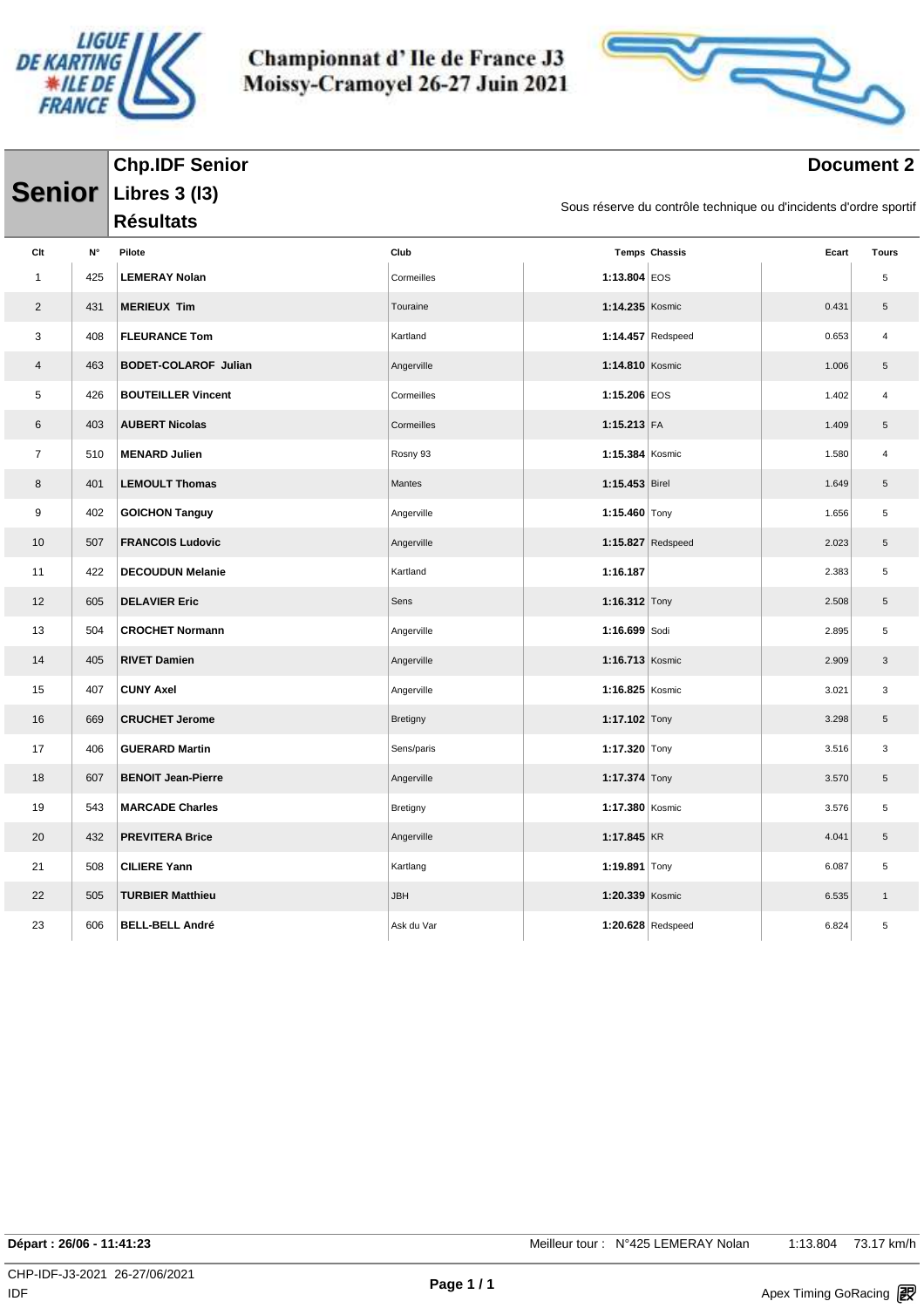



#### **Document 2**

|                |                    | <b>Chp.IDF Senior</b>       |            |                   |                                                                   |       | <b>Document 2</b>         |
|----------------|--------------------|-----------------------------|------------|-------------------|-------------------------------------------------------------------|-------|---------------------------|
| <b>Senior</b>  |                    | <b>Libres 3 (13)</b>        |            |                   |                                                                   |       |                           |
|                |                    | <b>Résultats</b>            |            |                   | Sous réserve du contrôle technique ou d'incidents d'ordre sportif |       |                           |
| Clt            | $\mathsf{N}^\circ$ | Pilote                      | Club       |                   | <b>Temps Chassis</b>                                              | Ecart | <b>Tours</b>              |
| $\mathbf{1}$   | 425                | <b>LEMERAY Nolan</b>        | Cormeilles | 1:13.804 EOS      |                                                                   |       | 5                         |
| $\overline{2}$ | 431                | <b>MERIEUX Tim</b>          | Touraine   | 1:14.235 Kosmic   |                                                                   | 0.431 | 5                         |
| 3              | 408                | <b>FLEURANCE Tom</b>        | Kartland   |                   | 1:14.457 Redspeed                                                 | 0.653 | 4                         |
| 4              | 463                | <b>BODET-COLAROF Julian</b> | Angerville | 1:14.810 Kosmic   |                                                                   | 1.006 | $\,$ 5 $\,$               |
| 5              | 426                | <b>BOUTEILLER Vincent</b>   | Cormeilles | 1:15.206 EOS      |                                                                   | 1.402 | 4                         |
| 6              | 403                | <b>AUBERT Nicolas</b>       | Cormeilles | 1:15.213 FA       |                                                                   | 1.409 | $\,$ 5 $\,$               |
| $\overline{7}$ | 510                | <b>MENARD Julien</b>        | Rosny 93   | 1:15.384 Kosmic   |                                                                   | 1.580 | 4                         |
| 8              | 401                | <b>LEMOULT Thomas</b>       | Mantes     | 1:15.453 Birel    |                                                                   | 1.649 | 5                         |
| 9              | 402                | <b>GOICHON Tanguy</b>       | Angerville | 1:15.460 $Tony$   |                                                                   | 1.656 | 5                         |
| 10             | 507                | <b>FRANCOIS Ludovic</b>     | Angerville |                   | 1:15.827 Redspeed                                                 | 2.023 | $\,$ 5 $\,$               |
| 11             | 422                | <b>DECOUDUN Melanie</b>     | Kartland   | 1:16.187          |                                                                   | 2.383 | $\sqrt{5}$                |
| 12             | 605                | <b>DELAVIER Eric</b>        | Sens       | 1:16.312 Tony     |                                                                   | 2.508 | $\,$ 5 $\,$               |
| 13             | 504                | <b>CROCHET Normann</b>      | Angerville | 1:16.699 Sodi     |                                                                   | 2.895 | 5                         |
| 14             | 405                | <b>RIVET Damien</b>         | Angerville | 1:16.713 Kosmic   |                                                                   | 2.909 | $\ensuremath{\mathsf{3}}$ |
| 15             | 407                | <b>CUNY Axel</b>            | Angerville | 1:16.825 Kosmic   |                                                                   | 3.021 | 3                         |
| 16             | 669                | <b>CRUCHET Jerome</b>       | Bretigny   | 1:17.102 Tony     |                                                                   | 3.298 | $\,$ 5 $\,$               |
| 17             | 406                | <b>GUERARD Martin</b>       | Sens/paris | 1:17.320 Tony     |                                                                   | 3.516 | 3                         |
| 18             | 607                | <b>BENOIT Jean-Pierre</b>   | Angerville | 1:17.374 Tony     |                                                                   | 3.570 | 5                         |
| 19             | 543                | <b>MARCADE Charles</b>      | Bretigny   | 1:17.380 Kosmic   |                                                                   | 3.576 | 5                         |
| 20             | 432                | <b>PREVITERA Brice</b>      | Angerville | 1:17.845 KR       |                                                                   | 4.041 | $\,$ 5 $\,$               |
| 21             | 508                | <b>CILIERE Yann</b>         | Kartlang   | 1:19.891 Tony     |                                                                   | 6.087 | 5                         |
| 22             | 505                | <b>TURBIER Matthieu</b>     | <b>JBH</b> | 1:20.339 Kosmic   |                                                                   | 6.535 | $\mathbf{1}$              |
| 23             | 606                | <b>BELL-BELL André</b>      | Ask du Var | 1:20.628 Redspeed |                                                                   | 6.824 | 5                         |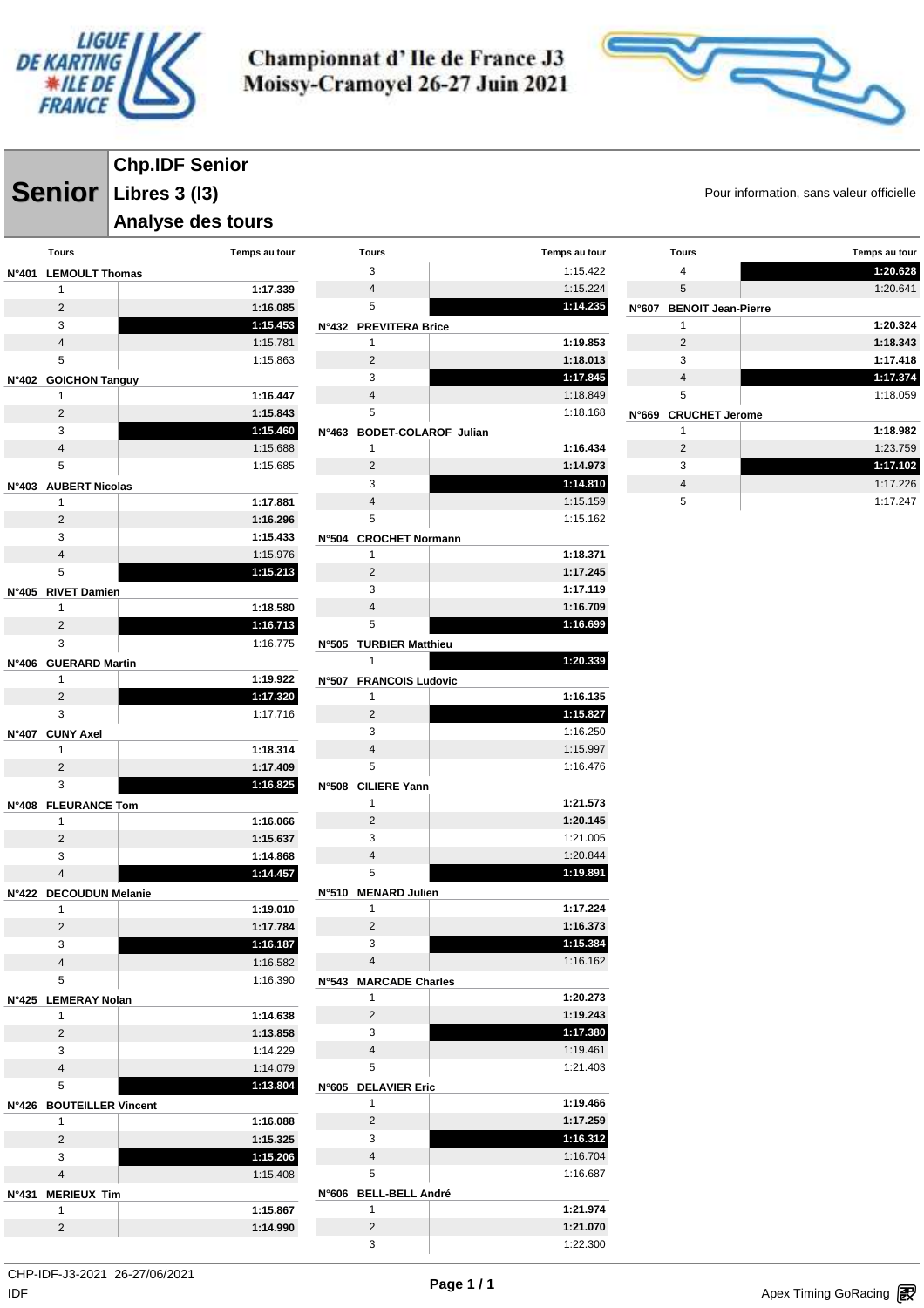

**Tours Temps au tour**



**Senior** Libres 3 (13) **Senior** Pour information, sans valeur officielle **Chp.IDF Senior Libres 3 (l3)**

#### **Analyse des tours**

|                | Tours                          | Temps au tour        | <b>Tours</b>            |
|----------------|--------------------------------|----------------------|-------------------------|
| N°401          | <b>LEMOULT Thomas</b>          |                      | 3                       |
|                | 1                              | 1:17.339             | $\overline{4}$          |
|                | $\overline{2}$                 | 1:16.085             | 5                       |
|                | 3                              | 1:15.453             | N°432 PREVITERA I       |
|                | $\overline{4}$                 | 1:15.781             | 1                       |
|                | 5                              | 1:15.863             | $\overline{2}$          |
| $N^{\circ}402$ | <b>GOICHON Tanguy</b>          |                      | 3                       |
|                | 1                              | 1:16.447             | $\overline{4}$          |
|                | $\overline{2}$                 | 1:15.843             | 5                       |
|                | 3                              | 1:15.460             | N°463 BODET-COL         |
|                | $\overline{4}$                 | 1:15.688             | 1                       |
|                | 5                              | 1:15.685             | $\overline{2}$          |
| N°403          | <b>AUBERT Nicolas</b>          |                      | 3                       |
|                | 1                              | 1:17.881             | $\overline{4}$          |
|                | $\overline{2}$                 | 1:16.296             | 5                       |
|                | 3                              | 1:15.433<br>N°504    | <b>CROCHET No</b>       |
|                | $\overline{4}$                 | 1:15.976             | 1                       |
|                | 5                              | 1:15.213             | $\overline{2}$          |
| N°405          | <b>RIVET Damien</b>            |                      | 3<br>$\overline{4}$     |
|                | 1<br>$\overline{2}$            | 1:18.580<br>1:16.713 | 5                       |
|                | 3                              | 1:16.775             |                         |
|                |                                | N°505                | <b>TURBIER Ma</b><br>1  |
| N°406          | <b>GUERARD Martin</b><br>1     | 1:19.922             |                         |
|                | $\overline{2}$                 | N°507<br>1:17.320    | <b>FRANCOIS L</b><br>1  |
|                | 3                              | 1:17.716             | $\overline{2}$          |
| $N^{\circ}407$ | <b>CUNY Axel</b>               |                      | 3                       |
|                | 1                              | 1:18.314             | $\overline{4}$          |
|                | $\overline{2}$                 | 1:17.409             | 5                       |
|                | 3                              | 1:16.825             | N°508 CILIERE Yanı      |
| N°408          | <b>FLEURANCE Tom</b>           |                      | 1                       |
|                | 1                              | 1:16.066             | $\overline{2}$          |
|                | $\overline{2}$                 | 1:15.637             | 3                       |
|                | 3                              | 1:14.868             | $\overline{4}$          |
|                | 4                              | 1:14.457             | 5                       |
| N°422          | <b>DECOUDUN Melanie</b>        | N°510                | <b>MENARD Jul</b>       |
|                | 1                              | 1:19.010             | 1                       |
|                | $\overline{2}$                 | 1:17.784             | $\overline{2}$          |
|                | 3                              | 1:16.187             | 3                       |
|                | $\overline{4}$                 | 1:16.582             | 4                       |
|                | 5                              | 1:16.390<br>N°543    | <b>MARCADE C</b>        |
|                | N°425 LEMERAY Nolan            |                      | 1                       |
|                | 1                              | 1:14.638             | 2                       |
|                | 2                              | 1:13.858             | 3                       |
|                | 3                              | 1:14.229             | $\overline{4}$          |
|                | $\overline{4}$                 | 1:14.079             | 5                       |
|                | 5                              | 1:13.804<br>N°605    | <b>DELAVIER EI</b><br>1 |
| N°426          | <b>BOUTEILLER Vincent</b><br>1 |                      | $\overline{2}$          |
|                | $\overline{2}$                 | 1:16.088<br>1:15.325 | 3                       |
|                | 3                              | 1:15.206             | $\overline{4}$          |
|                | $\overline{4}$                 | 1:15.408             | 5                       |
|                |                                |                      |                         |
|                |                                |                      |                         |
| N°431          | <b>MERIEUX Tim</b>             |                      | N°606 BELL-BELL A       |
|                | 1                              | 1:15.867             | 1                       |
|                | 2                              | 1:14.990             | $\overline{2}$<br>3     |

|       | 3                           | 1:15.422             |
|-------|-----------------------------|----------------------|
|       | 4                           | 1:15.224             |
|       | 5                           | 1:14.235             |
| N°432 | <b>PREVITERA Brice</b>      |                      |
|       | 1                           | 1:19.853             |
|       | 2                           | 1:18.013             |
|       | 3                           | 1:17.845             |
|       | 4                           | 1:18.849             |
|       | 5                           | 1:18.168             |
| N°463 | <b>BODET-COLAROF Julian</b> |                      |
|       | 1                           | 1:16.434             |
|       | $\overline{2}$              | 1:14.973             |
|       | 3                           | 1:14.810             |
|       | 4                           | 1:15.159             |
|       | 5                           | 1:15.162             |
| N°504 | <b>CROCHET Normann</b>      |                      |
|       | 1                           | 1:18.371             |
|       | 2                           | 1:17.245             |
|       | 3                           | 1:17.119             |
|       | 4                           | 1:16.709             |
|       | 5                           | 1:16.699             |
| N°505 | <b>TURBIER Matthieu</b>     |                      |
|       | 1                           | 1:20.339             |
| N°507 | <b>FRANCOIS Ludovic</b>     |                      |
|       | 1                           | 1:16.135             |
|       | 2                           | 1:15.827             |
|       | 3                           | 1:16.250             |
|       | 4                           | 1:15.997             |
|       | 5                           | 1:16.476             |
| N°508 | <b>CILIERE Yann</b>         |                      |
|       | 1                           | 1:21.573             |
|       | $\overline{2}$              | 1:20.145             |
|       | 3                           | 1:21.005             |
|       | 4                           | 1:20.844             |
|       | 5                           | 1:19.891             |
| N°510 | <b>MENARD Julien</b>        |                      |
|       | 1                           | 1:17.224             |
|       | 2                           | 1:16.373             |
|       | 3<br>4                      | 1:15.384             |
|       |                             | 1:16.162             |
| N°543 | <b>MARCADE Charles</b>      |                      |
|       | 1<br>$\overline{2}$         | 1:20.273<br>1:19.243 |
|       | 3                           | 1:17.380             |
|       | 4                           | 1:19.461             |
|       | 5                           | 1:21.403             |
| N°605 | <b>DELAVIER Eric</b>        |                      |
|       | 1                           | 1:19.466             |
|       | $\overline{2}$              | 1:17.259             |
|       | 3                           | 1:16.312             |
|       | $\overline{4}$              | 1:16.704             |
|       | 5                           | 1:16.687             |
| N°606 | <b>BELL-BELL André</b>      |                      |
|       | 1                           | 1:21.974             |
|       |                             |                      |

| <b>Tours</b>                       | Temps au tour |
|------------------------------------|---------------|
| 4                                  | 1:20.628      |
| 5                                  | 1:20.641      |
| <b>BENOIT Jean-Pierre</b><br>N°607 |               |
| 1                                  | 1:20.324      |
| 2                                  | 1:18.343      |
| 3                                  | 1:17.418      |
| 4                                  | 1:17.374      |
| 5                                  | 1:18.059      |
| <b>CRUCHET Jerome</b><br>N°669     |               |
| 1                                  | 1:18.982      |
| 2                                  | 1:23.759      |
| 3                                  | 1:17.102      |
| $\overline{4}$                     | 1:17.226      |
| 5                                  | 1:17.247      |

 **1:21.070** 1:22.300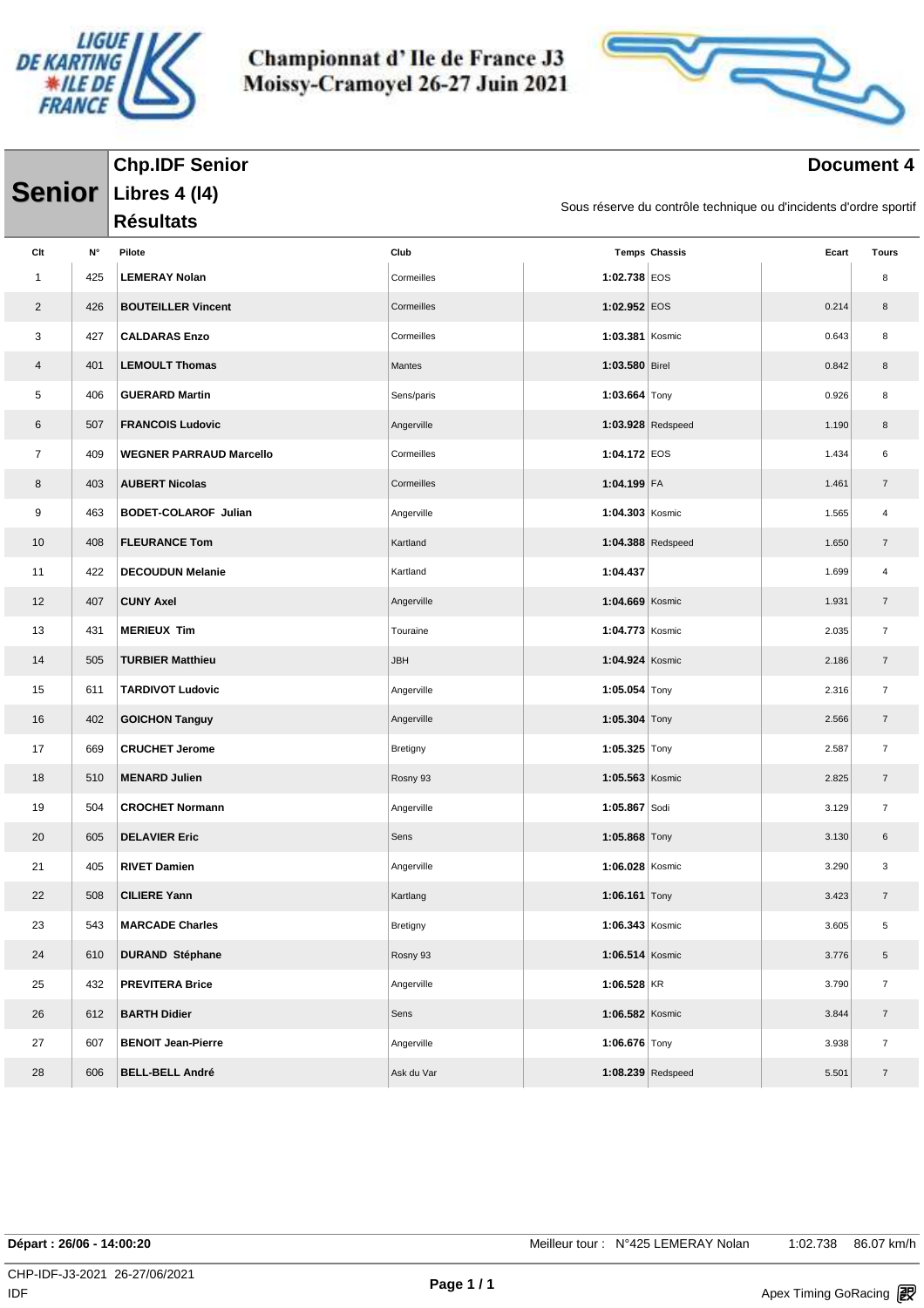



#### **Document** 4

|                |     | <b>Chp.IDF Senior</b>          |            |                 |                                                                   |       | <b>Document 4</b>        |
|----------------|-----|--------------------------------|------------|-----------------|-------------------------------------------------------------------|-------|--------------------------|
| <b>Senior</b>  |     | <b>Libres 4 (14)</b>           |            |                 |                                                                   |       |                          |
|                |     | <b>Résultats</b>               |            |                 | Sous réserve du contrôle technique ou d'incidents d'ordre sportif |       |                          |
| Clt            | N۰  | Pilote                         | Club       |                 | <b>Temps Chassis</b>                                              | Ecart | <b>Tours</b>             |
| 1              | 425 | <b>LEMERAY Nolan</b>           | Cormeilles | 1:02.738 EOS    |                                                                   |       | 8                        |
| $\overline{2}$ | 426 | <b>BOUTEILLER Vincent</b>      | Cormeilles | 1:02.952 EOS    |                                                                   | 0.214 | 8                        |
| 3              | 427 | <b>CALDARAS Enzo</b>           | Cormeilles | 1:03.381 Kosmic |                                                                   | 0.643 | 8                        |
| 4              | 401 | <b>LEMOULT Thomas</b>          | Mantes     | 1:03.580 Birel  |                                                                   | 0.842 | 8                        |
| 5              | 406 | <b>GUERARD Martin</b>          | Sens/paris | 1:03.664 $Tony$ |                                                                   | 0.926 | 8                        |
| 6              | 507 | <b>FRANCOIS Ludovic</b>        | Angerville |                 | 1:03.928 Redspeed                                                 | 1.190 | 8                        |
| $\overline{7}$ | 409 | <b>WEGNER PARRAUD Marcello</b> | Cormeilles | 1:04.172 EOS    |                                                                   | 1.434 | 6                        |
| 8              | 403 | <b>AUBERT Nicolas</b>          | Cormeilles | 1:04.199 FA     |                                                                   | 1.461 | $\overline{7}$           |
| 9              | 463 | <b>BODET-COLAROF Julian</b>    | Angerville | 1:04.303 Kosmic |                                                                   | 1.565 | 4                        |
| 10             | 408 | <b>FLEURANCE Tom</b>           | Kartland   |                 | $1:04.388$ Redspeed                                               | 1.650 | $\overline{7}$           |
| 11             | 422 | <b>DECOUDUN Melanie</b>        | Kartland   | 1:04.437        |                                                                   | 1.699 | 4                        |
| 12             | 407 | <b>CUNY Axel</b>               | Angerville | 1:04.669 Kosmic |                                                                   | 1.931 | $\overline{7}$           |
| 13             | 431 | <b>MERIEUX Tim</b>             | Touraine   | 1:04.773 Kosmic |                                                                   | 2.035 | $\overline{\mathcal{I}}$ |
| 14             | 505 | <b>TURBIER Matthieu</b>        | JBH        | 1:04.924 Kosmic |                                                                   | 2.186 | $\overline{7}$           |
| 15             | 611 | <b>TARDIVOT Ludovic</b>        | Angerville | 1:05.054 Tony   |                                                                   | 2.316 | $\overline{7}$           |
| 16             | 402 | <b>GOICHON Tanguy</b>          | Angerville | 1:05.304 $Tony$ |                                                                   | 2.566 | $\overline{7}$           |
| 17             | 669 | <b>CRUCHET Jerome</b>          | Bretigny   | 1:05.325 Tony   |                                                                   | 2.587 | $\overline{7}$           |
| 18             | 510 | <b>MENARD Julien</b>           | Rosny 93   | 1:05.563 Kosmic |                                                                   | 2.825 | $\overline{7}$           |
| 19             | 504 | <b>CROCHET Normann</b>         | Angerville | 1:05.867 Sodi   |                                                                   | 3.129 | $\overline{7}$           |
| 20             | 605 | <b>DELAVIER Eric</b>           | Sens       | 1:05.868 Tony   |                                                                   | 3.130 | 6                        |
| 21             | 405 | <b>RIVET Damien</b>            | Angerville | 1:06.028 Kosmic |                                                                   | 3.290 | 3                        |
| 22             | 508 | <b>CILIERE Yann</b>            | Kartlang   | 1:06.161 $Tony$ |                                                                   | 3.423 | $\overline{7}$           |
| 23             | 543 | <b>MARCADE Charles</b>         | Bretigny   | 1:06.343 Kosmic |                                                                   | 3.605 | 5                        |
| 24             | 610 | <b>DURAND Stéphane</b>         | Rosny 93   | 1:06.514 Kosmic |                                                                   | 3.776 | 5                        |
| 25             | 432 | <b>PREVITERA Brice</b>         | Angerville | $1:06.528$ KR   |                                                                   | 3.790 | $\overline{7}$           |
| 26             | 612 | <b>BARTH Didier</b>            | Sens       | 1:06.582 Kosmic |                                                                   | 3.844 | $\overline{7}$           |
| 27             | 607 | <b>BENOIT Jean-Pierre</b>      | Angerville | 1:06.676 Tony   |                                                                   | 3.938 | $\overline{7}$           |
| 28             | 606 | <b>BELL-BELL André</b>         | Ask du Var |                 | 1:08.239 Redspeed                                                 | 5.501 | $\overline{7}$           |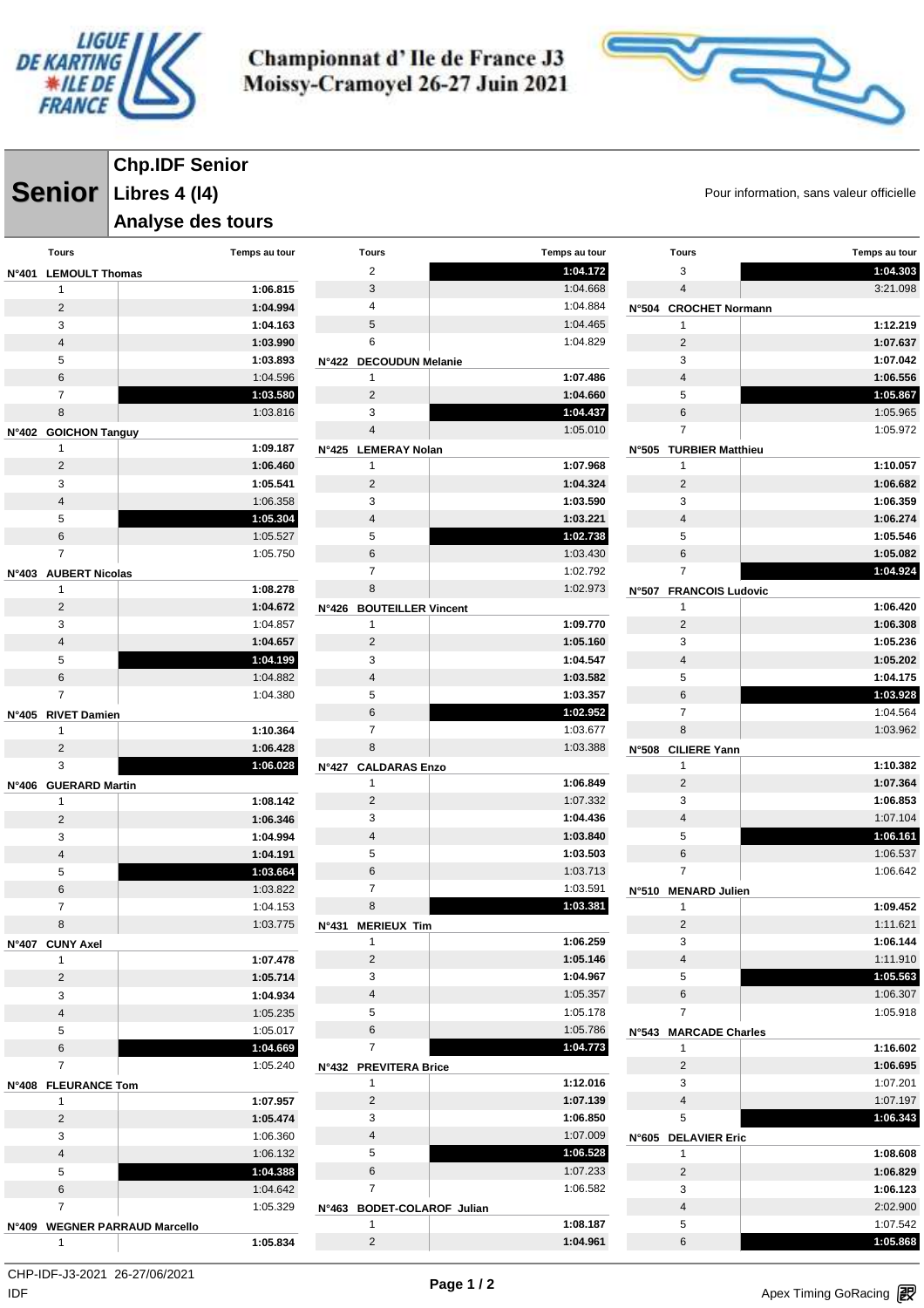

**Chp.IDF Senior**

Championnat d'Ile de France J3 Moissy-Cramoyel 26-27 Juin 2021



**Senior** Libres 4 (14) **Senior** Pour information, sans valeur officielle

|                                        | <b>Analyse des tours</b> |                                       |                      |                                       |                      |
|----------------------------------------|--------------------------|---------------------------------------|----------------------|---------------------------------------|----------------------|
| <b>Tours</b>                           | Temps au tour            | <b>Tours</b>                          | Temps au tour        | <b>Tours</b>                          | Temps au tour        |
| N°401 LEMOULT Thomas                   |                          | $\overline{2}$                        | 1:04.172             | 3                                     | 1:04.303             |
| $\mathbf{1}$                           | 1:06.815                 | 3                                     | 1:04.668             | 4                                     | 3:21.098             |
| $\overline{c}$                         | 1:04.994                 | 4                                     | 1:04.884             | N°504 CROCHET Normann                 |                      |
| 3                                      | 1:04.163                 | 5                                     | 1:04.465             | 1                                     | 1:12.219             |
| $\overline{4}$                         | 1:03.990                 | 6                                     | 1:04.829             | $\overline{2}$                        | 1:07.637             |
| $\sqrt{5}$                             | 1:03.893                 | N°422 DECOUDUN Melanie                |                      | 3                                     | 1:07.042             |
| $6\phantom{1}$                         | 1:04.596                 | $\mathbf{1}$                          | 1:07.486             | $\overline{4}$                        | 1:06.556             |
| $\overline{7}$                         | 1:03.580                 | $\overline{2}$                        | 1:04.660             | 5                                     | 1:05.867             |
| 8                                      | 1:03.816                 | 3                                     | 1:04.437             | 6                                     | 1:05.965             |
| N°402 GOICHON Tanguy                   |                          | $\overline{4}$                        | 1:05.010             | $\overline{7}$                        | 1:05.972             |
| $\mathbf{1}$                           | 1:09.187                 | N°425 LEMERAY Nolan                   |                      | N°505 TURBIER Matthieu                |                      |
| 2                                      | 1:06.460                 | $\mathbf{1}$                          | 1:07.968             | $\mathbf{1}$                          | 1:10.057             |
| 3                                      | 1:05.541                 | $\overline{2}$                        | 1:04.324             | $\overline{2}$                        | 1:06.682             |
| $\overline{4}$<br>5                    | 1:06.358<br>1:05.304     | 3<br>$\overline{4}$                   | 1:03.590             | 3                                     | 1:06.359             |
| 6                                      | 1:05.527                 | 5                                     | 1:03.221<br>1:02.738 | $\overline{4}$<br>5                   | 1:06.274<br>1:05.546 |
| $\overline{7}$                         | 1:05.750                 | $\,6$                                 | 1:03.430             | 6                                     | 1:05.082             |
|                                        |                          | $\overline{7}$                        | 1:02.792             | $\overline{7}$                        | 1:04.924             |
| N°403 AUBERT Nicolas<br>$\overline{1}$ | 1:08.278                 | 8                                     | 1:02.973             | N°507 FRANCOIS Ludovic                |                      |
| $\sqrt{2}$                             | 1:04.672                 | N°426 BOUTEILLER Vincent              |                      | 1                                     | 1:06.420             |
| 3                                      | 1:04.857                 | $\mathbf{1}$                          | 1:09.770             | $\overline{2}$                        | 1:06.308             |
| $\overline{4}$                         | 1:04.657                 | $\overline{2}$                        | 1:05.160             | 3                                     | 1:05.236             |
| $\sqrt{5}$                             | 1:04.199                 | 3                                     | 1:04.547             | $\overline{4}$                        | 1:05.202             |
| $\,6\,$                                | 1:04.882                 | $\overline{4}$                        | 1:03.582             | 5                                     | 1:04.175             |
| $\overline{7}$                         | 1:04.380                 | 5                                     | 1:03.357             | 6                                     | 1:03.928             |
| N°405 RIVET Damien                     |                          | $\,6$                                 | 1:02.952             | $\overline{7}$                        | 1:04.564             |
| 1                                      | 1:10.364                 | $\overline{7}$                        | 1:03.677             | 8                                     | 1:03.962             |
| $\overline{2}$                         | 1:06.428                 | 8                                     | 1:03.388             | <b>CILIERE Yann</b><br><b>N°508</b>   |                      |
| 3                                      | 1:06.028                 | <b>N°427</b><br><b>CALDARAS Enzo</b>  |                      | 1                                     | 1:10.382             |
| N°406 GUERARD Martin                   |                          | $\mathbf{1}$                          | 1:06.849             | $\overline{2}$                        | 1:07.364             |
| $\mathbf{1}$                           | 1:08.142                 | $\overline{2}$                        | 1:07.332             | 3                                     | 1:06.853             |
| $\overline{2}$                         | 1:06.346                 | 3                                     | 1:04.436             | $\overline{4}$                        | 1:07.104             |
| 3                                      | 1:04.994                 | $\overline{4}$                        | 1:03.840             | 5                                     | 1:06.161             |
| $\overline{\mathbf{4}}$                | 1:04.191                 | 5                                     | 1:03.503             | 6                                     | 1:06.537             |
| $\mathbf 5$                            | 1:03.664                 | $\,6$                                 | 1:03.713             | $\overline{7}$                        | 1:06.642             |
| 6                                      | 1:03.822                 | $\overline{7}$                        | 1:03.591             | N°510 MENARD Julien                   |                      |
| $\overline{7}$                         | 1:04.153                 | 8                                     | 1:03.381             | 1                                     | 1:09.452             |
| 8                                      | 1:03.775                 | N°431 MERIEUX Tim                     |                      | $\overline{2}$                        | 1:11.621             |
| N°407 CUNY Axel                        |                          | $\mathbf{1}$                          | 1:06.259             | 3                                     | 1:06.144             |
| $\mathbf{1}$                           | 1:07.478                 | $\overline{2}$                        | 1:05.146             | $\overline{4}$                        | 1:11.910             |
| $\overline{2}$                         | 1:05.714                 | 3                                     | 1:04.967             | 5                                     | 1:05.563             |
| 3                                      | 1:04.934                 | $\overline{4}$                        | 1:05.357             | 6                                     | 1:06.307             |
| $\sqrt{4}$                             | 1:05.235                 | 5<br>6                                | 1:05.178             | $\overline{7}$                        | 1:05.918             |
| 5<br>$\,6\,$                           | 1:05.017<br>1:04.669     | $\overline{7}$                        | 1:05.786<br>1:04.773 | N°543 MARCADE Charles<br>$\mathbf{1}$ | 1:16.602             |
| $\overline{7}$                         | 1:05.240                 |                                       |                      | $\overline{2}$                        | 1:06.695             |
|                                        |                          | N°432 PREVITERA Brice<br>$\mathbf{1}$ | 1:12.016             | 3                                     | 1:07.201             |
| N°408 FLEURANCE Tom<br>$\mathbf{1}$    | 1:07.957                 | $\overline{2}$                        | 1:07.139             | $\overline{4}$                        | 1:07.197             |
| $\overline{2}$                         | 1:05.474                 | 3                                     | 1:06.850             | 5                                     | 1:06.343             |
| 3                                      | 1:06.360                 | $\overline{4}$                        | 1:07.009             | N°605 DELAVIER Eric                   |                      |
| $\sqrt{4}$                             | 1:06.132                 | 5                                     | 1:06.528             | $\mathbf{1}$                          | 1:08.608             |
| 5                                      | 1:04.388                 | 6                                     | 1:07.233             | $\overline{2}$                        | 1:06.829             |
| $\,6\,$                                | 1:04.642                 | $\overline{7}$                        | 1:06.582             | 3                                     | 1:06.123             |
| $\overline{7}$                         | 1:05.329                 | N°463 BODET-COLAROF Julian            |                      | $\overline{4}$                        | 2:02.900             |
| N°409 WEGNER PARRAUD Marcello          |                          | $\mathbf{1}$                          | 1:08.187             | 5                                     | 1:07.542             |
| $\overline{1}$                         | 1:05.834                 | $\overline{2}$                        | 1:04.961             | 6                                     | 1:05.868             |

 $\mathsf{IDF}$ CHP-IDF-J3-2021 26-27/06/2021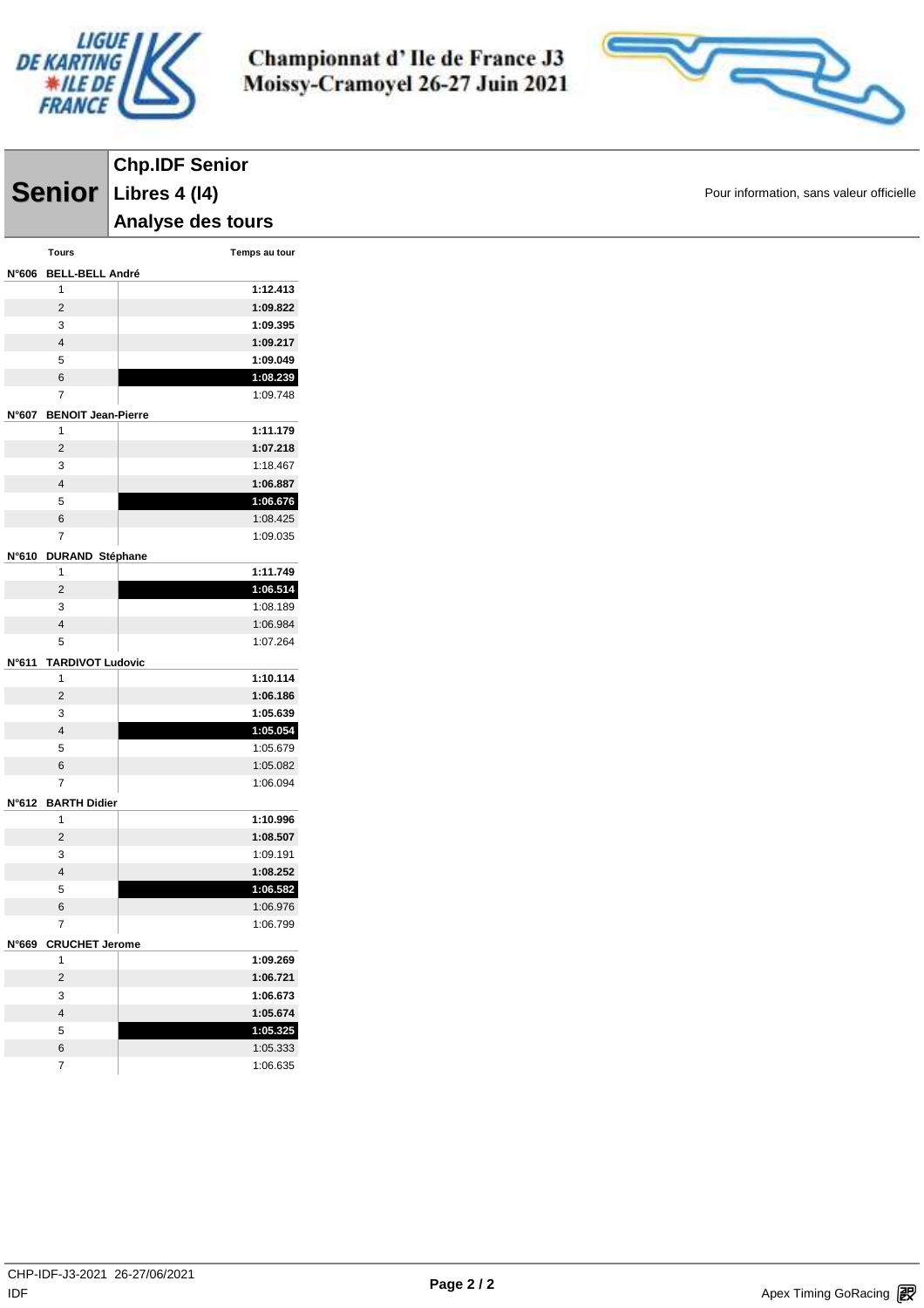



| <b>Chp.IDF Senior</b><br>Senior Libres 4 (14)<br>Analyse des tours<br>Tours<br>Temps au tour<br>N°606 BELL-BELL André<br>1:12.413<br>$\mathbf{1}$<br>1:09.822<br>$\overline{c}$<br>1:09.395<br>3<br>$\overline{4}$<br>1:09.217<br>1:09.049<br>5<br>6<br>1:08.239<br>$\overline{7}$<br>1:09.748<br>N°607 BENOIT Jean-Pierre<br>1:11.179<br>$\mathbf{1}$<br>$\mathbf 2$<br>1:07.218<br>3<br>1:18.467<br>$\overline{\mathbf{4}}$<br>1:06.887<br>1:06.676<br>$\,$ 5 $\,$<br>6<br>1:08.425<br>$\overline{\mathbf{7}}$<br>1:09.035<br>N°610 DURAND Stéphane<br>1:11.749<br>1<br>1:06.514<br>$\mathbf 2$<br>1:08.189<br>3<br>$\overline{\mathbf{4}}$<br>1:06.984<br>5<br>1:07.264<br>N°611 TARDIVOT Ludovic<br>1:10.114<br>$\mathbf{1}$<br>$\mathbf 2$<br>1:06.186<br>1:05.639<br>3<br>1:05.054<br>$\overline{\mathbf{4}}$<br>5<br>1:05.679<br>6<br>1:05.082<br>$\overline{7}$<br>1:06.094<br>N°612 BARTH Didier<br>1:10.996<br>$\mathbf{1}$<br>$\overline{2}$<br>1:08.507<br>3<br>1:09.191<br>$\overline{4}$<br>1:08.252<br>$\sqrt{5}$<br>1:06.582<br>$\,6\,$<br>1:06.976<br>$\overline{7}$<br>1:06.799<br>N°669 CRUCHET Jerome<br>1:09.269<br>$\mathbf{1}$<br>$\overline{2}$<br>1:06.721<br>3<br>1:06.673<br>$\overline{4}$<br>1:05.674<br>$\,$ 5 $\,$<br>1:05.325<br>$\,6\,$<br>1:05.333<br>$\overline{7}$<br>1:06.635 |  |  |
|--------------------------------------------------------------------------------------------------------------------------------------------------------------------------------------------------------------------------------------------------------------------------------------------------------------------------------------------------------------------------------------------------------------------------------------------------------------------------------------------------------------------------------------------------------------------------------------------------------------------------------------------------------------------------------------------------------------------------------------------------------------------------------------------------------------------------------------------------------------------------------------------------------------------------------------------------------------------------------------------------------------------------------------------------------------------------------------------------------------------------------------------------------------------------------------------------------------------------------------------------------------------------------------------------------------------|--|--|
|                                                                                                                                                                                                                                                                                                                                                                                                                                                                                                                                                                                                                                                                                                                                                                                                                                                                                                                                                                                                                                                                                                                                                                                                                                                                                                                    |  |  |
|                                                                                                                                                                                                                                                                                                                                                                                                                                                                                                                                                                                                                                                                                                                                                                                                                                                                                                                                                                                                                                                                                                                                                                                                                                                                                                                    |  |  |
|                                                                                                                                                                                                                                                                                                                                                                                                                                                                                                                                                                                                                                                                                                                                                                                                                                                                                                                                                                                                                                                                                                                                                                                                                                                                                                                    |  |  |
|                                                                                                                                                                                                                                                                                                                                                                                                                                                                                                                                                                                                                                                                                                                                                                                                                                                                                                                                                                                                                                                                                                                                                                                                                                                                                                                    |  |  |
|                                                                                                                                                                                                                                                                                                                                                                                                                                                                                                                                                                                                                                                                                                                                                                                                                                                                                                                                                                                                                                                                                                                                                                                                                                                                                                                    |  |  |
|                                                                                                                                                                                                                                                                                                                                                                                                                                                                                                                                                                                                                                                                                                                                                                                                                                                                                                                                                                                                                                                                                                                                                                                                                                                                                                                    |  |  |
|                                                                                                                                                                                                                                                                                                                                                                                                                                                                                                                                                                                                                                                                                                                                                                                                                                                                                                                                                                                                                                                                                                                                                                                                                                                                                                                    |  |  |
|                                                                                                                                                                                                                                                                                                                                                                                                                                                                                                                                                                                                                                                                                                                                                                                                                                                                                                                                                                                                                                                                                                                                                                                                                                                                                                                    |  |  |
|                                                                                                                                                                                                                                                                                                                                                                                                                                                                                                                                                                                                                                                                                                                                                                                                                                                                                                                                                                                                                                                                                                                                                                                                                                                                                                                    |  |  |
|                                                                                                                                                                                                                                                                                                                                                                                                                                                                                                                                                                                                                                                                                                                                                                                                                                                                                                                                                                                                                                                                                                                                                                                                                                                                                                                    |  |  |
|                                                                                                                                                                                                                                                                                                                                                                                                                                                                                                                                                                                                                                                                                                                                                                                                                                                                                                                                                                                                                                                                                                                                                                                                                                                                                                                    |  |  |
|                                                                                                                                                                                                                                                                                                                                                                                                                                                                                                                                                                                                                                                                                                                                                                                                                                                                                                                                                                                                                                                                                                                                                                                                                                                                                                                    |  |  |
|                                                                                                                                                                                                                                                                                                                                                                                                                                                                                                                                                                                                                                                                                                                                                                                                                                                                                                                                                                                                                                                                                                                                                                                                                                                                                                                    |  |  |
|                                                                                                                                                                                                                                                                                                                                                                                                                                                                                                                                                                                                                                                                                                                                                                                                                                                                                                                                                                                                                                                                                                                                                                                                                                                                                                                    |  |  |
|                                                                                                                                                                                                                                                                                                                                                                                                                                                                                                                                                                                                                                                                                                                                                                                                                                                                                                                                                                                                                                                                                                                                                                                                                                                                                                                    |  |  |
|                                                                                                                                                                                                                                                                                                                                                                                                                                                                                                                                                                                                                                                                                                                                                                                                                                                                                                                                                                                                                                                                                                                                                                                                                                                                                                                    |  |  |
|                                                                                                                                                                                                                                                                                                                                                                                                                                                                                                                                                                                                                                                                                                                                                                                                                                                                                                                                                                                                                                                                                                                                                                                                                                                                                                                    |  |  |
|                                                                                                                                                                                                                                                                                                                                                                                                                                                                                                                                                                                                                                                                                                                                                                                                                                                                                                                                                                                                                                                                                                                                                                                                                                                                                                                    |  |  |
|                                                                                                                                                                                                                                                                                                                                                                                                                                                                                                                                                                                                                                                                                                                                                                                                                                                                                                                                                                                                                                                                                                                                                                                                                                                                                                                    |  |  |
|                                                                                                                                                                                                                                                                                                                                                                                                                                                                                                                                                                                                                                                                                                                                                                                                                                                                                                                                                                                                                                                                                                                                                                                                                                                                                                                    |  |  |
|                                                                                                                                                                                                                                                                                                                                                                                                                                                                                                                                                                                                                                                                                                                                                                                                                                                                                                                                                                                                                                                                                                                                                                                                                                                                                                                    |  |  |
|                                                                                                                                                                                                                                                                                                                                                                                                                                                                                                                                                                                                                                                                                                                                                                                                                                                                                                                                                                                                                                                                                                                                                                                                                                                                                                                    |  |  |
|                                                                                                                                                                                                                                                                                                                                                                                                                                                                                                                                                                                                                                                                                                                                                                                                                                                                                                                                                                                                                                                                                                                                                                                                                                                                                                                    |  |  |
|                                                                                                                                                                                                                                                                                                                                                                                                                                                                                                                                                                                                                                                                                                                                                                                                                                                                                                                                                                                                                                                                                                                                                                                                                                                                                                                    |  |  |
|                                                                                                                                                                                                                                                                                                                                                                                                                                                                                                                                                                                                                                                                                                                                                                                                                                                                                                                                                                                                                                                                                                                                                                                                                                                                                                                    |  |  |
|                                                                                                                                                                                                                                                                                                                                                                                                                                                                                                                                                                                                                                                                                                                                                                                                                                                                                                                                                                                                                                                                                                                                                                                                                                                                                                                    |  |  |
|                                                                                                                                                                                                                                                                                                                                                                                                                                                                                                                                                                                                                                                                                                                                                                                                                                                                                                                                                                                                                                                                                                                                                                                                                                                                                                                    |  |  |
|                                                                                                                                                                                                                                                                                                                                                                                                                                                                                                                                                                                                                                                                                                                                                                                                                                                                                                                                                                                                                                                                                                                                                                                                                                                                                                                    |  |  |
|                                                                                                                                                                                                                                                                                                                                                                                                                                                                                                                                                                                                                                                                                                                                                                                                                                                                                                                                                                                                                                                                                                                                                                                                                                                                                                                    |  |  |
|                                                                                                                                                                                                                                                                                                                                                                                                                                                                                                                                                                                                                                                                                                                                                                                                                                                                                                                                                                                                                                                                                                                                                                                                                                                                                                                    |  |  |
|                                                                                                                                                                                                                                                                                                                                                                                                                                                                                                                                                                                                                                                                                                                                                                                                                                                                                                                                                                                                                                                                                                                                                                                                                                                                                                                    |  |  |
|                                                                                                                                                                                                                                                                                                                                                                                                                                                                                                                                                                                                                                                                                                                                                                                                                                                                                                                                                                                                                                                                                                                                                                                                                                                                                                                    |  |  |
|                                                                                                                                                                                                                                                                                                                                                                                                                                                                                                                                                                                                                                                                                                                                                                                                                                                                                                                                                                                                                                                                                                                                                                                                                                                                                                                    |  |  |
|                                                                                                                                                                                                                                                                                                                                                                                                                                                                                                                                                                                                                                                                                                                                                                                                                                                                                                                                                                                                                                                                                                                                                                                                                                                                                                                    |  |  |
|                                                                                                                                                                                                                                                                                                                                                                                                                                                                                                                                                                                                                                                                                                                                                                                                                                                                                                                                                                                                                                                                                                                                                                                                                                                                                                                    |  |  |
|                                                                                                                                                                                                                                                                                                                                                                                                                                                                                                                                                                                                                                                                                                                                                                                                                                                                                                                                                                                                                                                                                                                                                                                                                                                                                                                    |  |  |
|                                                                                                                                                                                                                                                                                                                                                                                                                                                                                                                                                                                                                                                                                                                                                                                                                                                                                                                                                                                                                                                                                                                                                                                                                                                                                                                    |  |  |
|                                                                                                                                                                                                                                                                                                                                                                                                                                                                                                                                                                                                                                                                                                                                                                                                                                                                                                                                                                                                                                                                                                                                                                                                                                                                                                                    |  |  |
|                                                                                                                                                                                                                                                                                                                                                                                                                                                                                                                                                                                                                                                                                                                                                                                                                                                                                                                                                                                                                                                                                                                                                                                                                                                                                                                    |  |  |
|                                                                                                                                                                                                                                                                                                                                                                                                                                                                                                                                                                                                                                                                                                                                                                                                                                                                                                                                                                                                                                                                                                                                                                                                                                                                                                                    |  |  |
|                                                                                                                                                                                                                                                                                                                                                                                                                                                                                                                                                                                                                                                                                                                                                                                                                                                                                                                                                                                                                                                                                                                                                                                                                                                                                                                    |  |  |
|                                                                                                                                                                                                                                                                                                                                                                                                                                                                                                                                                                                                                                                                                                                                                                                                                                                                                                                                                                                                                                                                                                                                                                                                                                                                                                                    |  |  |
|                                                                                                                                                                                                                                                                                                                                                                                                                                                                                                                                                                                                                                                                                                                                                                                                                                                                                                                                                                                                                                                                                                                                                                                                                                                                                                                    |  |  |
|                                                                                                                                                                                                                                                                                                                                                                                                                                                                                                                                                                                                                                                                                                                                                                                                                                                                                                                                                                                                                                                                                                                                                                                                                                                                                                                    |  |  |
|                                                                                                                                                                                                                                                                                                                                                                                                                                                                                                                                                                                                                                                                                                                                                                                                                                                                                                                                                                                                                                                                                                                                                                                                                                                                                                                    |  |  |
|                                                                                                                                                                                                                                                                                                                                                                                                                                                                                                                                                                                                                                                                                                                                                                                                                                                                                                                                                                                                                                                                                                                                                                                                                                                                                                                    |  |  |
|                                                                                                                                                                                                                                                                                                                                                                                                                                                                                                                                                                                                                                                                                                                                                                                                                                                                                                                                                                                                                                                                                                                                                                                                                                                                                                                    |  |  |
|                                                                                                                                                                                                                                                                                                                                                                                                                                                                                                                                                                                                                                                                                                                                                                                                                                                                                                                                                                                                                                                                                                                                                                                                                                                                                                                    |  |  |
|                                                                                                                                                                                                                                                                                                                                                                                                                                                                                                                                                                                                                                                                                                                                                                                                                                                                                                                                                                                                                                                                                                                                                                                                                                                                                                                    |  |  |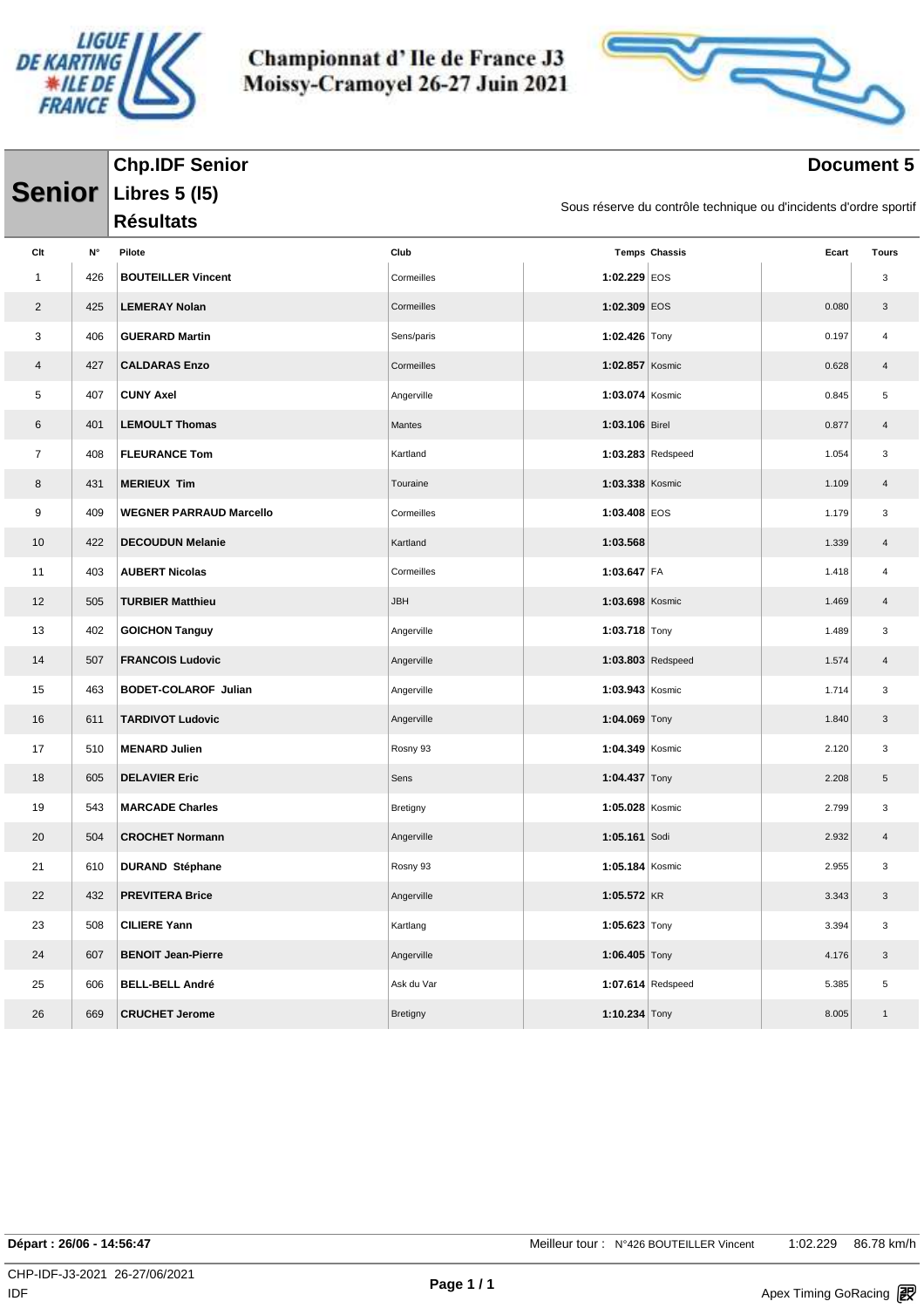



#### **Document 5**

|                |     | <b>Chp.IDF Senior</b>          |            |                   |                                                                   |       | <b>Document 5</b> |
|----------------|-----|--------------------------------|------------|-------------------|-------------------------------------------------------------------|-------|-------------------|
| <b>Senior</b>  |     | <b>Libres 5 (15)</b>           |            |                   |                                                                   |       |                   |
|                |     | <b>Résultats</b>               |            |                   | Sous réserve du contrôle technique ou d'incidents d'ordre sportif |       |                   |
| Clt            | N°  | Pilote                         | Club       |                   | <b>Temps Chassis</b>                                              | Ecart | Tours             |
| $\mathbf{1}$   | 426 | <b>BOUTEILLER Vincent</b>      | Cormeilles | 1:02.229 EOS      |                                                                   |       | 3                 |
| $\overline{2}$ | 425 | <b>LEMERAY Nolan</b>           | Cormeilles | 1:02.309 EOS      |                                                                   | 0.080 | 3                 |
| 3              | 406 | <b>GUERARD Martin</b>          | Sens/paris | 1:02.426 Tony     |                                                                   | 0.197 | 4                 |
| 4              | 427 | <b>CALDARAS Enzo</b>           | Cormeilles | 1:02.857 Kosmic   |                                                                   | 0.628 | 4                 |
| 5              | 407 | <b>CUNY Axel</b>               | Angerville | 1:03.074 Kosmic   |                                                                   | 0.845 | 5                 |
| 6              | 401 | <b>LEMOULT Thomas</b>          | Mantes     | 1:03.106 Birel    |                                                                   | 0.877 | 4                 |
| $\overline{7}$ | 408 | <b>FLEURANCE Tom</b>           | Kartland   |                   | $1:03.283$ Redspeed                                               | 1.054 | 3                 |
| 8              | 431 | <b>MERIEUX Tim</b>             | Touraine   | 1:03.338 Kosmic   |                                                                   | 1.109 | 4                 |
| 9              | 409 | <b>WEGNER PARRAUD Marcello</b> | Cormeilles | 1:03.408 EOS      |                                                                   | 1.179 | 3                 |
| 10             | 422 | <b>DECOUDUN Melanie</b>        | Kartland   | 1:03.568          |                                                                   | 1.339 | 4                 |
| 11             | 403 | <b>AUBERT Nicolas</b>          | Cormeilles | 1:03.647 FA       |                                                                   | 1.418 | 4                 |
| 12             | 505 | <b>TURBIER Matthieu</b>        | <b>JBH</b> | 1:03.698 Kosmic   |                                                                   | 1.469 | 4                 |
| 13             | 402 | <b>GOICHON Tanguy</b>          | Angerville | 1:03.718 $Tony$   |                                                                   | 1.489 | 3                 |
| 14             | 507 | <b>FRANCOIS Ludovic</b>        | Angerville |                   | $1:03.803$ Redspeed                                               | 1.574 | 4                 |
| 15             | 463 | <b>BODET-COLAROF Julian</b>    | Angerville | 1:03.943 Kosmic   |                                                                   | 1.714 | 3                 |
| 16             | 611 | <b>TARDIVOT Ludovic</b>        | Angerville | 1:04.069 Tony     |                                                                   | 1.840 | 3                 |
| 17             | 510 | <b>MENARD Julien</b>           | Rosny 93   | 1:04.349 Kosmic   |                                                                   | 2.120 | 3                 |
| 18             | 605 | <b>DELAVIER Eric</b>           | Sens       | 1:04.437 Tony     |                                                                   | 2.208 | 5                 |
| 19             | 543 | <b>MARCADE Charles</b>         | Bretigny   | 1:05.028 Kosmic   |                                                                   | 2.799 | 3                 |
| 20             | 504 | <b>CROCHET Normann</b>         | Angerville | 1:05.161 Sodi     |                                                                   | 2.932 | 4                 |
| 21             | 610 | <b>DURAND Stéphane</b>         | Rosny 93   | 1:05.184 Kosmic   |                                                                   | 2.955 | 3                 |
| 22             | 432 | <b>PREVITERA Brice</b>         | Angerville | $1:05.572$ KR     |                                                                   | 3.343 | 3                 |
| 23             | 508 | <b>CILIERE Yann</b>            | Kartlang   | 1:05.623 Tony     |                                                                   | 3.394 | 3                 |
| 24             | 607 | <b>BENOIT Jean-Pierre</b>      | Angerville | 1:06.405 $Tony$   |                                                                   | 4.176 | $\mathbf{3}$      |
| 25             | 606 | <b>BELL-BELL André</b>         | Ask du Var | 1:07.614 Redspeed |                                                                   | 5.385 | 5                 |
| 26             | 669 | <b>CRUCHET Jerome</b>          | Bretigny   | 1:10.234 Tony     |                                                                   | 8.005 | $\mathbf{1}$      |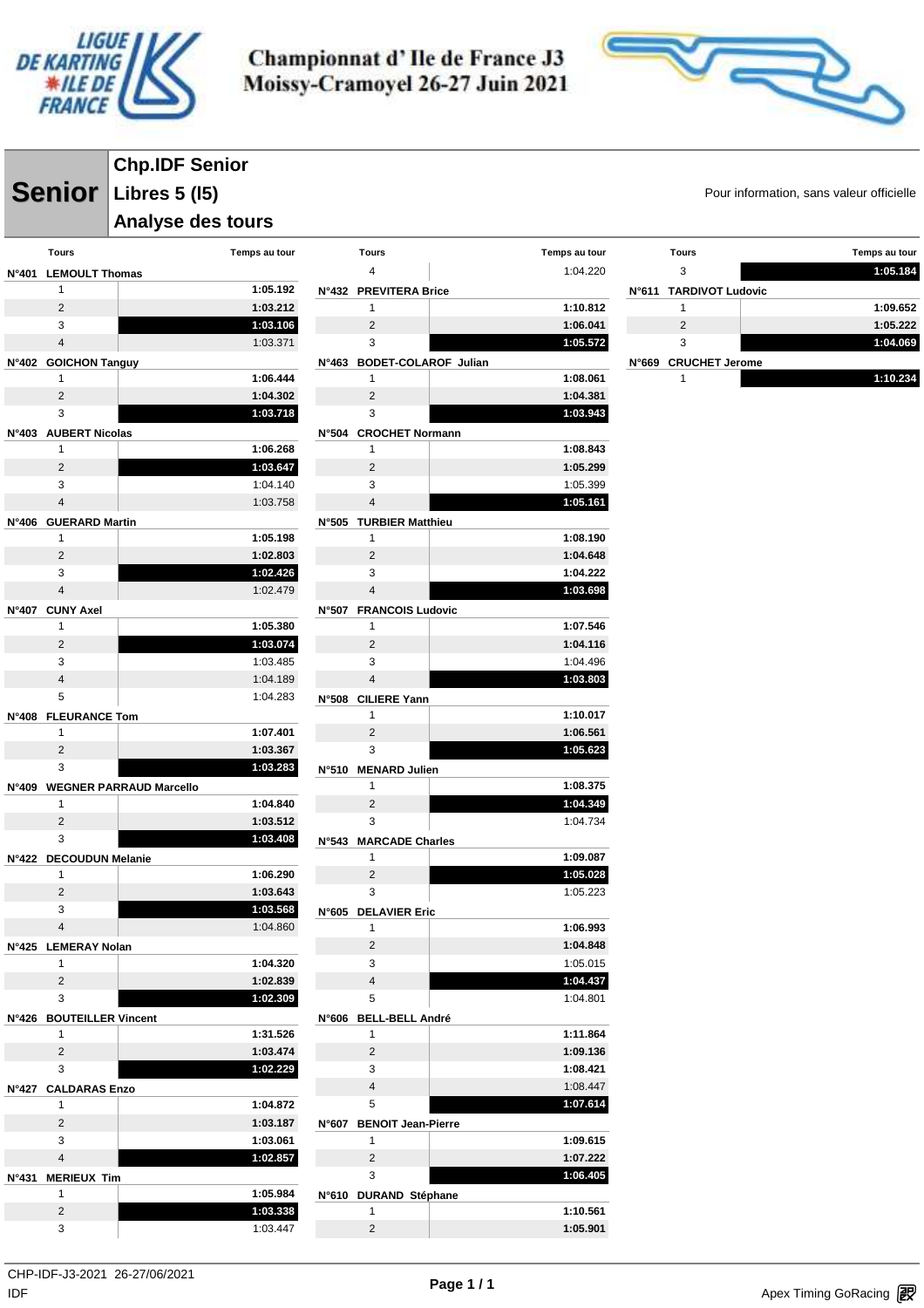



**Senior** Libres 5 (15) **Senior** Pour information, sans valeur officielle **Chp.IDF Senior Libres 5 (l5)**

#### **Analyse des tours**

|              | Tours                     | Temps au tour                  |
|--------------|---------------------------|--------------------------------|
| <b>N°401</b> | <b>LEMOULT Thomas</b>     |                                |
|              | 1                         | 1:05.192                       |
|              | $\overline{2}$            | 1:03.212                       |
|              | 3                         | 1:03.106                       |
|              | $\overline{\mathbf{4}}$   | 1:03.371                       |
| N°402        | <b>GOICHON Tanguy</b>     |                                |
|              | 1                         | 1:06.444                       |
|              | $\overline{2}$            | 1:04.302                       |
|              | 3                         | 1:03.718                       |
| N°403        | <b>AUBERT Nicolas</b>     |                                |
|              | 1                         | 1:06.268                       |
|              | 2                         | 1:03.647                       |
|              | 3                         | 1:04.140                       |
|              | $\overline{\mathbf{4}}$   | 1:03.758                       |
| <b>N°406</b> | <b>GUERARD Martin</b>     |                                |
|              | 1                         | 1:05.198                       |
|              | 2                         | 1:02.803                       |
|              | 3                         | 1:02.426                       |
|              | $\overline{4}$            | 1:02.479                       |
| N°407        | <b>CUNY Axel</b>          |                                |
|              | 1                         | 1:05.380                       |
|              | 2                         | 1:03.074                       |
|              | 3                         | 1:03.485                       |
|              | $\overline{\mathbf{4}}$   | 1:04.189                       |
|              | 5                         | 1:04.283                       |
| N°408        | <b>FLEURANCE Tom</b>      |                                |
|              | 1                         | 1:07.401                       |
|              | 2                         | 1:03.367                       |
|              | 3                         | 1:03.283                       |
| N°409        |                           | <b>WEGNER PARRAUD Marcello</b> |
|              | 1                         | 1:04.840                       |
|              | 2                         | 1:03.512                       |
|              | 3                         | 1:03.408                       |
| <b>N°422</b> | <b>DECOUDUN Melanie</b>   |                                |
|              | 1                         | 1:06.290                       |
|              | 2                         | 1:03.643                       |
|              | 3                         | 1:03.568                       |
|              | 4                         | 1:04.860                       |
| N°425        | <b>LEMERAY Nolan</b>      |                                |
|              | 1                         | 1:04.320                       |
|              | 2                         | 1:02.839                       |
|              | 3                         | 1:02.309                       |
| N°426        | <b>BOUTEILLER Vincent</b> |                                |
|              | 1                         | 1:31.526                       |
|              | 2                         | 1:03.474                       |
|              | 3                         | 1:02.229                       |
| N°427        | <b>CALDARAS Enzo</b>      |                                |
|              | 1                         | 1:04.872                       |
|              | 2                         | 1:03.187                       |
|              | 3                         | 1:03.061                       |
|              | $\overline{\mathbf{4}}$   | 1:02.857                       |
| N°431        | <b>MERIEUX Tim</b>        |                                |
|              | 1                         | 1:05.984                       |
|              | 2                         | 1:03.338                       |
|              | 3                         | 1:03.447                       |

|              | <b>Tours</b>                | Temps au tour        |
|--------------|-----------------------------|----------------------|
|              | 4                           | 1:04.220             |
| N°432        | <b>PREVITERA Brice</b>      |                      |
|              | 1                           | 1:10.812             |
|              | $\overline{2}$              | 1:06.041             |
|              | 3                           | 1:05.572             |
| N°463        | <b>BODET-COLAROF Julian</b> |                      |
|              | 1                           | 1:08.061             |
|              | $\overline{2}$              | 1:04.381             |
|              | 3                           | 1:03.943             |
| N°504        | <b>CROCHET Normann</b>      |                      |
|              | 1                           | 1:08.843             |
|              | $\overline{2}$              | 1:05.299             |
|              | 3                           | 1:05.399             |
|              | $\overline{\mathbf{4}}$     | 1:05.161             |
| N°505        | <b>TURBIER Matthieu</b>     |                      |
|              | 1                           | 1:08.190             |
|              | $\overline{2}$              | 1:04.648             |
|              | 3                           | 1:04.222             |
|              | $\overline{\mathbf{4}}$     | 1:03.698             |
| N°507        | <b>FRANCOIS Ludovic</b>     |                      |
|              | 1                           | 1:07.546             |
|              | $\overline{2}$              | 1:04.116             |
|              | 3                           | 1:04.496             |
|              | 4                           | 1:03.803             |
| N°508        | <b>CILIERE Yann</b>         |                      |
|              | 1                           | 1:10.017             |
|              | $\overline{2}$              | 1:06.561             |
|              |                             |                      |
|              |                             |                      |
|              | 3                           | 1:05.623             |
| N°510        | <b>MENARD Julien</b><br>1   |                      |
|              |                             | 1:08.375             |
|              | 2                           | 1:04.349             |
|              | 3                           | 1:04.734             |
| N°543        | <b>MARCADE Charles</b>      |                      |
|              | 1                           | 1:09.087             |
|              | $\overline{2}$              | 1:05.028             |
|              | 3                           | 1:05.223             |
| <b>N°605</b> | <b>DELAVIER Eric</b>        |                      |
|              | 1                           | 1:06.993             |
|              | 2                           | 1:04.848             |
|              | 3                           | 1:05.015             |
|              | $\overline{4}$              | 1:04.437             |
|              | 5                           | 1:04.801             |
| N°606        | <b>BELL-BELL André</b>      |                      |
|              | 1                           | 1:11.864             |
|              | $\overline{2}$              | 1:09.136             |
|              | 3                           | 1:08.421             |
|              | $\overline{\mathbf{4}}$     | 1:08.447             |
|              | 5                           | 1:07.614             |
| N°607        | <b>BENOIT Jean-Pierre</b>   |                      |
|              | 1                           | 1:09.615             |
|              | 2                           | 1:07.222             |
|              | 3                           | 1:06.405             |
| N°610        | <b>DURAND Stéphane</b>      |                      |
|              | 1<br>$\overline{2}$         | 1:10.561<br>1:05.901 |

| <b>Tours</b>           | Temps au tour |
|------------------------|---------------|
| 3                      | 1:05.184      |
| N°611 TARDIVOT Ludovic |               |
| 1                      | 1:09.652      |
| $\mathcal{P}$          | 1:05.222      |
| 3                      | 1:04.069      |
| N°669 CRUCHET Jerome   |               |
| 1                      | 1:10.234      |
|                        |               |

 $\mathsf{IDF}$ CHP-IDF-J3-2021 26-27/06/2021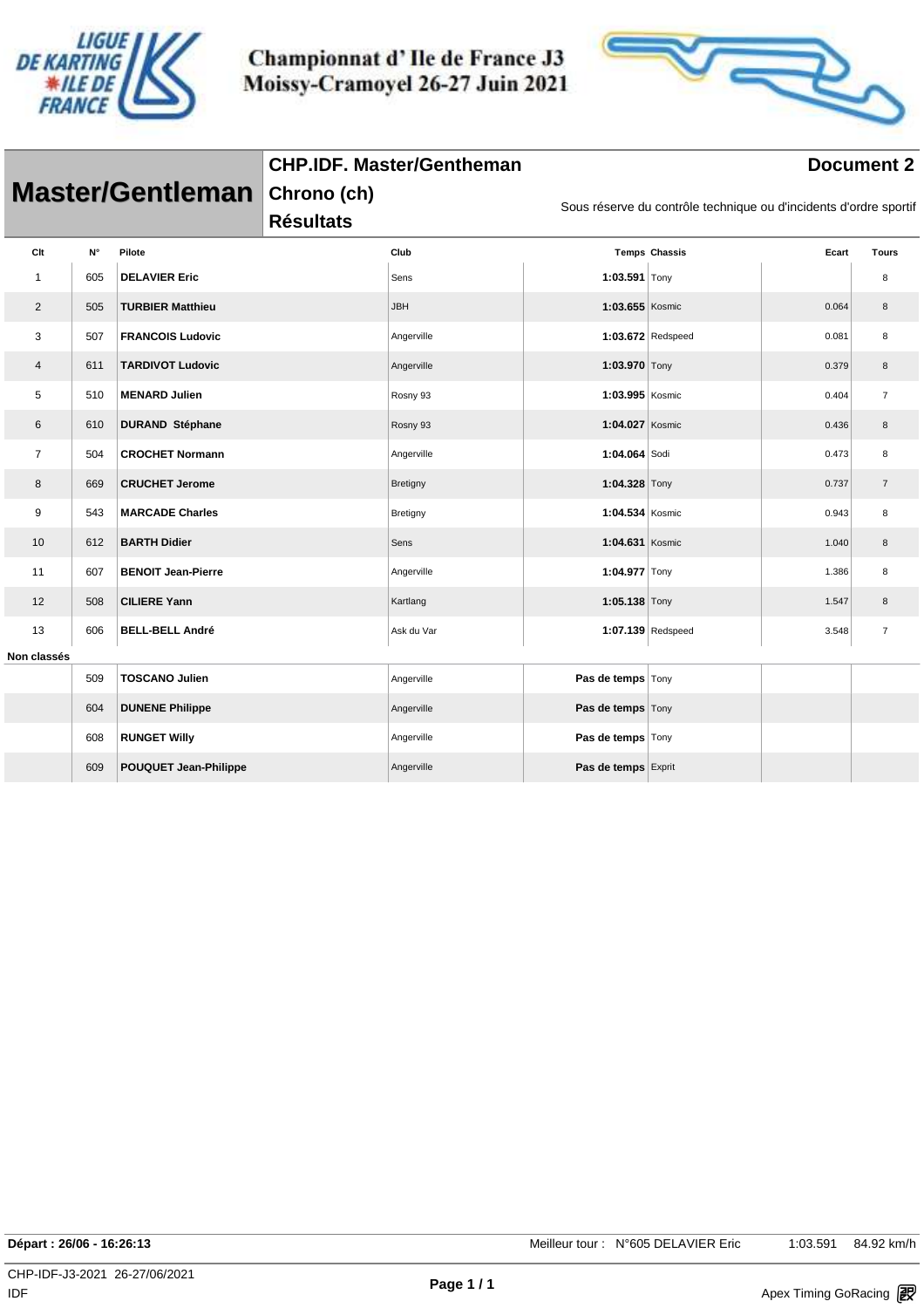



|                |     |                              | <b>CHP.IDF. Master/Gentheman</b> | <b>Document 2</b> |                     |                                                                   |       |                |  |  |  |
|----------------|-----|------------------------------|----------------------------------|-------------------|---------------------|-------------------------------------------------------------------|-------|----------------|--|--|--|
|                |     | <b>Master/Gentleman</b>      | Chrono (ch)<br><b>Résultats</b>  |                   |                     | Sous réserve du contrôle technique ou d'incidents d'ordre sportif |       |                |  |  |  |
| Clt            | N°  | Pilote                       |                                  | Club              |                     | <b>Temps Chassis</b>                                              | Ecart | <b>Tours</b>   |  |  |  |
| $\mathbf{1}$   | 605 | <b>DELAVIER Eric</b>         |                                  | Sens              | 1:03.591 Tony       |                                                                   |       | 8              |  |  |  |
| $\overline{2}$ | 505 | <b>TURBIER Matthieu</b>      |                                  | <b>JBH</b>        | 1:03.655 Kosmic     |                                                                   | 0.064 | 8              |  |  |  |
| 3              | 507 | <b>FRANCOIS Ludovic</b>      |                                  | Angerville        |                     | 1:03.672 Redspeed                                                 | 0.081 | 8              |  |  |  |
| 4              | 611 | <b>TARDIVOT Ludovic</b>      |                                  | Angerville        | 1:03.970 Tony       |                                                                   | 0.379 | 8              |  |  |  |
| 5              | 510 | <b>MENARD Julien</b>         |                                  | Rosny 93          | 1:03.995 Kosmic     |                                                                   | 0.404 | $\overline{7}$ |  |  |  |
| 6              | 610 | <b>DURAND Stéphane</b>       |                                  | Rosny 93          | 1:04.027 Kosmic     |                                                                   | 0.436 | 8              |  |  |  |
| $\overline{7}$ | 504 | <b>CROCHET Normann</b>       |                                  | Angerville        | 1:04.064 Sodi       |                                                                   | 0.473 | 8              |  |  |  |
| 8              | 669 | <b>CRUCHET Jerome</b>        |                                  | Bretigny          | 1:04.328 Tony       |                                                                   | 0.737 | $\overline{7}$ |  |  |  |
| 9              | 543 | <b>MARCADE Charles</b>       |                                  | Bretigny          | 1:04.534 Kosmic     |                                                                   | 0.943 | 8              |  |  |  |
| 10             | 612 | <b>BARTH Didier</b>          |                                  | Sens              | 1:04.631 Kosmic     |                                                                   | 1.040 | 8              |  |  |  |
| 11             | 607 | <b>BENOIT Jean-Pierre</b>    |                                  | Angerville        | 1:04.977 Tony       |                                                                   | 1.386 | 8              |  |  |  |
| 12             | 508 | <b>CILIERE Yann</b>          |                                  | Kartlang          | 1:05.138 Tony       |                                                                   | 1.547 | 8              |  |  |  |
| 13             | 606 | <b>BELL-BELL André</b>       |                                  | Ask du Var        |                     | 1:07.139 Redspeed                                                 | 3.548 | $\overline{7}$ |  |  |  |
| Non classés    |     |                              |                                  |                   |                     |                                                                   |       |                |  |  |  |
|                | 509 | <b>TOSCANO Julien</b>        |                                  | Angerville        | Pas de temps Tony   |                                                                   |       |                |  |  |  |
|                | 604 | <b>DUNENE Philippe</b>       |                                  | Angerville        | Pas de temps Tony   |                                                                   |       |                |  |  |  |
|                | 608 | <b>RUNGET Willy</b>          |                                  | Angerville        | Pas de temps Tony   |                                                                   |       |                |  |  |  |
|                | 609 | <b>POUQUET Jean-Philippe</b> |                                  | Angerville        | Pas de temps Exprit |                                                                   |       |                |  |  |  |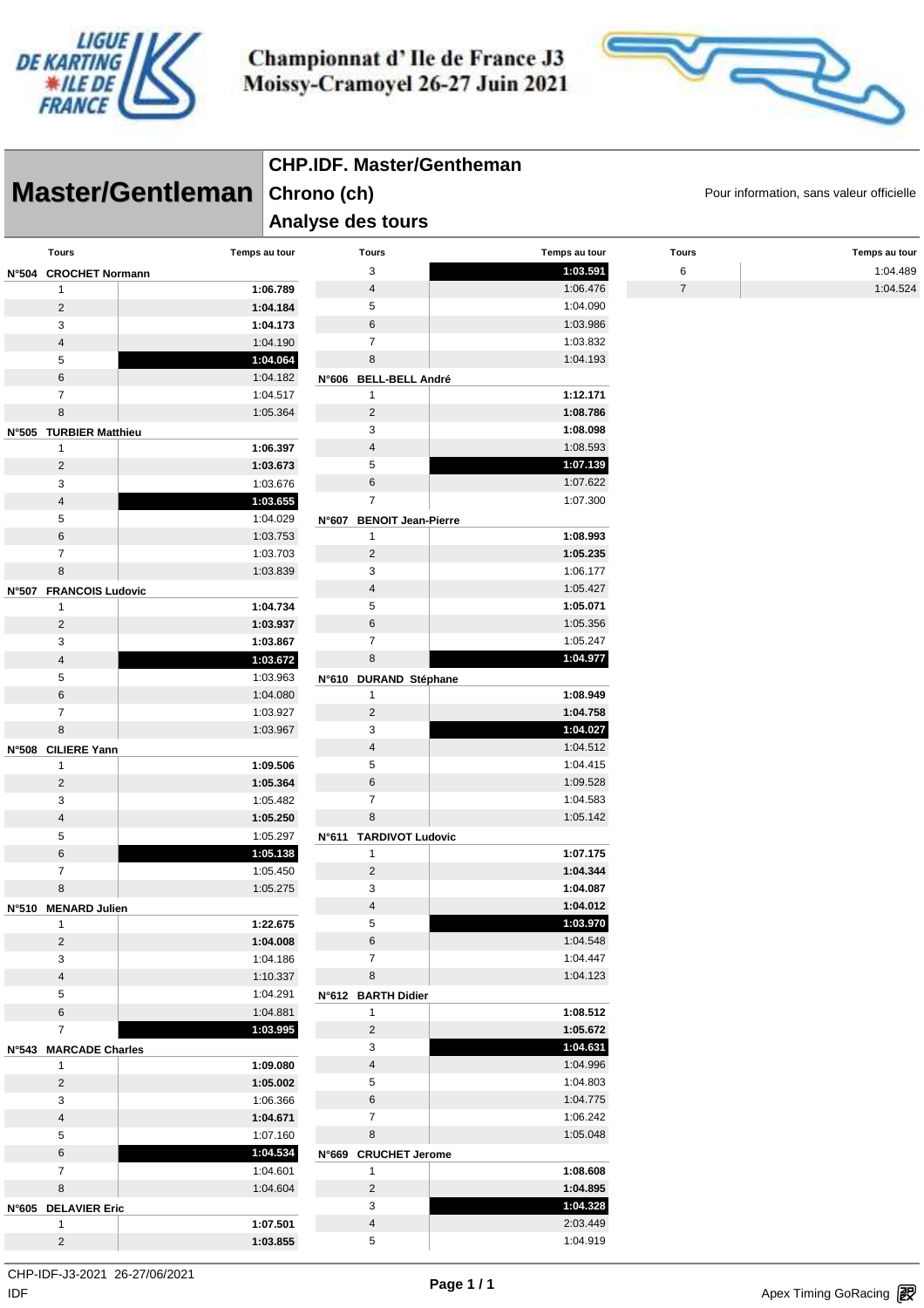



|                              | <b>CHP.IDF. Master/Gentheman</b>         |                                          |                      |                |               |  |  |  |
|------------------------------|------------------------------------------|------------------------------------------|----------------------|----------------|---------------|--|--|--|
| Master/Gentleman Chrono (ch) | Pour information, sans valeur officielle |                                          |                      |                |               |  |  |  |
|                              |                                          | Analyse des tours                        |                      |                |               |  |  |  |
| <b>Tours</b>                 | Temps au tour                            | Tours                                    | Temps au tour        | <b>Tours</b>   | Temps au tour |  |  |  |
| N°504 CROCHET Normann        |                                          | 3                                        | 1:03.591             | 6              | 1:04.489      |  |  |  |
| 1                            | 1:06.789                                 | 4                                        | 1:06.476             | $\overline{7}$ | 1:04.524      |  |  |  |
| $\overline{2}$               | 1:04.184                                 | 5                                        | 1:04.090             |                |               |  |  |  |
| 3                            | 1:04.173                                 | 6                                        | 1:03.986             |                |               |  |  |  |
| $\sqrt{4}$                   | 1:04.190                                 | $\overline{7}$                           | 1:03.832             |                |               |  |  |  |
| 5                            | 1:04.064                                 | 8                                        | 1:04.193             |                |               |  |  |  |
| 6                            | 1:04.182                                 | N°606 BELL-BELL André                    |                      |                |               |  |  |  |
| $\overline{7}$               | 1:04.517                                 | $\mathbf{1}$                             | 1:12.171             |                |               |  |  |  |
| $\bf 8$                      | 1:05.364                                 | $\overline{2}$                           | 1:08.786             |                |               |  |  |  |
| N°505 TURBIER Matthieu       |                                          | 3                                        | 1:08.098             |                |               |  |  |  |
| 1                            | 1:06.397                                 | $\overline{4}$<br>5                      | 1:08.593<br>1:07.139 |                |               |  |  |  |
| $\overline{2}$               | 1:03.673                                 | 6                                        | 1:07.622             |                |               |  |  |  |
| 3<br>$\sqrt{4}$              | 1:03.676                                 | $\overline{7}$                           | 1:07.300             |                |               |  |  |  |
| 5                            | 1:03.655<br>1:04.029                     |                                          |                      |                |               |  |  |  |
| 6                            | 1:03.753                                 | N°607 BENOIT Jean-Pierre<br>$\mathbf{1}$ | 1:08.993             |                |               |  |  |  |
| $\overline{7}$               | 1:03.703                                 | $\overline{2}$                           | 1:05.235             |                |               |  |  |  |
| $\bf 8$                      | 1:03.839                                 | 3                                        | 1:06.177             |                |               |  |  |  |
| N°507 FRANCOIS Ludovic       |                                          | $\overline{4}$                           | 1:05.427             |                |               |  |  |  |
| $\mathbf{1}$                 | 1:04.734                                 | 5                                        | 1:05.071             |                |               |  |  |  |
| $\overline{c}$               | 1:03.937                                 | 6                                        | 1:05.356             |                |               |  |  |  |
| 3                            | 1:03.867                                 | $\overline{7}$                           | 1:05.247             |                |               |  |  |  |
| $\sqrt{4}$                   | 1:03.672                                 | 8                                        | 1:04.977             |                |               |  |  |  |
| 5                            | 1:03.963                                 | N°610 DURAND Stéphane                    |                      |                |               |  |  |  |
| $\,6\,$                      | 1:04.080                                 | $\mathbf{1}$                             | 1:08.949             |                |               |  |  |  |
| $\overline{7}$               | 1:03.927                                 | $\overline{2}$                           | 1:04.758             |                |               |  |  |  |
| 8                            | 1:03.967                                 | 3                                        | 1:04.027             |                |               |  |  |  |
| N°508 CILIERE Yann           |                                          | $\overline{4}$                           | 1:04.512             |                |               |  |  |  |
| $\mathbf{1}$                 | 1:09.506                                 | 5                                        | 1:04.415             |                |               |  |  |  |
| $\overline{2}$               | 1:05.364                                 | 6                                        | 1:09.528             |                |               |  |  |  |
| 3                            | 1:05.482                                 | $\overline{7}$                           | 1:04.583             |                |               |  |  |  |
| $\sqrt{4}$                   | 1:05.250                                 | 8                                        | 1:05.142             |                |               |  |  |  |
| 5                            | 1:05.297                                 | N°611 TARDIVOT Ludovic                   |                      |                |               |  |  |  |
| 6                            | 1:05.138                                 | $\mathbf{1}$                             | 1:07.175             |                |               |  |  |  |
| $\overline{7}$               | 1:05.450                                 | $\overline{2}$                           | 1:04.344             |                |               |  |  |  |
| 8                            | 1:05.275                                 | 3                                        | 1:04.087             |                |               |  |  |  |
| N°510 MENARD Julien          |                                          | $\overline{4}$                           | 1:04.012             |                |               |  |  |  |
| $\mathbf{1}$                 | 1:22.675                                 | 5                                        | 1:03.970             |                |               |  |  |  |
| $\overline{c}$               | 1:04.008                                 | 6<br>$\overline{7}$                      | 1:04.548<br>1:04.447 |                |               |  |  |  |
| 3<br>$\overline{4}$          | 1:04.186<br>1:10.337                     | 8                                        | 1:04.123             |                |               |  |  |  |
| 5                            | 1:04.291                                 | N°612 BARTH Didier                       |                      |                |               |  |  |  |
| $\,6\,$                      | 1:04.881                                 | $\mathbf{1}$                             | 1:08.512             |                |               |  |  |  |
| $\overline{7}$               | 1:03.995                                 | $\overline{c}$                           | 1:05.672             |                |               |  |  |  |
| N°543 MARCADE Charles        |                                          | 3                                        | 1:04.631             |                |               |  |  |  |
| $\mathbf{1}$                 | 1:09.080                                 | $\overline{\mathbf{4}}$                  | 1:04.996             |                |               |  |  |  |
| $\overline{c}$               | 1:05.002                                 | 5                                        | 1:04.803             |                |               |  |  |  |
| 3                            | 1:06.366                                 | 6                                        | 1:04.775             |                |               |  |  |  |
| $\overline{4}$               | 1:04.671                                 | $\overline{7}$                           | 1:06.242             |                |               |  |  |  |
| $\sqrt{5}$                   | 1:07.160                                 | 8                                        | 1:05.048             |                |               |  |  |  |
| $\,6\,$                      | 1:04.534                                 | N°669 CRUCHET Jerome                     |                      |                |               |  |  |  |
| $\overline{7}$               | 1:04.601                                 | $\mathbf{1}$                             | 1:08.608             |                |               |  |  |  |
| 8                            | 1:04.604                                 | $\overline{2}$                           | 1:04.895             |                |               |  |  |  |
| N°605 DELAVIER Eric          |                                          | $\mathsf 3$                              | 1:04.328             |                |               |  |  |  |
| $\mathbf{1}$                 | 1:07.501                                 | $\overline{4}$                           | 2:03.449             |                |               |  |  |  |
| $\overline{2}$               | 1:03.855                                 | $\,$ 5 $\,$                              | 1:04.919             |                |               |  |  |  |

 $\mathsf{IDF}$ CHP-IDF-J3-2021 26-27/06/2021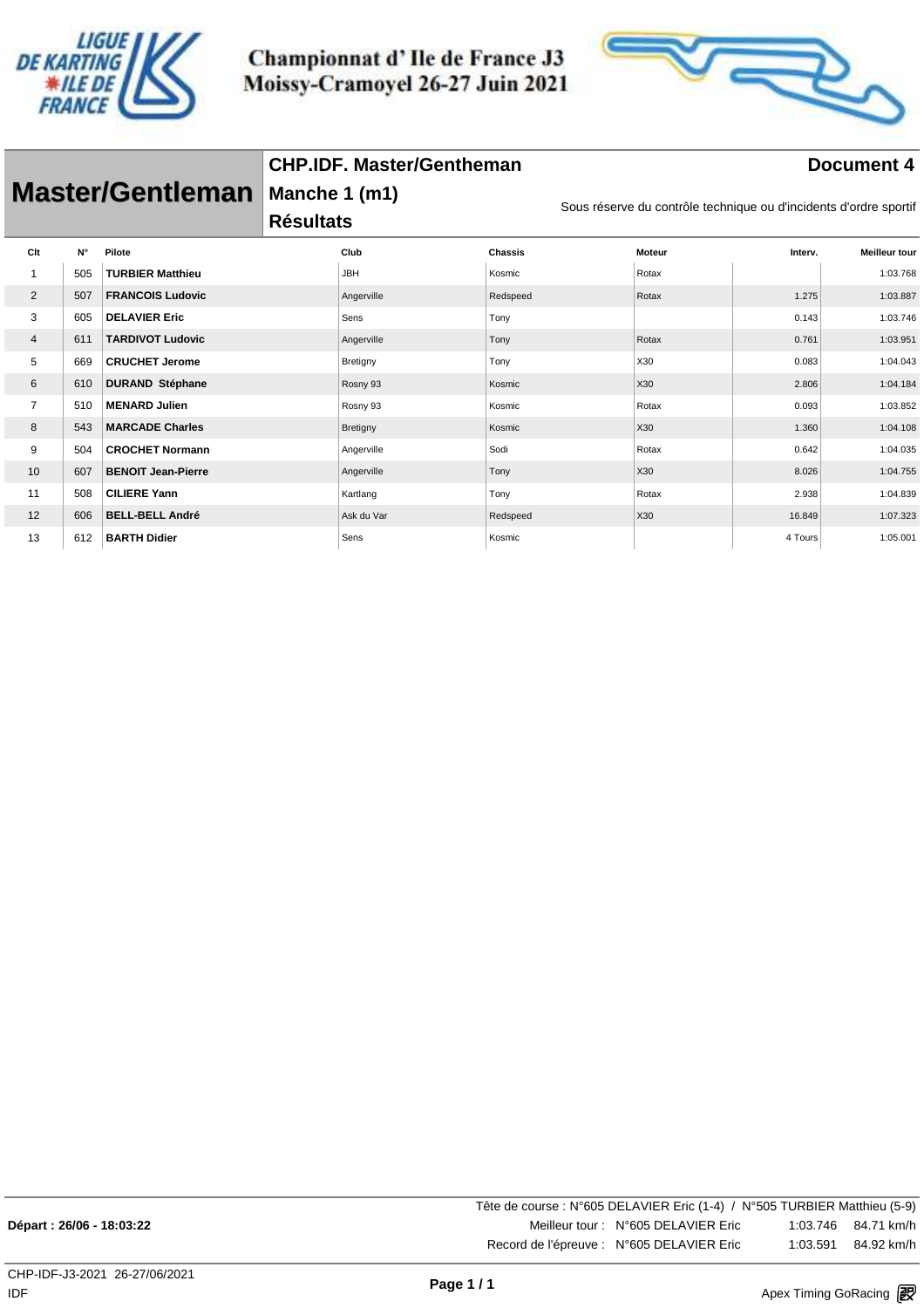



| <b>Master/Gentleman</b> |     |                           | <b>CHP.IDF. Master/Gentheman</b>  | Document 4 |                |                                                                   |               |         |                      |
|-------------------------|-----|---------------------------|-----------------------------------|------------|----------------|-------------------------------------------------------------------|---------------|---------|----------------------|
|                         |     |                           | Manche 1 (m1)<br><b>Résultats</b> |            |                | Sous réserve du contrôle technique ou d'incidents d'ordre sportif |               |         |                      |
| Clt                     | N°  | Pilote                    | Club                              |            | <b>Chassis</b> |                                                                   | <b>Moteur</b> | Interv. | <b>Meilleur tour</b> |
| 1                       | 505 | <b>TURBIER Matthieu</b>   | <b>JBH</b>                        |            | Kosmic         |                                                                   | Rotax         |         | 1:03.768             |
| $\overline{2}$          | 507 | <b>FRANCOIS Ludovic</b>   | Angerville                        |            | Redspeed       |                                                                   | Rotax         | 1.275   | 1:03.887             |
| 3                       | 605 | <b>DELAVIER Eric</b>      | Sens                              |            | Tony           |                                                                   |               | 0.143   | 1:03.746             |
| 4                       | 611 | <b>TARDIVOT Ludovic</b>   | Angerville                        |            | Tony           |                                                                   | Rotax         | 0.761   | 1:03.951             |
| 5                       | 669 | <b>CRUCHET Jerome</b>     | Bretigny                          |            | Tony           |                                                                   | X30           | 0.083   | 1:04.043             |
| 6                       | 610 | <b>DURAND Stéphane</b>    | Rosny 93                          |            | Kosmic         |                                                                   | X30           | 2.806   | 1:04.184             |
| $\overline{7}$          | 510 | <b>MENARD Julien</b>      | Rosny 93                          |            | Kosmic         |                                                                   | Rotax         | 0.093   | 1:03.852             |
| 8                       | 543 | <b>MARCADE Charles</b>    | Bretigny                          |            | Kosmic         |                                                                   | X30           | 1.360   | 1:04.108             |
| 9                       | 504 | <b>CROCHET Normann</b>    | Angerville                        |            | Sodi           |                                                                   | Rotax         | 0.642   | 1:04.035             |
| 10                      | 607 | <b>BENOIT Jean-Pierre</b> | Angerville                        |            | Tony           |                                                                   | X30           | 8.026   | 1:04.755             |
| 11                      | 508 | <b>CILIERE Yann</b>       | Kartlang                          |            | Tony           |                                                                   | Rotax         | 2.938   | 1:04.839             |
| 12                      | 606 | <b>BELL-BELL André</b>    | Ask du Var                        |            | Redspeed       |                                                                   | X30           | 16.849  | 1:07.323             |
| 13                      | 612 | <b>BARTH Didier</b>       | Sens                              |            | Kosmic         |                                                                   |               | 4 Tours | 1:05.001             |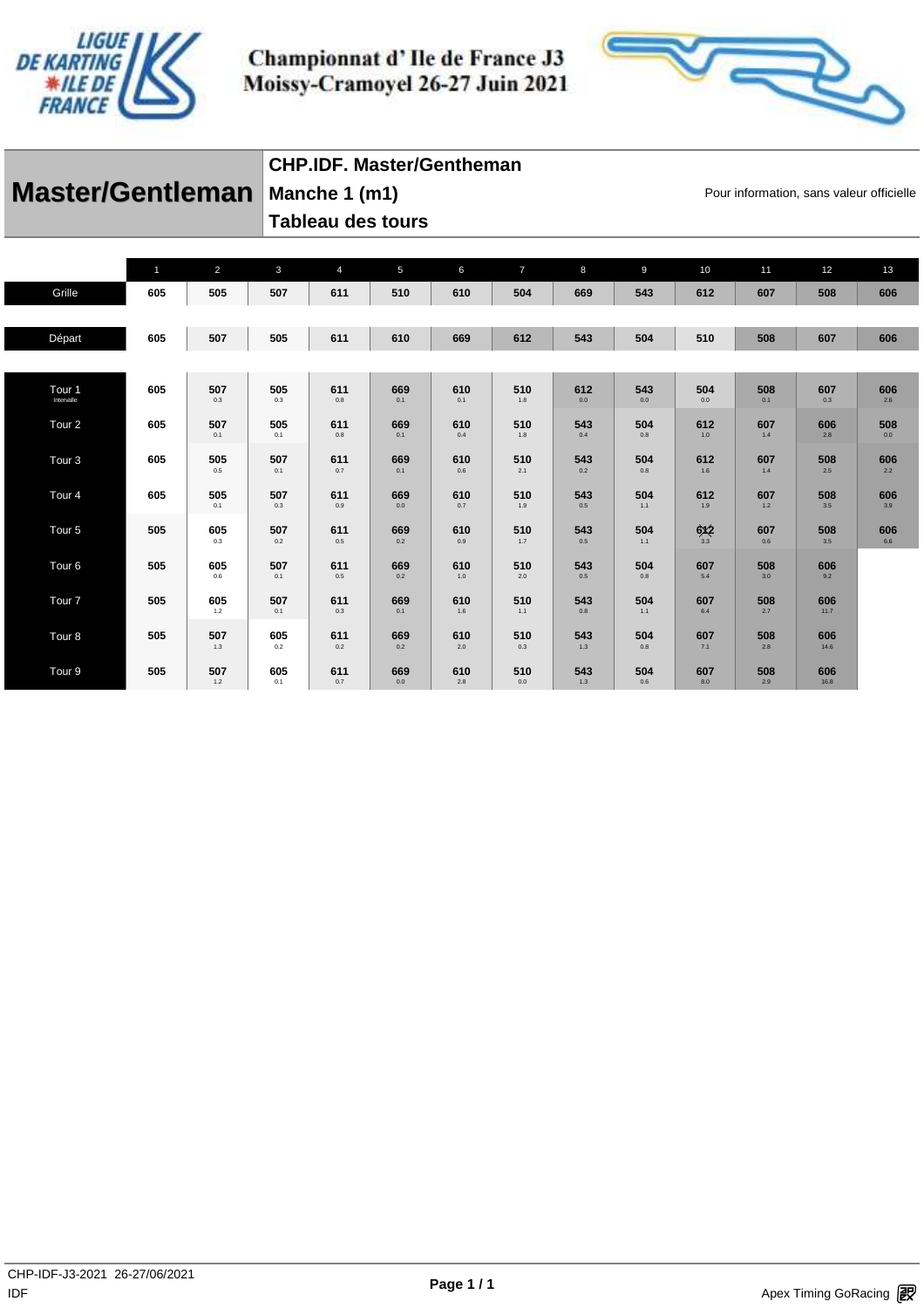



|                                | CHP.IDF. Master/Gentheman |                                          |
|--------------------------------|---------------------------|------------------------------------------|
| Master/Gentleman Manche 1 (m1) |                           | Pour information, sans valeur officielle |
|                                | Tableau des tours         |                                          |

|                                 | $\mathbf{1}$ | $\overline{2}$ | $\mathbf{3}$ | $\overline{4}$ | 5              | 6          | $\overline{7}$ | 8          | $\overline{9}$ | 10                   | 11         | 12          | 13         |
|---------------------------------|--------------|----------------|--------------|----------------|----------------|------------|----------------|------------|----------------|----------------------|------------|-------------|------------|
| Grille                          | 605          | 505            | 507          | 611            | 510            | 610        | 504            | 669        | 543            | 612                  | 607        | 508         | 606        |
|                                 |              |                |              |                |                |            |                |            |                |                      |            |             |            |
| Départ                          | 605          | 507            | 505          | 611            | 610            | 669        | 612            | 543        | 504            | 510                  | 508        | 607         | 606        |
|                                 |              |                |              |                |                |            |                |            |                |                      |            |             |            |
| Tour <sub>1</sub><br>Intervalle | 605          | 507<br>0.3     | 505<br>0.3   | 611<br>0.8     | 669<br>0.1     | 610<br>0.1 | 510<br>1.8     | 612<br>0.0 | 543<br>0.0     | 504<br>0.0           | 508<br>0.1 | 607<br>0.3  | 606<br>2.6 |
| Tour <sub>2</sub>               | 605          | 507<br>0.1     | 505<br>0.1   | 611<br>0.8     | 669<br>0.1     | 610<br>0.4 | 510<br>1.8     | 543<br>0.4 | 504<br>0.8     | 612<br>1.0           | 607<br>1.4 | 606<br>2.8  | 508<br>0.0 |
| Tour <sub>3</sub>               | 605          | 505<br>0.5     | 507<br>0.1   | 611<br>0.7     | 669<br>0.1     | 610<br>0.6 | 510<br>2.1     | 543<br>0.2 | 504<br>0.8     | 612<br>1.6           | 607<br>1.4 | 508<br>2.5  | 606<br>2.2 |
| Tour <sub>4</sub>               | 605          | 505<br>0.1     | 507<br>0.3   | 611<br>0.9     | 669<br>$0.0\,$ | 610<br>0.7 | 510<br>$1.9$   | 543<br>0.5 | 504<br>1.1     | 612<br>1.9           | 607<br>1.2 | 508<br>3.5  | 606<br>3.9 |
| Tour <sub>5</sub>               | 505          | 605<br>0.3     | 507<br>0.2   | 611<br>0.5     | 669<br>0.2     | 610<br>0.9 | 510<br>1.7     | 543<br>0.5 | 504<br>1.1     | $6x2$ <sub>3.3</sub> | 607<br>0.6 | 508<br>3.5  | 606<br>6.6 |
| Tour <sub>6</sub>               | 505          | 605<br>0.6     | 507<br>0.1   | 611<br>0.5     | 669<br>0.2     | 610<br>1.0 | 510<br>2.0     | 543<br>0.5 | 504<br>0.8     | 607<br>5.4           | 508<br>3.0 | 606<br>9.2  |            |
| Tour <sub>7</sub>               | 505          | 605<br>1.2     | 507<br>0.1   | 611<br>0.3     | 669<br>0.1     | 610<br>1.6 | 510<br>1.1     | 543<br>0.8 | 504<br>1.1     | 607<br>6.4           | 508<br>2.7 | 606<br>11.7 |            |
| Tour <sub>8</sub>               | 505          | 507<br>1.3     | 605<br>0.2   | 611<br>0.2     | 669<br>0.2     | 610<br>2.0 | 510<br>0.3     | 543<br>1.3 | 504<br>0.8     | 607<br>7.1           | 508<br>2.8 | 606<br>14.6 |            |
| Tour <sub>9</sub>               | 505          | 507<br>1.2     | 605<br>0.1   | 611<br>0.7     | 669<br>0.0     | 610<br>2.8 | 510<br>0.0     | 543<br>1.3 | 504<br>0.6     | 607<br>8.0           | 508<br>2.9 | 606<br>16.8 |            |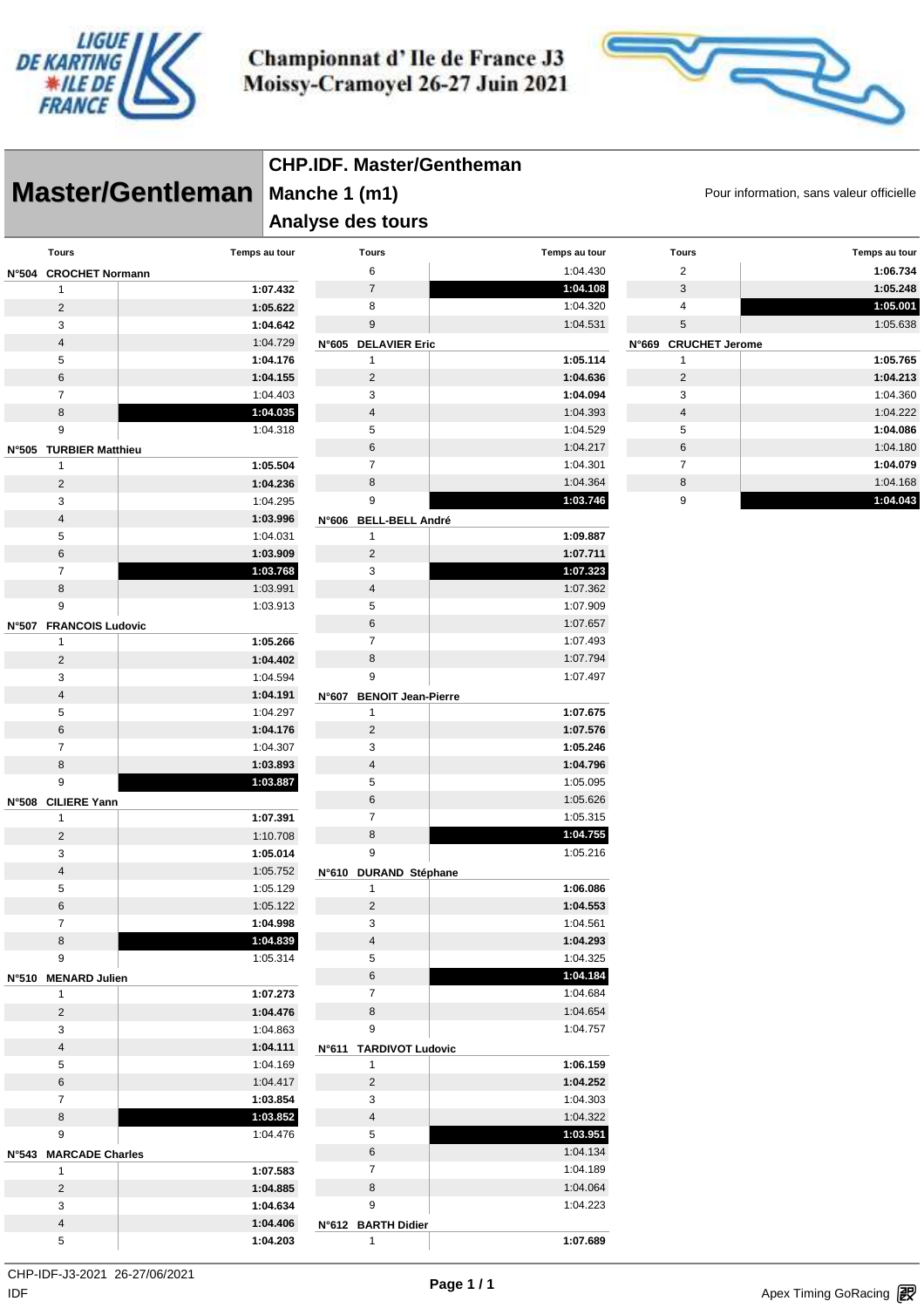



|                         |                         | <b>CHP.IDF. Master/Gentheman</b>                          |                          |  |               |  |                           |  |               |  |  |
|-------------------------|-------------------------|-----------------------------------------------------------|--------------------------|--|---------------|--|---------------------------|--|---------------|--|--|
|                         | <b>Master/Gentleman</b> | Manche 1 (m1)<br>Pour information, sans valeur officielle |                          |  |               |  |                           |  |               |  |  |
|                         |                         | Analyse des tours                                         |                          |  |               |  |                           |  |               |  |  |
| <b>Tours</b>            | Temps au tour           |                                                           | <b>Tours</b>             |  | Temps au tour |  | <b>Tours</b>              |  | Temps au tour |  |  |
| N°504 CROCHET Normann   |                         |                                                           | 6                        |  | 1:04.430      |  | $\overline{c}$            |  | 1:06.734      |  |  |
| $\mathbf{1}$            |                         | 1:07.432                                                  | $\overline{7}$           |  | 1:04.108      |  | $\ensuremath{\mathsf{3}}$ |  | 1:05.248      |  |  |
| $\overline{c}$          |                         | 1:05.622                                                  | 8                        |  | 1:04.320      |  | 4                         |  | 1:05.001      |  |  |
| 3                       |                         | 1:04.642                                                  | 9                        |  | 1:04.531      |  | 5                         |  | 1:05.638      |  |  |
| $\overline{4}$          |                         | 1:04.729                                                  | N°605 DELAVIER Eric      |  |               |  | N°669 CRUCHET Jerome      |  |               |  |  |
| 5                       |                         | 1:04.176                                                  | 1                        |  | 1:05.114      |  | 1                         |  | 1:05.765      |  |  |
| $\,6\,$                 |                         | 1:04.155                                                  | $\overline{c}$           |  | 1:04.636      |  | $\overline{c}$            |  | 1:04.213      |  |  |
| $\overline{7}$          |                         | 1:04.403                                                  | 3                        |  | 1:04.094      |  | 3                         |  | 1:04.360      |  |  |
| 8                       |                         | 1:04.035                                                  | $\overline{4}$           |  | 1:04.393      |  | $\overline{4}$            |  | 1:04.222      |  |  |
| 9                       |                         | 1:04.318                                                  | 5                        |  | 1:04.529      |  | 5                         |  | 1:04.086      |  |  |
| N°505 TURBIER Matthieu  |                         |                                                           | 6                        |  | 1:04.217      |  | 6                         |  | 1:04.180      |  |  |
| $\mathbf{1}$            |                         | 1:05.504                                                  | $\overline{7}$           |  | 1:04.301      |  | $\overline{7}$            |  | 1:04.079      |  |  |
| $\overline{c}$          |                         | 1:04.236                                                  | 8                        |  | 1:04.364      |  | 8                         |  | 1:04.168      |  |  |
| 3                       |                         | 1:04.295                                                  | 9                        |  | 1:03.746      |  | 9                         |  | 1:04.043      |  |  |
| $\overline{4}$          |                         | 1:03.996                                                  | N°606 BELL-BELL André    |  |               |  |                           |  |               |  |  |
| 5                       |                         | 1:04.031                                                  | $\mathbf{1}$             |  | 1:09.887      |  |                           |  |               |  |  |
| $\,6\,$                 |                         | 1:03.909                                                  | $\sqrt{2}$               |  | 1:07.711      |  |                           |  |               |  |  |
| $\overline{7}$          |                         | 1:03.768                                                  | 3                        |  | 1:07.323      |  |                           |  |               |  |  |
| 8                       |                         | 1:03.991                                                  | 4                        |  | 1:07.362      |  |                           |  |               |  |  |
| 9                       |                         | 1:03.913                                                  | 5                        |  | 1:07.909      |  |                           |  |               |  |  |
| N°507 FRANCOIS Ludovic  |                         |                                                           | 6                        |  | 1:07.657      |  |                           |  |               |  |  |
| $\mathbf{1}$            |                         | 1:05.266                                                  | $\overline{7}$           |  | 1:07.493      |  |                           |  |               |  |  |
| 2                       |                         | 1:04.402                                                  | 8                        |  | 1:07.794      |  |                           |  |               |  |  |
| 3                       |                         | 1:04.594                                                  | 9                        |  | 1:07.497      |  |                           |  |               |  |  |
| $\overline{4}$          |                         | 1:04.191                                                  | N°607 BENOIT Jean-Pierre |  |               |  |                           |  |               |  |  |
| 5                       |                         | 1:04.297                                                  | $\mathbf{1}$             |  | 1:07.675      |  |                           |  |               |  |  |
| 6                       |                         | 1:04.176                                                  | $\overline{2}$           |  | 1:07.576      |  |                           |  |               |  |  |
| $\overline{7}$          |                         | 1:04.307                                                  | 3                        |  | 1:05.246      |  |                           |  |               |  |  |
| 8                       |                         | 1:03.893                                                  | $\overline{4}$           |  | 1:04.796      |  |                           |  |               |  |  |
| 9                       |                         | 1:03.887                                                  | 5                        |  | 1:05.095      |  |                           |  |               |  |  |
| N°508 CILIERE Yann      |                         |                                                           | 6                        |  | 1:05.626      |  |                           |  |               |  |  |
| $\mathbf{1}$            |                         | 1:07.391                                                  | $\overline{7}$           |  | 1:05.315      |  |                           |  |               |  |  |
| $\overline{2}$          |                         | 1:10.708                                                  | 8                        |  | 1:04.755      |  |                           |  |               |  |  |
| 3                       |                         | 1:05.014                                                  | 9                        |  | 1:05.216      |  |                           |  |               |  |  |
| $\overline{4}$          |                         | 1:05.752                                                  | N°610 DURAND Stéphane    |  |               |  |                           |  |               |  |  |
| 5                       |                         | 1:05.129                                                  | $\mathbf{1}$             |  | 1:06.086      |  |                           |  |               |  |  |
| $\,6$                   |                         | 1:05.122                                                  | $\overline{c}$           |  | 1:04.553      |  |                           |  |               |  |  |
| $\overline{7}$          |                         | 1:04.998                                                  | 3                        |  | 1:04.561      |  |                           |  |               |  |  |
| 8                       |                         | 1:04.839                                                  | 4                        |  | 1:04.293      |  |                           |  |               |  |  |
| 9                       |                         | 1:05.314                                                  | 5                        |  | 1:04.325      |  |                           |  |               |  |  |
| N°510 MENARD Julien     |                         |                                                           | 6                        |  | 1:04.184      |  |                           |  |               |  |  |
| 1                       |                         | 1:07.273                                                  | $\overline{7}$           |  | 1:04.684      |  |                           |  |               |  |  |
| $\overline{c}$          |                         | 1:04.476                                                  | 8                        |  | 1:04.654      |  |                           |  |               |  |  |
| 3                       |                         | 1:04.863                                                  | 9                        |  | 1:04.757      |  |                           |  |               |  |  |
| $\overline{\mathbf{4}}$ |                         | 1:04.111                                                  | N°611 TARDIVOT Ludovic   |  |               |  |                           |  |               |  |  |
| 5                       |                         | 1:04.169                                                  | $\mathbf{1}$             |  | 1:06.159      |  |                           |  |               |  |  |
| $\,6$                   |                         | 1:04.417                                                  | $\overline{\mathbf{c}}$  |  | 1:04.252      |  |                           |  |               |  |  |
| $\overline{7}$          |                         | 1:03.854                                                  | 3                        |  | 1:04.303      |  |                           |  |               |  |  |
| 8                       |                         | 1:03.852                                                  | 4                        |  | 1:04.322      |  |                           |  |               |  |  |
| 9                       |                         | 1:04.476                                                  | 5                        |  | 1:03.951      |  |                           |  |               |  |  |
| N°543 MARCADE Charles   |                         |                                                           | 6                        |  | 1:04.134      |  |                           |  |               |  |  |
| $\mathbf{1}$            |                         | 1:07.583                                                  | $\overline{7}$           |  | 1:04.189      |  |                           |  |               |  |  |
| $\overline{c}$          |                         | 1:04.885                                                  | 8                        |  | 1:04.064      |  |                           |  |               |  |  |
| 3                       |                         | 1:04.634                                                  | 9                        |  | 1:04.223      |  |                           |  |               |  |  |
| $\overline{4}$          |                         | 1:04.406                                                  | N°612 BARTH Didier       |  |               |  |                           |  |               |  |  |
| 5                       |                         | 1:04.203                                                  | $\mathbf{1}$             |  | 1:07.689      |  |                           |  |               |  |  |

 $\mathsf{IDF}$ CHP-IDF-J3-2021 26-27/06/2021

IDF **Apex Timing GoRacing** 1999 The Season of Page 17.1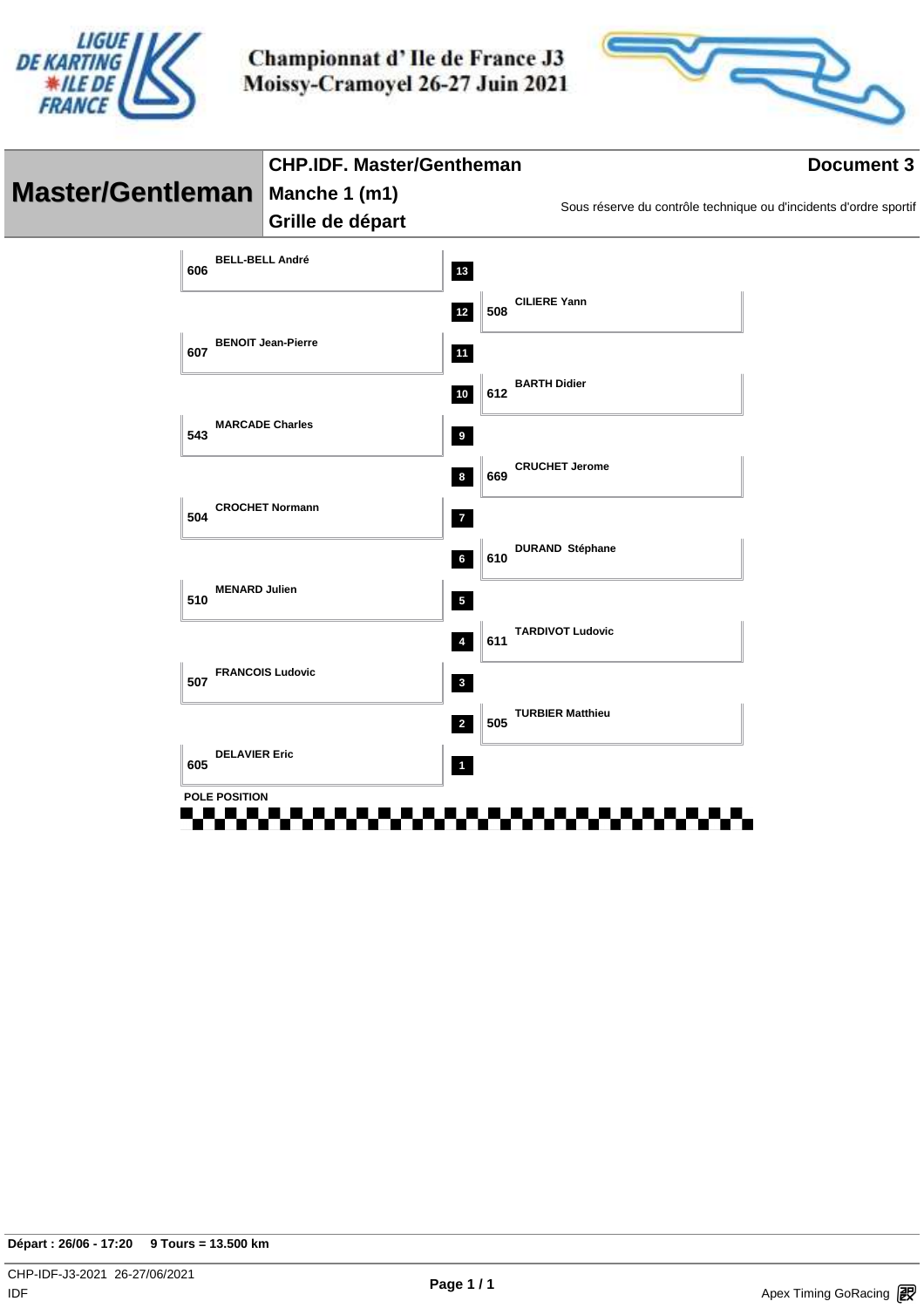



|                                  |                               | <b>CHP.IDF. Master/Gentheman</b> |                         |     |                                                                   | <b>Document 3</b> |  |  |
|----------------------------------|-------------------------------|----------------------------------|-------------------------|-----|-------------------------------------------------------------------|-------------------|--|--|
| Master/Gentleman   Manche 1 (m1) |                               |                                  |                         |     |                                                                   |                   |  |  |
|                                  |                               | Grille de départ                 |                         |     | Sous réserve du contrôle technique ou d'incidents d'ordre sportif |                   |  |  |
|                                  | <b>BELL-BELL André</b><br>606 |                                  | 13                      |     |                                                                   |                   |  |  |
|                                  |                               |                                  | $12$                    | 508 | <b>CILIERE Yann</b>                                               |                   |  |  |
|                                  | 607                           | <b>BENOIT Jean-Pierre</b>        | 11                      |     |                                                                   |                   |  |  |
|                                  |                               |                                  | $10\,$                  | 612 | <b>BARTH Didier</b>                                               |                   |  |  |
|                                  | <b>MARCADE Charles</b><br>543 |                                  | $\overline{9}$          |     |                                                                   |                   |  |  |
|                                  |                               |                                  | $\boldsymbol{8}$        | 669 | <b>CRUCHET Jerome</b>                                             |                   |  |  |
|                                  | 504                           | <b>CROCHET Normann</b>           | $\overline{7}$          |     |                                                                   |                   |  |  |
|                                  |                               |                                  | 6                       | 610 | <b>DURAND Stéphane</b>                                            |                   |  |  |
|                                  | <b>MENARD Julien</b><br>510   |                                  | $\overline{\mathbf{5}}$ |     |                                                                   |                   |  |  |
|                                  |                               |                                  | $\pmb{4}$               | 611 | <b>TARDIVOT Ludovic</b>                                           |                   |  |  |
|                                  | 507                           | <b>FRANCOIS Ludovic</b>          | $\mathbf{3}$            |     |                                                                   |                   |  |  |
|                                  |                               |                                  | $\overline{\mathbf{2}}$ | 505 | <b>TURBIER Matthieu</b>                                           |                   |  |  |
|                                  | <b>DELAVIER Eric</b><br>605   |                                  | $\overline{1}$          |     |                                                                   |                   |  |  |
|                                  | <b>POLE POSITION</b>          |                                  |                         |     |                                                                   |                   |  |  |
|                                  |                               |                                  |                         |     |                                                                   |                   |  |  |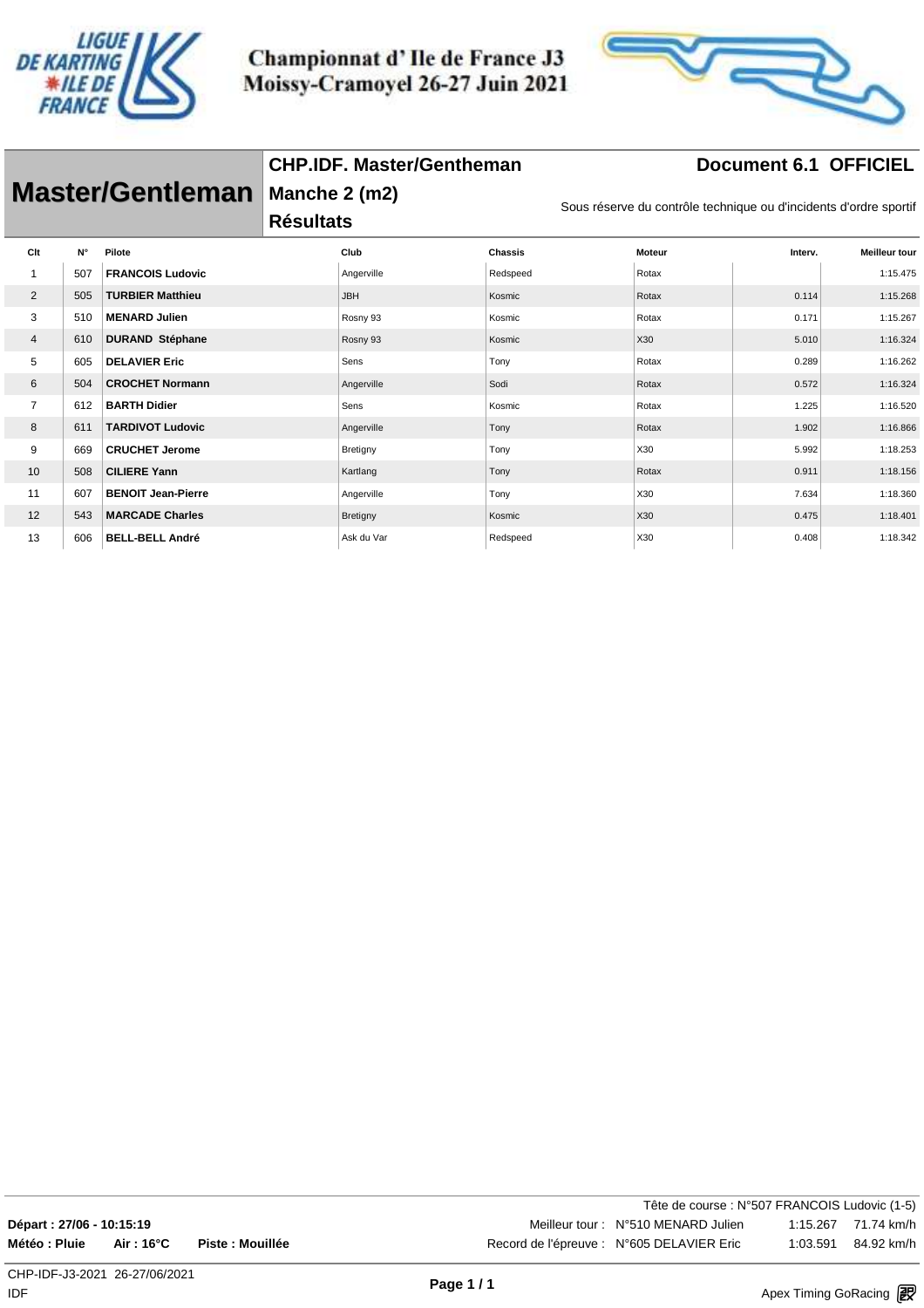

**CHP.IDF. Master/Gentheman**



## **Document 6.1 OFFICIEL**

| <b>Master/Gentleman</b> |             |                           | Manche 2 (m2)<br><b>Résultats</b> |            |                | Sous réserve du contrôle technique ou d'incidents d'ordre sportif |         |                      |  |
|-------------------------|-------------|---------------------------|-----------------------------------|------------|----------------|-------------------------------------------------------------------|---------|----------------------|--|
| Clt                     | $N^{\circ}$ | Pilote                    |                                   | Club       | <b>Chassis</b> | <b>Moteur</b>                                                     | Interv. | <b>Meilleur tour</b> |  |
| 1                       | 507         | <b>FRANCOIS Ludovic</b>   |                                   | Angerville | Redspeed       | Rotax                                                             |         | 1:15.475             |  |
| $\overline{2}$          | 505         | <b>TURBIER Matthieu</b>   |                                   | <b>JBH</b> | Kosmic         | Rotax                                                             | 0.114   | 1:15.268             |  |
| 3                       | 510         | <b>MENARD Julien</b>      |                                   | Rosny 93   | Kosmic         | Rotax                                                             | 0.171   | 1:15.267             |  |
| $\overline{4}$          | 610         | <b>DURAND Stéphane</b>    |                                   | Rosny 93   | Kosmic         | X30                                                               | 5.010   | 1:16.324             |  |
| 5                       | 605         | <b>DELAVIER Eric</b>      |                                   | Sens       | Tony           | Rotax                                                             | 0.289   | 1:16.262             |  |
| 6                       | 504         | <b>CROCHET Normann</b>    |                                   | Angerville | Sodi           | Rotax                                                             | 0.572   | 1:16.324             |  |
| $\overline{7}$          | 612         | <b>BARTH Didier</b>       |                                   | Sens       | Kosmic         | Rotax                                                             | 1.225   | 1:16.520             |  |
| 8                       | 611         | <b>TARDIVOT Ludovic</b>   |                                   | Angerville | Tony           | Rotax                                                             | 1.902   | 1:16.866             |  |
| 9                       | 669         | <b>CRUCHET Jerome</b>     |                                   | Bretigny   | Tony           | X30                                                               | 5.992   | 1:18.253             |  |
| 10 <sup>°</sup>         | 508         | <b>CILIERE Yann</b>       |                                   | Kartlang   | Tony           | Rotax                                                             | 0.911   | 1:18.156             |  |
| 11                      | 607         | <b>BENOIT Jean-Pierre</b> |                                   | Angerville | Tony           | X30                                                               | 7.634   | 1:18.360             |  |
| 12                      | 543         | <b>MARCADE Charles</b>    |                                   | Bretigny   | Kosmic         | X30                                                               | 0.475   | 1:18.401             |  |
| 13                      | 606         | <b>BELL-BELL André</b>    |                                   | Ask du Var | Redspeed       | X30                                                               | 0.408   | 1:18.342             |  |

Tête de course : N°507 FRANCOIS Ludovic (1-5) **Départ : 27/06 - 10:15:19** Meilleur tour : N°510 MENARD Julien 1:15.267 71.74 km/h **Météo : Pluie Air : 16°C Piste : Mouillée** Record de l'épreuve : N°605 DELAVIER Eric 1:03.591 84.92 km/h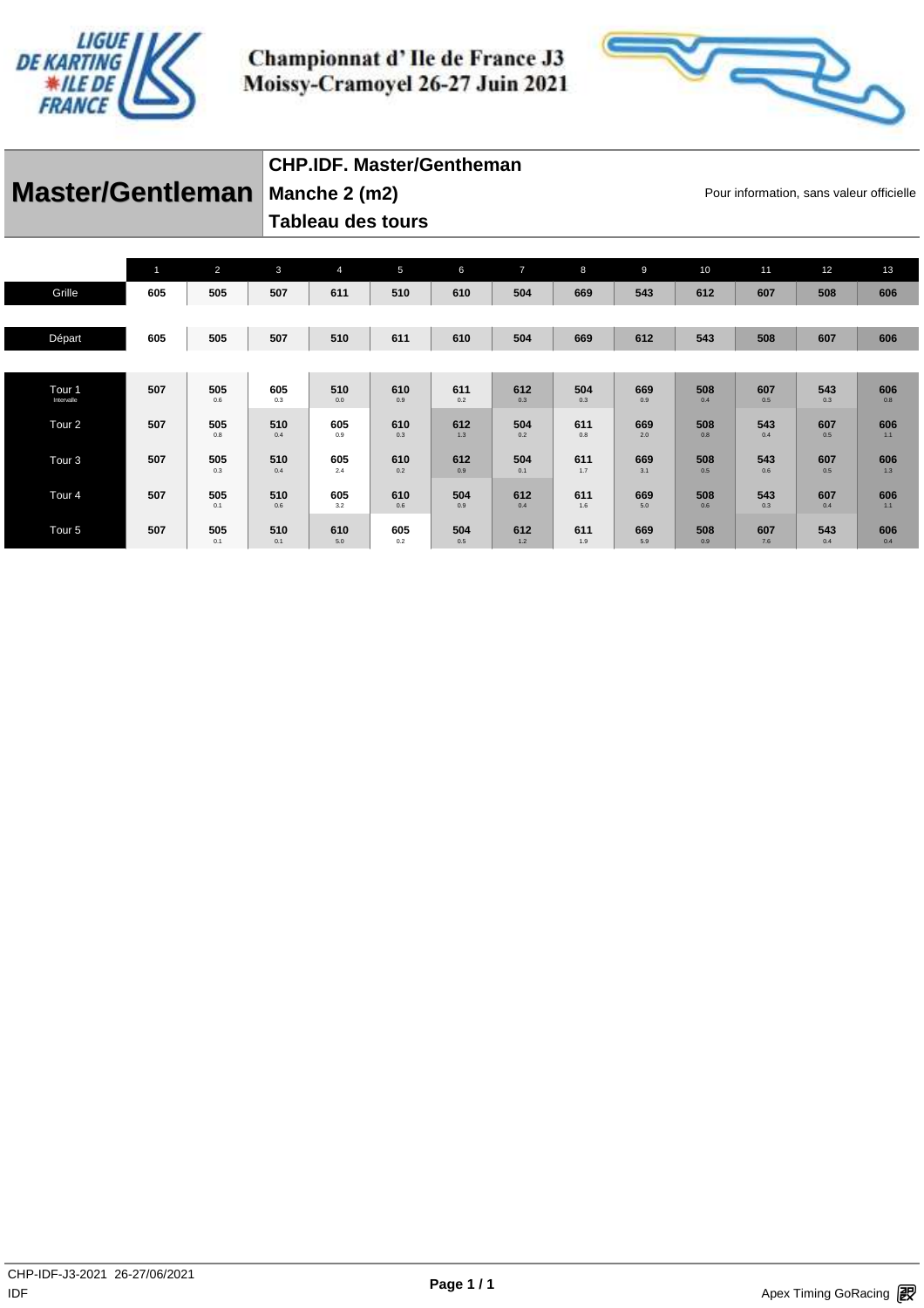



#### **Master/Gentleman** Manche 2 (m2) **Mancher Constant Constant Pour information**, sans valeur officielle **Manche 2 (m2)**

## **CHP.IDF. Master/Gentheman**

**Tableau des tours** 

|                                 | 11  | $\overline{2}$ | $\mathbf{3}$ | $\overline{4}$ | 5          | 6          | $\overline{7}$ | 8          | 9          | 10         | 11         | 12         | 13         |
|---------------------------------|-----|----------------|--------------|----------------|------------|------------|----------------|------------|------------|------------|------------|------------|------------|
| Grille                          | 605 | 505            | 507          | 611            | 510        | 610        | 504            | 669        | 543        | 612        | 607        | 508        | 606        |
|                                 |     |                |              |                |            |            |                |            |            |            |            |            |            |
| Départ                          | 605 | 505            | 507          | 510            | 611        | 610        | 504            | 669        | 612        | 543        | 508        | 607        | 606        |
|                                 |     |                |              |                |            |            |                |            |            |            |            |            |            |
| Tour <sub>1</sub><br>Intervalle | 507 | 505<br>0.6     | 605<br>0.3   | 510<br>0.0     | 610<br>0.9 | 611<br>0.2 | 612<br>0.3     | 504<br>0.3 | 669<br>0.9 | 508<br>0.4 | 607<br>0.5 | 543<br>0.3 | 606<br>0.8 |
| Tour <sub>2</sub>               | 507 | 505<br>0.8     | 510<br>0.4   | 605<br>0.9     | 610<br>0.3 | 612<br>1.3 | 504<br>0.2     | 611<br>0.8 | 669<br>2.0 | 508<br>0.8 | 543<br>0.4 | 607<br>0.5 | 606<br>1.1 |
| Tour <sub>3</sub>               | 507 | 505<br>0.3     | 510<br>0.4   | 605<br>2.4     | 610<br>0.2 | 612<br>0.9 | 504<br>0.1     | 611<br>1.7 | 669<br>3.1 | 508<br>0.5 | 543<br>0.6 | 607<br>0.5 | 606<br>1.3 |
| Tour <sub>4</sub>               | 507 | 505<br>0.1     | 510<br>0.6   | 605<br>3.2     | 610<br>0.6 | 504<br>0.9 | 612<br>0.4     | 611<br>1.6 | 669<br>5.0 | 508<br>0.6 | 543<br>0.3 | 607<br>0.4 | 606<br>1.1 |
| Tour <sub>5</sub>               | 507 | 505<br>0.1     | 510<br>0.1   | 610<br>5.0     | 605<br>0.2 | 504<br>0.5 | 612<br>1.2     | 611<br>1.9 | 669<br>5.9 | 508<br>0.9 | 607<br>7.6 | 543<br>0.4 | 606<br>0.4 |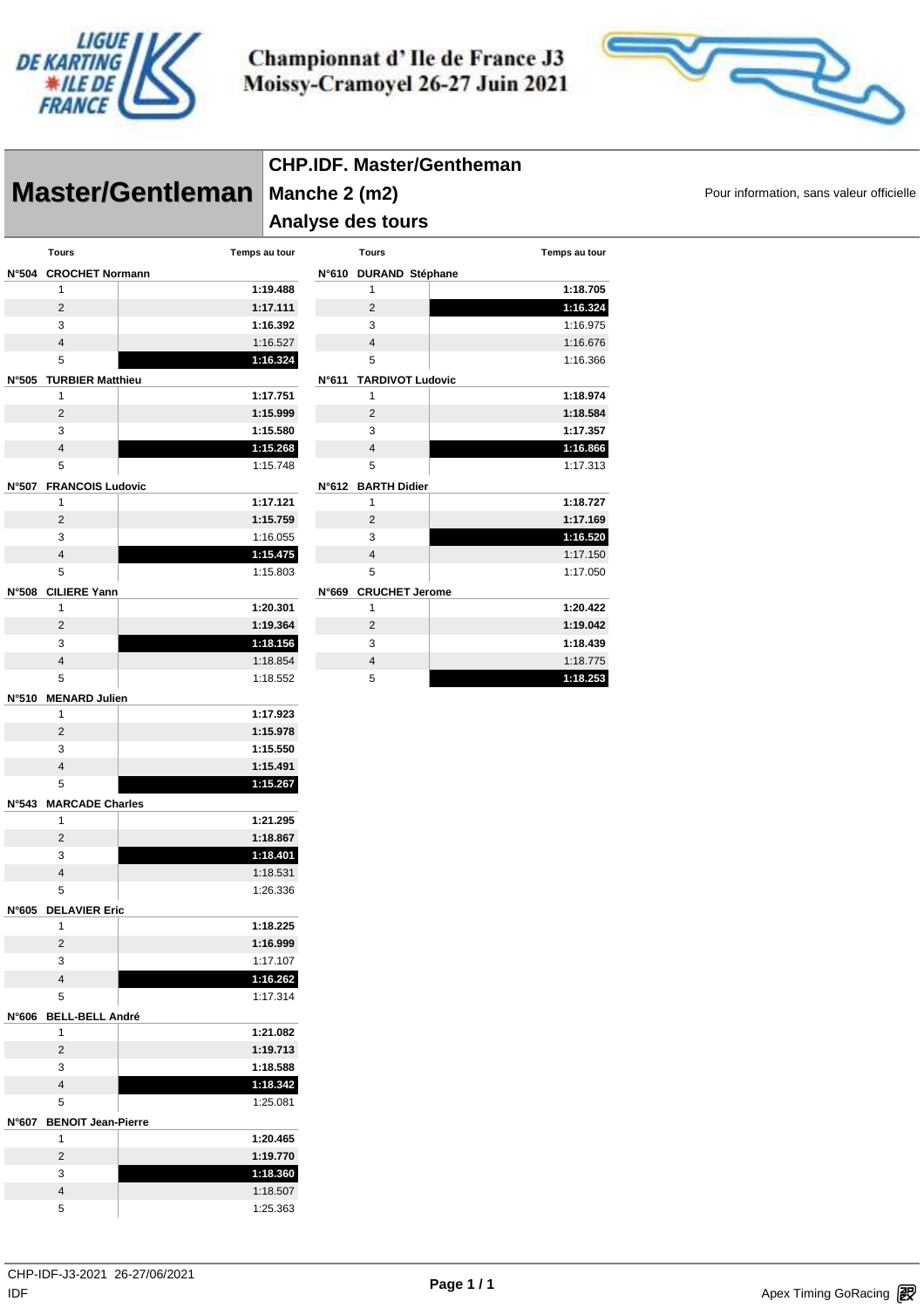



|                                        |                      |                                    | <b>CHP.IDF. Master/Gentheman</b> |               |                                          |
|----------------------------------------|----------------------|------------------------------------|----------------------------------|---------------|------------------------------------------|
| Master/Gentleman                       | Manche 2 (m2)        |                                    |                                  |               | Pour information, sans valeur officielle |
|                                        |                      | Analyse des tours                  |                                  |               |                                          |
| <b>Tours</b>                           | Temps au tour        | <b>Tours</b>                       |                                  | Temps au tour |                                          |
| N°504 CROCHET Normann                  |                      | N°610 DURAND Stéphane              |                                  |               |                                          |
| $\mathbf{1}$                           | 1:19.488             | $\mathbf{1}$                       |                                  | 1:18.705      |                                          |
| $\overline{2}$                         | 1:17.111             | $\overline{c}$                     |                                  | 1:16.324      |                                          |
| 3                                      | 1:16.392             | 3                                  |                                  | 1:16.975      |                                          |
| $\overline{\mathbf{4}}$                | 1:16.527             | 4                                  |                                  | 1:16.676      |                                          |
| 5                                      | 1:16.324             | 5                                  |                                  | 1:16.366      |                                          |
| N°505 TURBIER Matthieu                 |                      | N°611 TARDIVOT Ludovic             |                                  |               |                                          |
| 1                                      | 1:17.751             | $\mathbf{1}$                       |                                  | 1:18.974      |                                          |
| $\overline{2}$                         | 1:15.999             | $\overline{2}$                     |                                  | 1:18.584      |                                          |
| 3                                      | 1:15.580             | 3                                  |                                  | 1:17.357      |                                          |
| $\overline{4}$                         | 1:15.268             | 4                                  |                                  | 1:16.866      |                                          |
| 5                                      | 1:15.748             | 5                                  |                                  | 1:17.313      |                                          |
| N°507 FRANCOIS Ludovic<br>$\mathbf{1}$ | 1:17.121             | N°612 BARTH Didier<br>$\mathbf{1}$ |                                  | 1:18.727      |                                          |
| $\overline{2}$                         | 1:15.759             | $\sqrt{2}$                         |                                  | 1:17.169      |                                          |
| 3                                      | 1:16.055             | 3                                  |                                  | 1:16.520      |                                          |
| $\overline{4}$                         | 1:15.475             | 4                                  |                                  | 1:17.150      |                                          |
| 5                                      | 1:15.803             | 5                                  |                                  | 1:17.050      |                                          |
| N°508 CILIERE Yann                     |                      | N°669 CRUCHET Jerome               |                                  |               |                                          |
| 1                                      | 1:20.301             | $\mathbf{1}$                       |                                  | 1:20.422      |                                          |
| $\overline{2}$                         | 1:19.364             | $\overline{2}$                     |                                  | 1:19.042      |                                          |
| 3                                      | 1:18.156             | 3                                  |                                  | 1:18.439      |                                          |
| $\overline{4}$                         | 1:18.854             | $\overline{4}$                     |                                  | 1:18.775      |                                          |
| 5                                      | 1:18.552             | 5                                  |                                  | 1:18.253      |                                          |
| N°510 MENARD Julien                    |                      |                                    |                                  |               |                                          |
| $\mathbf{1}$<br>$\overline{2}$         | 1:17.923             |                                    |                                  |               |                                          |
| 3                                      | 1:15.978<br>1:15.550 |                                    |                                  |               |                                          |
| $\sqrt{4}$                             | 1:15.491             |                                    |                                  |               |                                          |
| 5                                      | 1:15.267             |                                    |                                  |               |                                          |
| N°543 MARCADE Charles                  |                      |                                    |                                  |               |                                          |
| 1                                      | 1:21.295             |                                    |                                  |               |                                          |
| $\overline{2}$                         | 1:18.867             |                                    |                                  |               |                                          |
| 3                                      | 1:18.401             |                                    |                                  |               |                                          |
| $\overline{4}$                         | 1:18.531             |                                    |                                  |               |                                          |
| 5                                      | 1:26.336             |                                    |                                  |               |                                          |
| N°605 DELAVIER Eric                    |                      |                                    |                                  |               |                                          |
| $\mathbf{1}$                           | 1:18.225             |                                    |                                  |               |                                          |
| $\overline{c}$                         | 1:16.999             |                                    |                                  |               |                                          |
| 3                                      | 1:17.107             |                                    |                                  |               |                                          |
| $\overline{4}$<br>5                    | 1:16.262<br>1:17.314 |                                    |                                  |               |                                          |
|                                        |                      |                                    |                                  |               |                                          |
| N°606 BELL-BELL André<br>$\mathbf{1}$  | 1:21.082             |                                    |                                  |               |                                          |
| $\overline{2}$                         | 1:19.713             |                                    |                                  |               |                                          |
| 3                                      | 1:18.588             |                                    |                                  |               |                                          |
| $\overline{4}$                         | 1:18.342             |                                    |                                  |               |                                          |
| 5                                      | 1:25.081             |                                    |                                  |               |                                          |
| N°607 BENOIT Jean-Pierre               |                      |                                    |                                  |               |                                          |
| $\mathbf{1}$                           | 1:20.465             |                                    |                                  |               |                                          |
| $\overline{2}$                         | 1:19.770             |                                    |                                  |               |                                          |
| 3                                      | 1:18.360             |                                    |                                  |               |                                          |
| $\overline{4}$                         | 1:18.507             |                                    |                                  |               |                                          |
| 5                                      | 1:25.363             |                                    |                                  |               |                                          |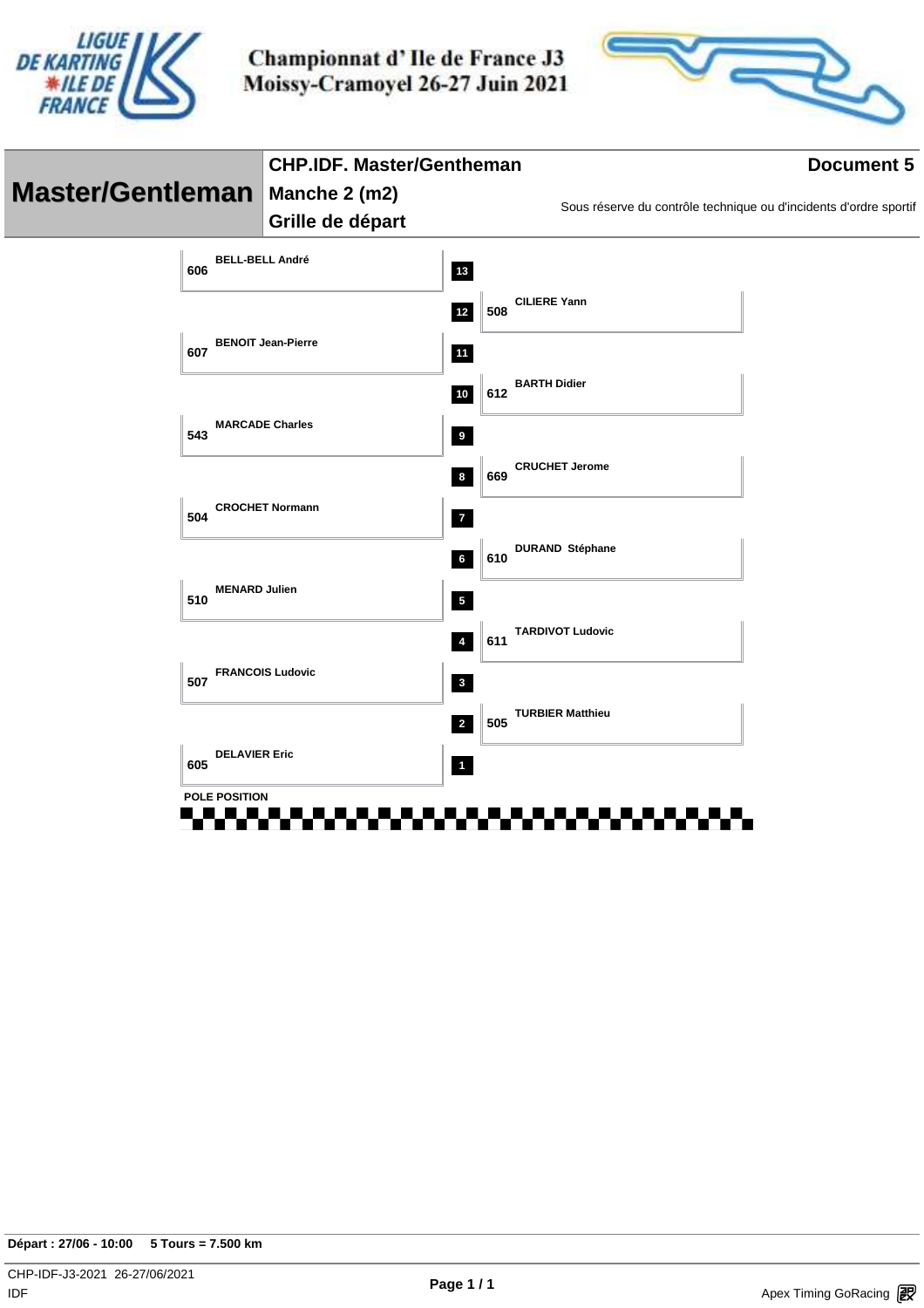



|                                  |                           | <b>CHP.IDF. Master/Gentheman</b> |                         |     | <b>Document 5</b>       |                                                                   |  |  |  |
|----------------------------------|---------------------------|----------------------------------|-------------------------|-----|-------------------------|-------------------------------------------------------------------|--|--|--|
| Master/Gentleman   Manche 2 (m2) |                           |                                  |                         |     |                         | Sous réserve du contrôle technique ou d'incidents d'ordre sportif |  |  |  |
|                                  |                           | Grille de départ                 |                         |     |                         |                                                                   |  |  |  |
| 606                              | <b>BELL-BELL André</b>    |                                  | 13                      |     |                         |                                                                   |  |  |  |
|                                  |                           |                                  | $12$                    | 508 | <b>CILIERE Yann</b>     |                                                                   |  |  |  |
| 607                              | <b>BENOIT Jean-Pierre</b> |                                  | $11$                    |     |                         |                                                                   |  |  |  |
|                                  |                           |                                  | $10$                    | 612 | <b>BARTH Didier</b>     |                                                                   |  |  |  |
| 543                              | <b>MARCADE Charles</b>    |                                  | 9                       |     |                         |                                                                   |  |  |  |
|                                  |                           |                                  | $\boldsymbol{8}$        | 669 | <b>CRUCHET Jerome</b>   |                                                                   |  |  |  |
| 504                              | <b>CROCHET Normann</b>    |                                  | $\mathbf{7}$            |     |                         |                                                                   |  |  |  |
|                                  |                           |                                  | $\bf 6$                 | 610 | <b>DURAND Stéphane</b>  |                                                                   |  |  |  |
| 510                              | <b>MENARD Julien</b>      |                                  | $\sqrt{5}$              |     |                         |                                                                   |  |  |  |
|                                  |                           |                                  | $\overline{4}$          | 611 | <b>TARDIVOT Ludovic</b> |                                                                   |  |  |  |
| 507                              | <b>FRANCOIS Ludovic</b>   |                                  | $\mathbf{3}$            |     |                         |                                                                   |  |  |  |
|                                  |                           |                                  | $\overline{2}$          | 505 | <b>TURBIER Matthieu</b> |                                                                   |  |  |  |
| 605                              | <b>DELAVIER Eric</b>      |                                  | $\overline{\mathbf{1}}$ |     |                         |                                                                   |  |  |  |
|                                  | <b>POLE POSITION</b>      |                                  |                         |     |                         |                                                                   |  |  |  |
|                                  |                           |                                  |                         |     |                         |                                                                   |  |  |  |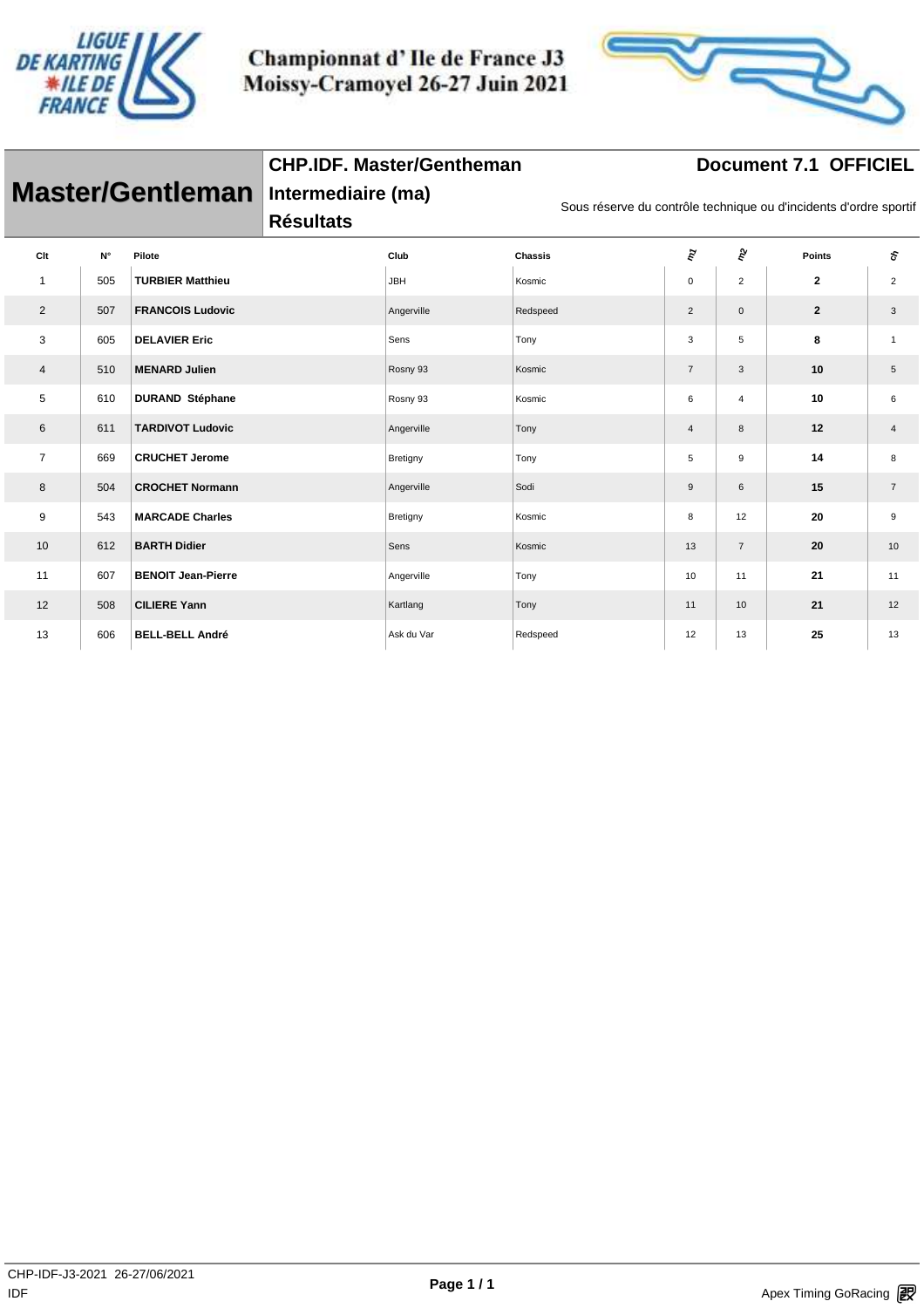

**CHP.IDF. Master/Gentheman**



## **Document 7.1 OFFICIEL**

| <b>Master/Gentleman</b> |             |                           | Intermediaire (ma)<br><b>Résultats</b> |            |                | Sous réserve du contrôle technique ou d'incidents d'ordre sportif |                     |               |                |  |  |
|-------------------------|-------------|---------------------------|----------------------------------------|------------|----------------|-------------------------------------------------------------------|---------------------|---------------|----------------|--|--|
| Clt                     | $N^{\circ}$ | Pilote                    |                                        | Club       | <b>Chassis</b> | ξų                                                                | $\hat{\varepsilon}$ | <b>Points</b> | s              |  |  |
| $\mathbf{1}$            | 505         | <b>TURBIER Matthieu</b>   |                                        | <b>JBH</b> | Kosmic         | $\mathbf 0$                                                       | $\overline{2}$      | $\mathbf{2}$  | $\overline{2}$ |  |  |
| 2                       | 507         | <b>FRANCOIS Ludovic</b>   |                                        | Angerville | Redspeed       | $\overline{c}$                                                    | $\mathsf{O}\xspace$ | $\mathbf{2}$  | 3              |  |  |
| 3                       | 605         | <b>DELAVIER Eric</b>      |                                        | Sens       | Tony           | 3                                                                 | 5                   | 8             | $\mathbf{1}$   |  |  |
| $\overline{4}$          | 510         | <b>MENARD Julien</b>      |                                        | Rosny 93   | Kosmic         | $\overline{7}$                                                    | 3                   | 10            | 5              |  |  |
| 5                       | 610         | <b>DURAND Stéphane</b>    |                                        | Rosny 93   | Kosmic         | 6                                                                 | $\overline{4}$      | 10            | 6              |  |  |
| 6                       | 611         | <b>TARDIVOT Ludovic</b>   |                                        | Angerville | Tony           | 4                                                                 | 8                   | 12            | 4              |  |  |
| $\overline{7}$          | 669         | <b>CRUCHET Jerome</b>     |                                        | Bretigny   | Tony           | 5                                                                 | 9                   | 14            | 8              |  |  |
| 8                       | 504         | <b>CROCHET Normann</b>    |                                        | Angerville | Sodi           | 9                                                                 | 6                   | 15            | $\overline{7}$ |  |  |
| 9                       | 543         | <b>MARCADE Charles</b>    |                                        | Bretigny   | Kosmic         | 8                                                                 | 12                  | 20            | 9              |  |  |
| 10                      | 612         | <b>BARTH Didier</b>       |                                        | Sens       | Kosmic         | 13                                                                | $\overline{7}$      | 20            | 10             |  |  |
| 11                      | 607         | <b>BENOIT Jean-Pierre</b> |                                        | Angerville | Tony           | 10                                                                | 11                  | 21            | 11             |  |  |
| 12                      | 508         | <b>CILIERE Yann</b>       |                                        | Kartlang   | Tony           | 11                                                                | 10                  | 21            | 12             |  |  |
| 13                      | 606         | <b>BELL-BELL André</b>    |                                        | Ask du Var | Redspeed       | 12                                                                | 13                  | 25            | 13             |  |  |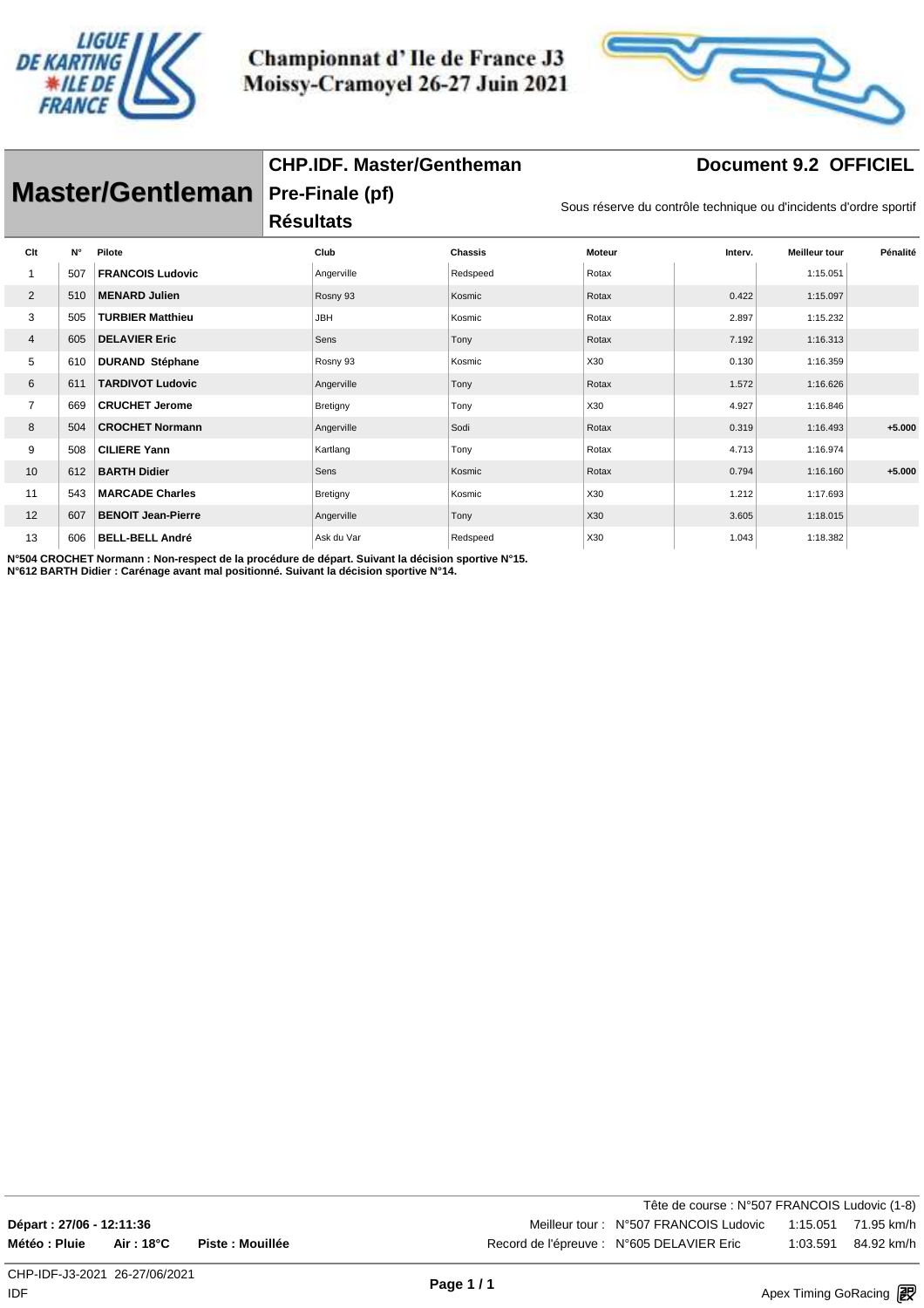

**CHP.IDF. Master/Gentheman**



#### **Document 9.2 OFFICIEL**

|                | Master/Gentleman |                           |                  | Pre-Finale (pf) |                |               |         |                                                                   |          |
|----------------|------------------|---------------------------|------------------|-----------------|----------------|---------------|---------|-------------------------------------------------------------------|----------|
|                |                  |                           | <b>Résultats</b> |                 |                |               |         | Sous réserve du contrôle technique ou d'incidents d'ordre sportif |          |
| Clt            | $N^{\circ}$      | Pilote                    |                  | Club            | <b>Chassis</b> | <b>Moteur</b> | Interv. | <b>Meilleur tour</b>                                              | Pénalité |
|                | 507              | <b>FRANCOIS Ludovic</b>   |                  | Angerville      | Redspeed       | Rotax         |         | 1:15.051                                                          |          |
| 2              | 510              | <b>MENARD Julien</b>      |                  | Rosny 93        | Kosmic         | Rotax         | 0.422   | 1:15.097                                                          |          |
| 3              | 505              | <b>TURBIER Matthieu</b>   |                  | <b>JBH</b>      | Kosmic         | Rotax         | 2.897   | 1:15.232                                                          |          |
| $\overline{4}$ | 605              | <b>DELAVIER Eric</b>      |                  | Sens            | Tony           | Rotax         | 7.192   | 1:16.313                                                          |          |
| 5              | 610              | <b>DURAND Stéphane</b>    |                  | Rosny 93        | Kosmic         | X30           | 0.130   | 1:16.359                                                          |          |
| 6              | 611              | <b>TARDIVOT Ludovic</b>   |                  | Angerville      | Tony           | Rotax         | 1.572   | 1:16.626                                                          |          |
| $\overline{7}$ | 669              | <b>CRUCHET Jerome</b>     |                  | Bretigny        | Tony           | X30           | 4.927   | 1:16.846                                                          |          |
| 8              | 504              | <b>CROCHET Normann</b>    |                  | Angerville      | Sodi           | Rotax         | 0.319   | 1:16.493                                                          | $+5.000$ |
| 9              | 508              | <b>CILIERE Yann</b>       |                  | Kartlang        | Tony           | Rotax         | 4.713   | 1:16.974                                                          |          |
| 10             | 612              | <b>BARTH Didier</b>       |                  | Sens            | Kosmic         | Rotax         | 0.794   | 1:16.160                                                          | $+5.000$ |
| 11             | 543              | <b>MARCADE Charles</b>    |                  | Bretigny        | Kosmic         | X30           | 1.212   | 1:17.693                                                          |          |
| 12             | 607              | <b>BENOIT Jean-Pierre</b> |                  | Angerville      | Tony           | X30           | 3.605   | 1:18.015                                                          |          |
| 13             | 606              | <b>BELL-BELL André</b>    |                  | Ask du Var      | Redspeed       | X30           | 1.043   | 1:18.382                                                          |          |
|                |                  |                           |                  |                 |                |               |         |                                                                   |          |

**N°504 CROCHET Normann : Non-respect de la procédure de départ. Suivant la décision sportive N°15.**

**N°612 BARTH Didier : Carénage avant mal positionné. Suivant la décision sportive N°14.**

Tête de course : N°507 FRANCOIS Ludovic (1-8) **Départ : 27/06 - 12:11:36** Meilleur tour : N°507 FRANCOIS Ludovic 1:15.051 71.95 km/h **Météo : Pluie Air : 18°C Piste : Mouillée** Record de l'épreuve : N°605 DELAVIER Eric 1:03.591 84.92 km/h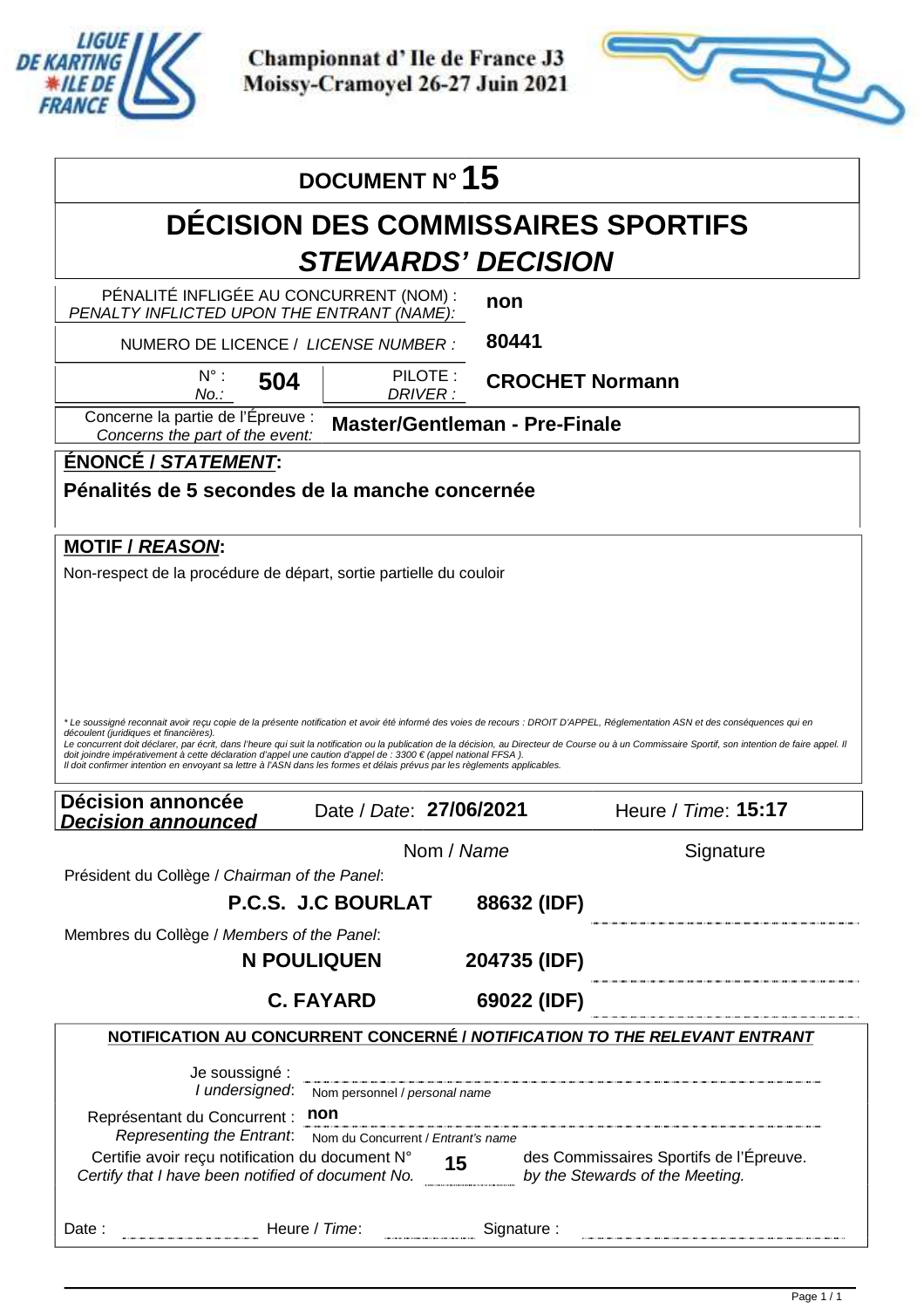

Apex Timing - timing solutions and services https://www.apex-timing.com/



|                                                                                                                                                                                                                                                                                                                                                                                                                                                                                               | DOCUMENT N° 15                                                             |                                      |                                                                                                                                                                                                                             |
|-----------------------------------------------------------------------------------------------------------------------------------------------------------------------------------------------------------------------------------------------------------------------------------------------------------------------------------------------------------------------------------------------------------------------------------------------------------------------------------------------|----------------------------------------------------------------------------|--------------------------------------|-----------------------------------------------------------------------------------------------------------------------------------------------------------------------------------------------------------------------------|
|                                                                                                                                                                                                                                                                                                                                                                                                                                                                                               | <b>DÉCISION DES COMMISSAIRES SPORTIFS</b>                                  |                                      |                                                                                                                                                                                                                             |
|                                                                                                                                                                                                                                                                                                                                                                                                                                                                                               | <b>STEWARDS' DECISION</b>                                                  |                                      |                                                                                                                                                                                                                             |
| PÉNALITÉ INFLIGÉE AU CONCURRENT (NOM) :<br>PENALTY INFLICTED UPON THE ENTRANT (NAME):                                                                                                                                                                                                                                                                                                                                                                                                         |                                                                            | non                                  |                                                                                                                                                                                                                             |
| NUMERO DE LICENCE / LICENSE NUMBER :                                                                                                                                                                                                                                                                                                                                                                                                                                                          |                                                                            | 80441                                |                                                                                                                                                                                                                             |
| $N^{\circ}$ :<br>504<br>No.:                                                                                                                                                                                                                                                                                                                                                                                                                                                                  | PILOTE:<br>DRIVER :                                                        | <b>CROCHET Normann</b>               |                                                                                                                                                                                                                             |
| Concerne la partie de l'Épreuve :<br>Concerns the part of the event:                                                                                                                                                                                                                                                                                                                                                                                                                          |                                                                            | <b>Master/Gentleman - Pre-Finale</b> |                                                                                                                                                                                                                             |
| ÉNONCÉ / STATEMENT:                                                                                                                                                                                                                                                                                                                                                                                                                                                                           |                                                                            |                                      |                                                                                                                                                                                                                             |
| Pénalités de 5 secondes de la manche concernée                                                                                                                                                                                                                                                                                                                                                                                                                                                |                                                                            |                                      |                                                                                                                                                                                                                             |
| <b>MOTIF / REASON:</b><br>Non-respect de la procédure de départ, sortie partielle du couloir                                                                                                                                                                                                                                                                                                                                                                                                  |                                                                            |                                      |                                                                                                                                                                                                                             |
|                                                                                                                                                                                                                                                                                                                                                                                                                                                                                               |                                                                            |                                      |                                                                                                                                                                                                                             |
| * Le soussigné reconnait avoir reçu copie de la présente notification et avoir été informé des voies de recours : DROIT D'APPEL, Réglementation ASN et des conséquences qui en<br>découlent (juridiques et financières).<br>doit ioindre impérativement à cette déclaration d'appel une caution d'appel de : 3300 € (appel national FFSA).<br>Il doit confirmer intention en envoyant sa lettre à l'ASN dans les formes et délais prévus par les règlements applicables.<br>Décision annoncée | Date / Date: 27/06/2021                                                    |                                      | Le concurrent doit déclarer, par écrit, dans l'heure qui suit la notification ou la publication de la décision, au Directeur de Course ou à un Commissaire Sportif, son intention de faire appel. Il<br>Heure / Time: 15:17 |
| <b>Decision announced</b>                                                                                                                                                                                                                                                                                                                                                                                                                                                                     |                                                                            | Nom / Name                           | Signature                                                                                                                                                                                                                   |
| Président du Collège / Chairman of the Panel:                                                                                                                                                                                                                                                                                                                                                                                                                                                 |                                                                            |                                      |                                                                                                                                                                                                                             |
|                                                                                                                                                                                                                                                                                                                                                                                                                                                                                               | P.C.S. J.C BOURLAT                                                         | 88632 (IDF)                          |                                                                                                                                                                                                                             |
| Membres du Collège / Members of the Panel:                                                                                                                                                                                                                                                                                                                                                                                                                                                    | <b>N POULIQUEN</b>                                                         | 204735 (IDF)                         |                                                                                                                                                                                                                             |
|                                                                                                                                                                                                                                                                                                                                                                                                                                                                                               | <b>C. FAYARD</b>                                                           | 69022 (IDF)                          |                                                                                                                                                                                                                             |
|                                                                                                                                                                                                                                                                                                                                                                                                                                                                                               |                                                                            |                                      | NOTIFICATION AU CONCURRENT CONCERNÉ / NOTIFICATION TO THE RELEVANT ENTRANT                                                                                                                                                  |
| Je soussigné :<br>I undersigned:<br>Représentant du Concurrent :<br>Representing the Entrant.                                                                                                                                                                                                                                                                                                                                                                                                 | Nom personnel / personal name<br>non<br>Nom du Concurrent / Entrant's name |                                      |                                                                                                                                                                                                                             |
| Certifie avoir reçu notification du document N°<br>Certifie avoir reçu notification du document $N^{\circ}$ 15<br>Certify that I have been notified of document No.                                                                                                                                                                                                                                                                                                                           |                                                                            |                                      | des Commissaires Sportifs de l'Épreuve.<br>by the Stewards of the Meeting.                                                                                                                                                  |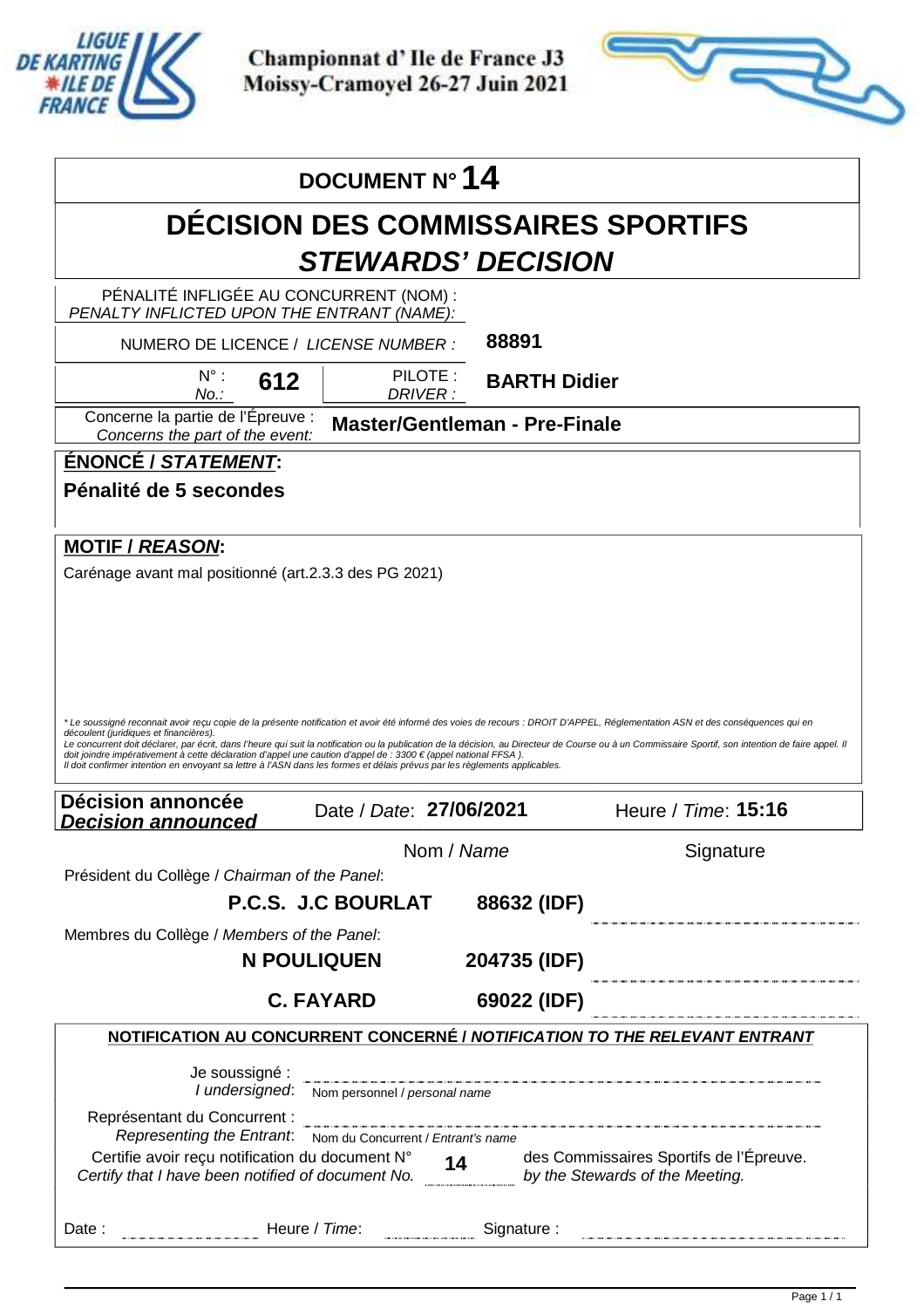

Apex Timing - timing solutions and services https://www.apex-timing.com/



|                                                                                                                                                                                                                                              | DOCUMENT N° 14                               |                                                                                                                     |                                                                                                                                                                                                      |  |
|----------------------------------------------------------------------------------------------------------------------------------------------------------------------------------------------------------------------------------------------|----------------------------------------------|---------------------------------------------------------------------------------------------------------------------|------------------------------------------------------------------------------------------------------------------------------------------------------------------------------------------------------|--|
|                                                                                                                                                                                                                                              |                                              |                                                                                                                     | <b>DECISION DES COMMISSAIRES SPORTIFS</b>                                                                                                                                                            |  |
|                                                                                                                                                                                                                                              |                                              | <b>STEWARDS' DECISION</b>                                                                                           |                                                                                                                                                                                                      |  |
| PÉNALITÉ INFLIGÉE AU CONCURRENT (NOM) :                                                                                                                                                                                                      |                                              |                                                                                                                     |                                                                                                                                                                                                      |  |
| PENALTY INFLICTED UPON THE ENTRANT (NAME):<br>NUMERO DE LICENCE / LICENSE NUMBER :                                                                                                                                                           |                                              | 88891                                                                                                               |                                                                                                                                                                                                      |  |
| $N^{\circ}$ :<br>612<br>No.:                                                                                                                                                                                                                 |                                              | PILOTE:<br><b>BARTH Didier</b><br>DRIVER:                                                                           |                                                                                                                                                                                                      |  |
| Concerne la partie de l'Épreuve :<br>Concerns the part of the event:                                                                                                                                                                         |                                              | <b>Master/Gentleman - Pre-Finale</b>                                                                                |                                                                                                                                                                                                      |  |
| <u>ÉNONCÉ / STATEMENT:</u>                                                                                                                                                                                                                   |                                              |                                                                                                                     |                                                                                                                                                                                                      |  |
| Pénalité de 5 secondes                                                                                                                                                                                                                       |                                              |                                                                                                                     |                                                                                                                                                                                                      |  |
|                                                                                                                                                                                                                                              |                                              |                                                                                                                     |                                                                                                                                                                                                      |  |
| <b>MOTIF / REASON:</b>                                                                                                                                                                                                                       |                                              |                                                                                                                     |                                                                                                                                                                                                      |  |
| Carénage avant mal positionné (art.2.3.3 des PG 2021)                                                                                                                                                                                        |                                              |                                                                                                                     |                                                                                                                                                                                                      |  |
|                                                                                                                                                                                                                                              |                                              |                                                                                                                     |                                                                                                                                                                                                      |  |
|                                                                                                                                                                                                                                              |                                              |                                                                                                                     |                                                                                                                                                                                                      |  |
|                                                                                                                                                                                                                                              |                                              |                                                                                                                     |                                                                                                                                                                                                      |  |
|                                                                                                                                                                                                                                              |                                              |                                                                                                                     |                                                                                                                                                                                                      |  |
|                                                                                                                                                                                                                                              |                                              |                                                                                                                     |                                                                                                                                                                                                      |  |
|                                                                                                                                                                                                                                              |                                              |                                                                                                                     |                                                                                                                                                                                                      |  |
|                                                                                                                                                                                                                                              |                                              |                                                                                                                     | *Le soussigné reconnait avoir reçu copie de la présente notification et avoir été informé des voies de recours : DROIT D'APPEL, Réglementation ASN et des conséquences qui en                        |  |
| découlent (juridiques et financières).                                                                                                                                                                                                       |                                              |                                                                                                                     | Le concurrent doit déclarer, par écrit, dans l'heure qui suit la notification ou la publication de la décision, au Directeur de Course ou à un Commissaire Sportif, son intention de faire appel. Il |  |
| doit joindre impérativement à cette déclaration d'appel une caution d'appel de : 3300 € (appel national FFSA).<br>Il doit confirmer intention en envoyant sa lettre à l'ASN dans les formes et délais prévus par les règlements applicables. |                                              |                                                                                                                     |                                                                                                                                                                                                      |  |
|                                                                                                                                                                                                                                              |                                              |                                                                                                                     |                                                                                                                                                                                                      |  |
| Décision annoncée<br><u>Decision announced</u>                                                                                                                                                                                               |                                              | Date / Date: 27/06/2021                                                                                             | Heure / Time: 15:16                                                                                                                                                                                  |  |
|                                                                                                                                                                                                                                              |                                              | Nom / Name                                                                                                          | Signature                                                                                                                                                                                            |  |
| Président du Collège / Chairman of the Panel:                                                                                                                                                                                                |                                              |                                                                                                                     |                                                                                                                                                                                                      |  |
|                                                                                                                                                                                                                                              | P.C.S. J.C BOURLAT                           |                                                                                                                     |                                                                                                                                                                                                      |  |
|                                                                                                                                                                                                                                              |                                              | 88632 (IDF)                                                                                                         |                                                                                                                                                                                                      |  |
| Membres du Collège / Members of the Panel:                                                                                                                                                                                                   |                                              |                                                                                                                     |                                                                                                                                                                                                      |  |
|                                                                                                                                                                                                                                              | <b>N POULIQUEN</b>                           | 204735 (IDF)                                                                                                        |                                                                                                                                                                                                      |  |
|                                                                                                                                                                                                                                              | <b>C. FAYARD</b>                             | 69022 (IDF)                                                                                                         |                                                                                                                                                                                                      |  |
|                                                                                                                                                                                                                                              |                                              |                                                                                                                     | NOTIFICATION AU CONCURRENT CONCERNÉ / NOTIFICATION TO THE RELEVANT ENTRANT                                                                                                                           |  |
|                                                                                                                                                                                                                                              |                                              |                                                                                                                     |                                                                                                                                                                                                      |  |
| Je soussigné :                                                                                                                                                                                                                               |                                              |                                                                                                                     |                                                                                                                                                                                                      |  |
|                                                                                                                                                                                                                                              | I undersigned: Nom personnel / personal name |                                                                                                                     |                                                                                                                                                                                                      |  |
| Représentant du Concurrent :<br>Representing the Entrant: Nom du Concurrent / Entrant's name                                                                                                                                                 |                                              | .<br>In the mean the mean the mean of the collection of the mean the mean the mean the mean the mean the mean the m |                                                                                                                                                                                                      |  |
|                                                                                                                                                                                                                                              |                                              |                                                                                                                     | des Commissaires Sportifs de l'Épreuve.                                                                                                                                                              |  |
| Certifie avoir reçu notification du document N° 14 des Commissaires Sportifs de l'I<br>Certify that I have been notified of document No. by the Stewards of the Meeting.                                                                     |                                              |                                                                                                                     |                                                                                                                                                                                                      |  |
| Example 20 Heure / Time: Signature :                                                                                                                                                                                                         |                                              |                                                                                                                     |                                                                                                                                                                                                      |  |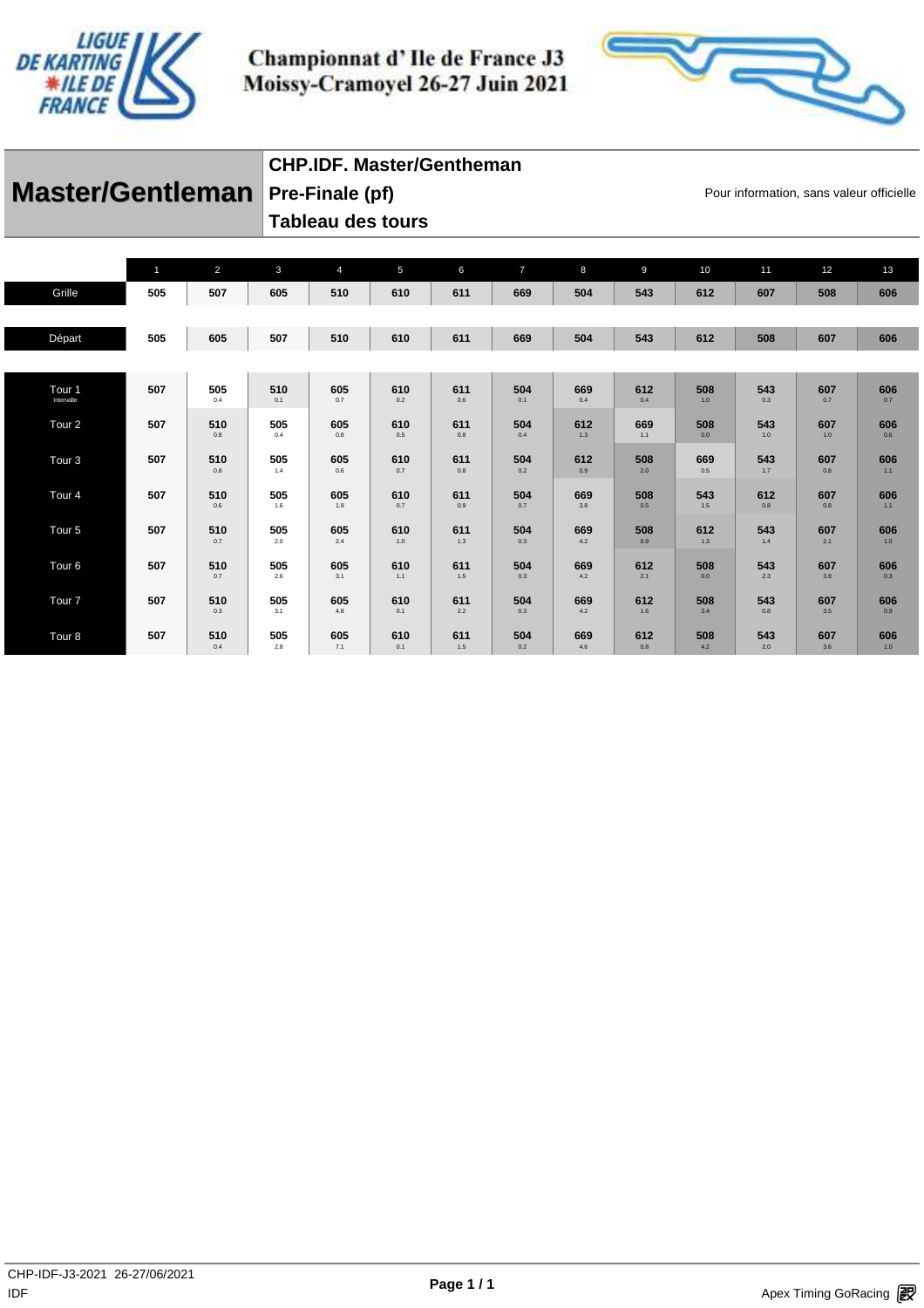



|                                         | CHP.IDF. Master/Gentheman |                                          |
|-----------------------------------------|---------------------------|------------------------------------------|
| <b>Master/Gentleman</b> Pre-Finale (pf) |                           | Pour information, sans valeur officielle |
|                                         | Tableau des tours         |                                          |

|                   | $\mathbf{1}$ | $\overline{2}$ | $\mathbf{3}$ | $\overline{4}$ | 5          | 6          | $\overline{7}$ | 8          | $\overline{9}$ | 10         | 11         | 12         | 13         |
|-------------------|--------------|----------------|--------------|----------------|------------|------------|----------------|------------|----------------|------------|------------|------------|------------|
| Grille            | 505          | 507            | 605          | 510            | 610        | 611        | 669            | 504        | 543            | 612        | 607        | 508        | 606        |
|                   |              |                |              |                |            |            |                |            |                |            |            |            |            |
| Départ            | 505          | 605            | 507          | 510            | 610        | 611        | 669            | 504        | 543            | 612        | 508        | 607        | 606        |
|                   |              |                |              |                |            |            |                |            |                |            |            |            |            |
| Tour 1            | 507          | 505            | 510          | 605            | 610        | 611        | 504            | 669        | 612            | 508        | 543        | 607        | 606        |
| Intervalle        |              | 0.4            | 0.1          | 0.7            | 0.2        | 0.6        | 0.1            | 0.4        | 0.4            | 1.0        | 0.3        | 0.7        | 0.7        |
| Tour <sub>2</sub> | 507          | 510<br>0.8     | 505<br>0.4   | 605<br>0.8     | 610<br>0.5 | 611<br>0.8 | 504<br>0.4     | 612<br>1.3 | 669<br>1.1     | 508<br>0.0 | 543<br>1.0 | 607<br>1.0 | 606<br>0.6 |
|                   |              |                |              |                |            |            |                |            |                |            |            |            |            |
| Tour <sub>3</sub> | 507          | 510<br>0.8     | 505<br>1.4   | 605<br>0.6     | 610<br>0.7 | 611<br>0.8 | 504<br>0.2     | 612<br>0.9 | 508<br>2.0     | 669<br>0.5 | 543<br>1.7 | 607<br>0.8 | 606<br>1.1 |
| Tour <sub>4</sub> | 507          | 510            | 505          | 605            | 610        | 611        | 504            | 669        | 508            | 543        | 612        | 607        | 606        |
|                   |              | 0.6            | 1.6          | 1.9            | 0.7        | 0.9        | 0.7            | 3.8        | 0.5            | 1.5        | 0.8        | 0.8        | 1.1        |
| Tour <sub>5</sub> | 507          | 510<br>0.7     | 505<br>2.0   | 605<br>2.4     | 610<br>1.0 | 611<br>1.3 | 504<br>0.3     | 669<br>4.2 | 508<br>0.9     | 612<br>1.3 | 543<br>1.4 | 607<br>2.1 | 606<br>1.0 |
|                   |              |                |              |                |            |            |                |            |                |            |            |            |            |
| Tour <sub>6</sub> | 507          | 510<br>0.7     | 505<br>2.6   | 605<br>3.1     | 610<br>1.1 | 611<br>1.5 | 504<br>0.3     | 669<br>4.2 | 612<br>2.1     | 508<br>0.0 | 543<br>2.3 | 607<br>3.8 | 606<br>0.3 |
| Tour <sub>7</sub> | 507          | 510            | 505          | 605            | 610        | 611        | 504            | 669        | 612            | 508        | 543        | 607        | 606        |
|                   |              | 0.3            | 3.1          | 4.8            | 0.1        | 2.2        | 0.3            | 4.2        | 1.6            | 3.4        | 0.8        | 3.5        | 0.9        |
| Tour 8            | 507          | 510<br>0.4     | 505<br>2.8   | 605<br>7.1     | 610<br>0.1 | 611<br>1.5 | 504<br>0.2     | 669<br>4.6 | 612<br>0.8     | 508<br>4.2 | 543<br>2.0 | 607<br>3.6 | 606<br>1.0 |
|                   |              |                |              |                |            |            |                |            |                |            |            |            |            |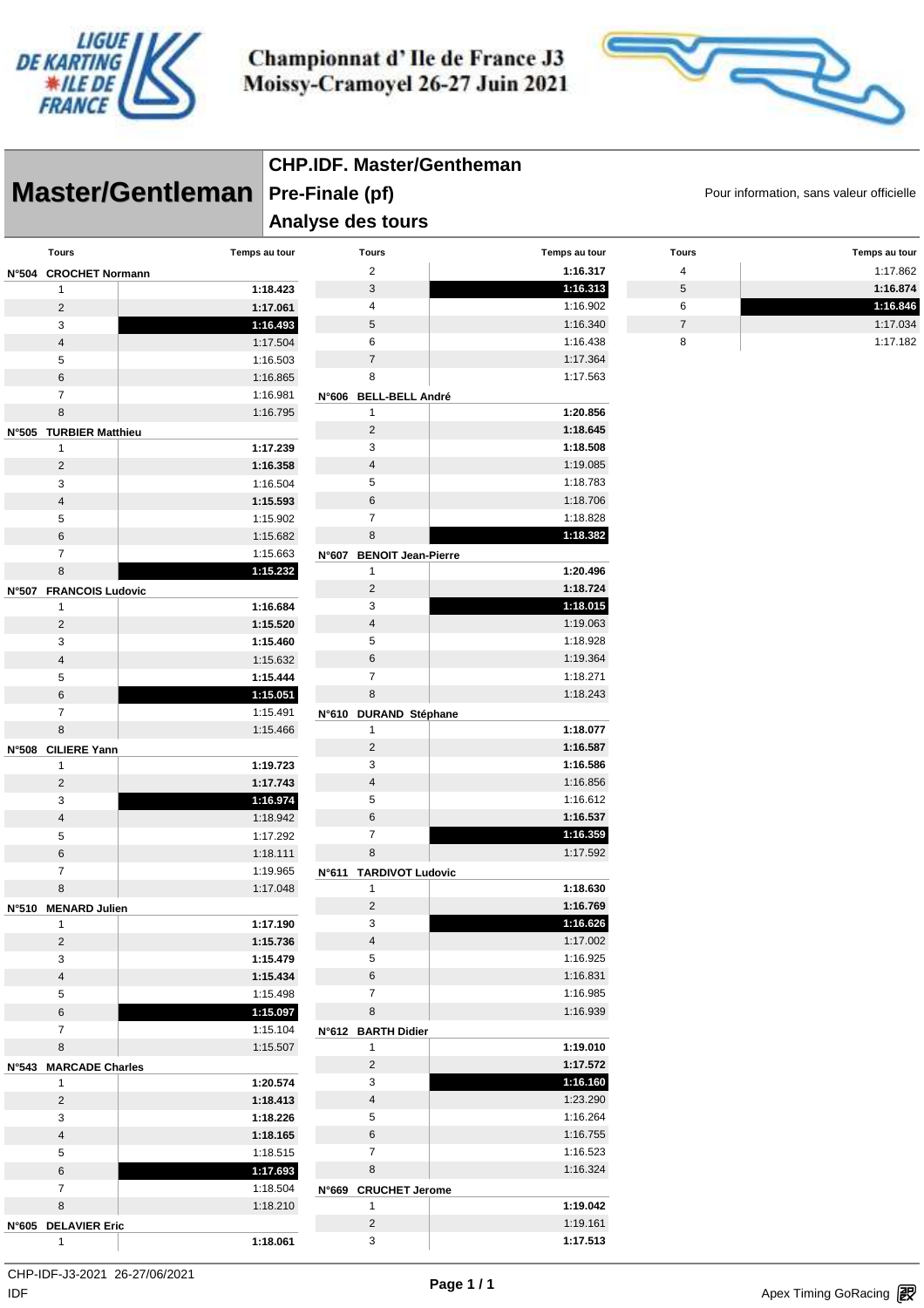



|                                  |                      | <b>CHP.IDF. Master/Gentheman</b>         |                      |                |               |  |  |  |  |  |
|----------------------------------|----------------------|------------------------------------------|----------------------|----------------|---------------|--|--|--|--|--|
| Master/Gentleman Pre-Finale (pf) |                      | Pour information, sans valeur officielle |                      |                |               |  |  |  |  |  |
|                                  |                      | Analyse des tours                        |                      |                |               |  |  |  |  |  |
| <b>Tours</b>                     | Temps au tour        | <b>Tours</b>                             | Temps au tour        | <b>Tours</b>   | Temps au tour |  |  |  |  |  |
| N°504 CROCHET Normann            |                      | $\overline{2}$                           | 1:16.317             | 4              | 1:17.862      |  |  |  |  |  |
| 1                                | 1:18.423             | $\sqrt{3}$                               | 1:16.313             | $\sqrt{5}$     | 1:16.874      |  |  |  |  |  |
| $\overline{c}$                   | 1:17.061             | 4                                        | 1:16.902             | 6              | 1:16.846      |  |  |  |  |  |
| 3                                | 1:16.493             | $\sqrt{5}$                               | 1:16.340             | $\overline{7}$ | 1:17.034      |  |  |  |  |  |
| $\overline{4}$                   | 1:17.504             | 6                                        | 1:16.438             | 8              | 1:17.182      |  |  |  |  |  |
| 5                                | 1:16.503             | $\overline{7}$                           | 1:17.364             |                |               |  |  |  |  |  |
| $\,6\,$                          | 1:16.865             | 8                                        | 1:17.563             |                |               |  |  |  |  |  |
| $\overline{7}$<br>$\bf 8$        | 1:16.981             | N°606 BELL-BELL André                    |                      |                |               |  |  |  |  |  |
|                                  | 1:16.795             | $\mathbf{1}$<br>$\overline{2}$           | 1:20.856<br>1:18.645 |                |               |  |  |  |  |  |
| N°505 TURBIER Matthieu           | 1:17.239             | 3                                        | 1:18.508             |                |               |  |  |  |  |  |
| $\mathbf{1}$<br>$\overline{c}$   | 1:16.358             | $\overline{4}$                           | 1:19.085             |                |               |  |  |  |  |  |
| 3                                | 1:16.504             | 5                                        | 1:18.783             |                |               |  |  |  |  |  |
| 4                                | 1:15.593             | $\,6$                                    | 1:18.706             |                |               |  |  |  |  |  |
| 5                                | 1:15.902             | $\overline{7}$                           | 1:18.828             |                |               |  |  |  |  |  |
| $\,6\,$                          | 1:15.682             | 8                                        | 1:18.382             |                |               |  |  |  |  |  |
| $\overline{7}$                   | 1:15.663             | N°607 BENOIT Jean-Pierre                 |                      |                |               |  |  |  |  |  |
| 8                                | 1:15.232             | $\mathbf{1}$                             | 1:20.496             |                |               |  |  |  |  |  |
| N°507 FRANCOIS Ludovic           |                      | $\overline{2}$                           | 1:18.724             |                |               |  |  |  |  |  |
| 1                                | 1:16.684             | 3                                        | 1:18.015             |                |               |  |  |  |  |  |
| $\overline{c}$                   | 1:15.520             | $\overline{4}$                           | 1:19.063             |                |               |  |  |  |  |  |
| 3                                | 1:15.460             | 5                                        | 1:18.928             |                |               |  |  |  |  |  |
| $\overline{4}$                   | 1:15.632             | $\,6$                                    | 1:19.364             |                |               |  |  |  |  |  |
| 5                                | 1:15.444             | $\overline{7}$                           | 1:18.271             |                |               |  |  |  |  |  |
| $\,6\,$                          | 1:15.051             | 8                                        | 1:18.243             |                |               |  |  |  |  |  |
| $\overline{7}$                   | 1:15.491             | N°610 DURAND Stéphane                    |                      |                |               |  |  |  |  |  |
| 8                                | 1:15.466             | $\mathbf{1}$                             | 1:18.077             |                |               |  |  |  |  |  |
| N°508 CILIERE Yann               |                      | $\overline{2}$                           | 1:16.587             |                |               |  |  |  |  |  |
| $\mathbf{1}$                     | 1:19.723             | 3                                        | 1:16.586             |                |               |  |  |  |  |  |
| $\overline{2}$                   | 1:17.743             | $\overline{4}$                           | 1:16.856             |                |               |  |  |  |  |  |
| 3                                | 1:16.974             | 5                                        | 1:16.612             |                |               |  |  |  |  |  |
| $\overline{4}$                   | 1:18.942             | $\,6$                                    | 1:16.537             |                |               |  |  |  |  |  |
| 5                                | 1:17.292             | $\overline{7}$                           | 1:16.359             |                |               |  |  |  |  |  |
| 6                                | 1:18.111             | 8                                        | 1:17.592             |                |               |  |  |  |  |  |
| $\overline{7}$                   | 1:19.965             | N°611 TARDIVOT Ludovic                   |                      |                |               |  |  |  |  |  |
| 8                                | 1:17.048             | $\mathbf{1}$                             | 1:18.630             |                |               |  |  |  |  |  |
| N°510 MENARD Julien              |                      | $\overline{2}$<br>3                      | 1:16.769<br>1:16.626 |                |               |  |  |  |  |  |
| $\mathbf{1}$<br>$\overline{2}$   | 1:17.190<br>1:15.736 | $\overline{4}$                           | 1:17.002             |                |               |  |  |  |  |  |
| 3                                | 1:15.479             | 5                                        | 1:16.925             |                |               |  |  |  |  |  |
| $\overline{4}$                   | 1:15.434             | $\,6$                                    | 1:16.831             |                |               |  |  |  |  |  |
| 5                                | 1:15.498             | $\overline{7}$                           | 1:16.985             |                |               |  |  |  |  |  |
| 6                                | 1:15.097             | $\,$ 8 $\,$                              | 1:16.939             |                |               |  |  |  |  |  |
| $\overline{7}$                   | 1:15.104             | N°612 BARTH Didier                       |                      |                |               |  |  |  |  |  |
| 8                                | 1:15.507             | $\mathbf{1}$                             | 1:19.010             |                |               |  |  |  |  |  |
| N°543 MARCADE Charles            |                      | $\overline{c}$                           | 1:17.572             |                |               |  |  |  |  |  |
| $\mathbf{1}$                     | 1:20.574             | 3                                        | 1:16.160             |                |               |  |  |  |  |  |
| $\overline{2}$                   | 1:18.413             | $\overline{\mathbf{4}}$                  | 1:23.290             |                |               |  |  |  |  |  |
| 3                                | 1:18.226             | 5                                        | 1:16.264             |                |               |  |  |  |  |  |
| $\overline{4}$                   | 1:18.165             | $\,6$                                    | 1:16.755             |                |               |  |  |  |  |  |
| 5                                | 1:18.515             | $\overline{7}$                           | 1:16.523             |                |               |  |  |  |  |  |
| 6                                | 1:17.693             | $\bf 8$                                  | 1:16.324             |                |               |  |  |  |  |  |
| $\overline{7}$                   | 1:18.504             | N°669 CRUCHET Jerome                     |                      |                |               |  |  |  |  |  |
| 8                                | 1:18.210             | $\mathbf{1}$                             | 1:19.042             |                |               |  |  |  |  |  |
| N°605 DELAVIER Eric              |                      | $\overline{2}$                           | 1:19.161             |                |               |  |  |  |  |  |
| $\mathbf{1}$                     | 1:18.061             | 3                                        | 1:17.513             |                |               |  |  |  |  |  |

 $\mathsf{IDF}$ CHP-IDF-J3-2021 26-27/06/2021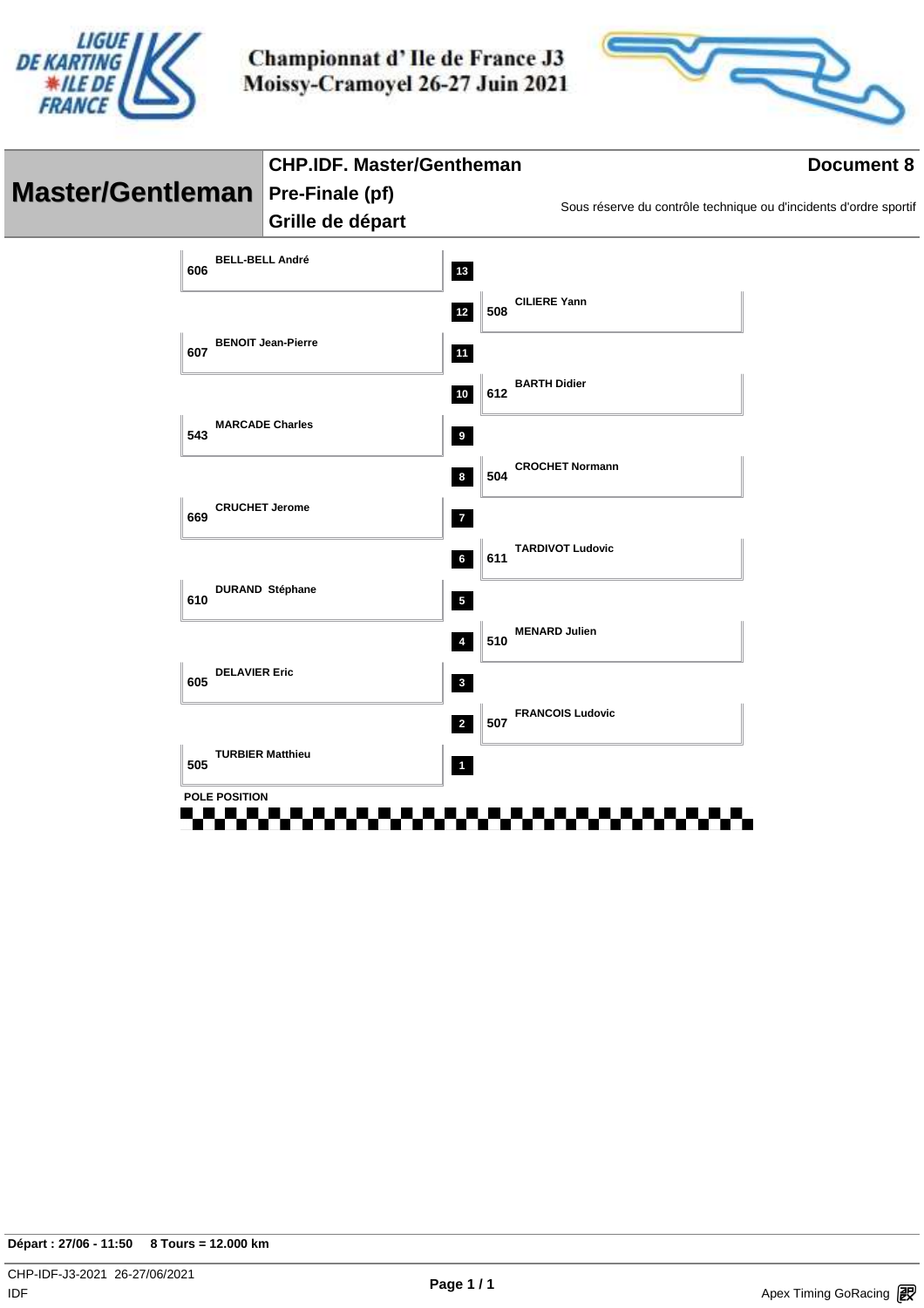



|                                         | <b>CHP.IDF. Master/Gentheman</b> |                                                           | <b>Document 8</b>                                                 |
|-----------------------------------------|----------------------------------|-----------------------------------------------------------|-------------------------------------------------------------------|
| <b>Master/Gentleman</b> Pre-Finale (pf) |                                  |                                                           | Sous réserve du contrôle technique ou d'incidents d'ordre sportif |
|                                         | Grille de départ                 |                                                           |                                                                   |
| 606                                     | <b>BELL-BELL André</b>           | 13                                                        |                                                                   |
|                                         |                                  | <b>CILIERE Yann</b><br>508<br>$12$                        |                                                                   |
| 607                                     | <b>BENOIT Jean-Pierre</b>        | <b>11</b>                                                 |                                                                   |
|                                         |                                  | <b>BARTH Didier</b><br>612<br>$10$                        |                                                                   |
| 543                                     | <b>MARCADE Charles</b>           | $\overline{\mathbf{9}}$                                   |                                                                   |
|                                         |                                  | <b>CROCHET Normann</b><br>504<br>$\bf8$                   |                                                                   |
| 669                                     | <b>CRUCHET Jerome</b>            | $\overline{7}$                                            |                                                                   |
|                                         |                                  | <b>TARDIVOT Ludovic</b><br>$\bf 6$<br>611                 |                                                                   |
| 610                                     | <b>DURAND Stéphane</b>           | $\sqrt{5}$                                                |                                                                   |
|                                         |                                  | <b>MENARD Julien</b><br>510<br>$\overline{4}$             |                                                                   |
| 605                                     | <b>DELAVIER Eric</b>             | $\mathbf{3}$                                              |                                                                   |
|                                         |                                  | <b>FRANCOIS Ludovic</b><br>507<br>$\overline{\mathbf{2}}$ |                                                                   |
| 505                                     | <b>TURBIER Matthieu</b>          | $\blacksquare$                                            |                                                                   |
|                                         | <b>POLE POSITION</b>             |                                                           |                                                                   |
|                                         |                                  |                                                           |                                                                   |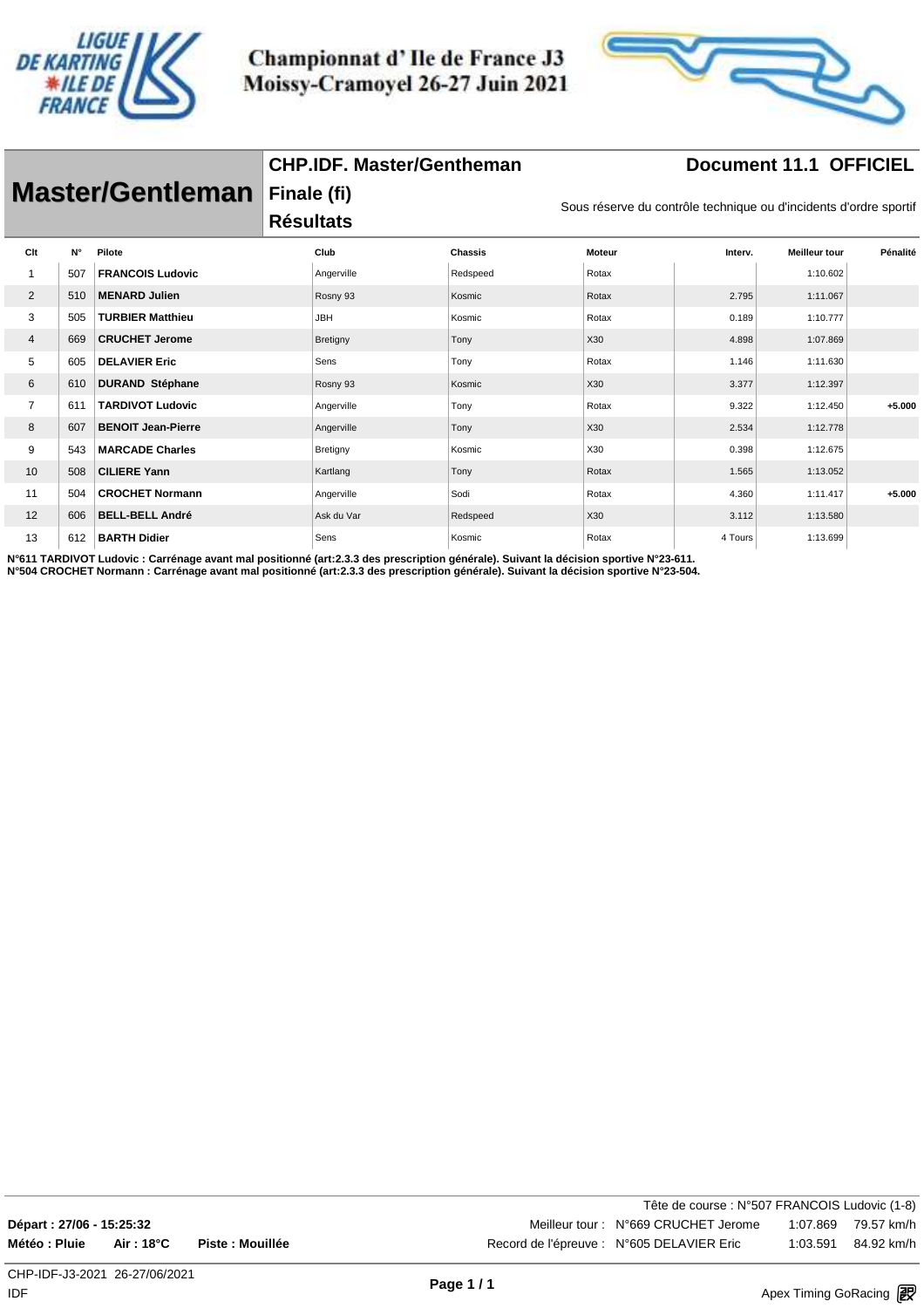

**CHP.IDF. Master/Gentheman**



#### **Document 11.1 OFFICIEL**

|                | <b>Master/Gentleman</b> |                           |                  | Finale (fi)<br>Sous réserve du contrôle technique ou d'incidents d'ordre sportif |                |                 |         |                      |          |  |  |
|----------------|-------------------------|---------------------------|------------------|----------------------------------------------------------------------------------|----------------|-----------------|---------|----------------------|----------|--|--|
|                |                         |                           | <b>Résultats</b> |                                                                                  |                |                 |         |                      |          |  |  |
| Clt            | $N^{\circ}$             | Pilote                    |                  | Club                                                                             | <b>Chassis</b> | <b>Moteur</b>   | Interv. | <b>Meilleur tour</b> | Pénalité |  |  |
|                | 507                     | <b>FRANCOIS Ludovic</b>   |                  | Angerville                                                                       | Redspeed       | Rotax           |         | 1:10.602             |          |  |  |
| 2              | 510                     | <b>MENARD Julien</b>      |                  | Rosny 93                                                                         | Kosmic         | Rotax           | 2.795   | 1:11.067             |          |  |  |
| 3              | 505                     | <b>TURBIER Matthieu</b>   |                  | <b>JBH</b>                                                                       | Kosmic         | Rotax           | 0.189   | 1:10.777             |          |  |  |
| 4              | 669                     | <b>CRUCHET Jerome</b>     |                  | Bretigny                                                                         | Tony           | X <sub>30</sub> | 4.898   | 1:07.869             |          |  |  |
| 5              | 605                     | <b>DELAVIER Eric</b>      |                  | Sens                                                                             | Tony           | Rotax           | 1.146   | 1:11.630             |          |  |  |
| 6              | 610                     | <b>DURAND Stéphane</b>    |                  | Rosny 93                                                                         | Kosmic         | X30             | 3.377   | 1:12.397             |          |  |  |
| $\overline{7}$ | 611                     | <b>TARDIVOT Ludovic</b>   |                  | Angerville                                                                       | Tony           | Rotax           | 9.322   | 1:12.450             | $+5.000$ |  |  |
| 8              | 607                     | <b>BENOIT Jean-Pierre</b> |                  | Angerville                                                                       | Tony           | X30             | 2.534   | 1:12.778             |          |  |  |
| 9              | 543                     | <b>MARCADE Charles</b>    |                  | Bretigny                                                                         | Kosmic         | X30             | 0.398   | 1:12.675             |          |  |  |
| 10             | 508                     | <b>CILIERE Yann</b>       |                  | Kartlang                                                                         | Tony           | Rotax           | 1.565   | 1:13.052             |          |  |  |
| 11             | 504                     | <b>CROCHET Normann</b>    |                  | Angerville                                                                       | Sodi           | Rotax           | 4.360   | 1:11.417             | $+5.000$ |  |  |
| 12             | 606                     | <b>BELL-BELL André</b>    |                  | Ask du Var                                                                       | Redspeed       | X30             | 3.112   | 1:13.580             |          |  |  |
| 13             | 612                     | <b>BARTH Didier</b>       |                  | Sens                                                                             | Kosmic         | Rotax           | 4 Tours | 1:13.699             |          |  |  |

**N°611 TARDIVOT Ludovic : Carrénage avant mal positionné (art:2.3.3 des prescription générale). Suivant la décision sportive N°23-611. N°504 CROCHET Normann : Carrénage avant mal positionné (art:2.3.3 des prescription générale). Suivant la décision sportive N°23-504.**

Tête de course : N°507 FRANCOIS Ludovic (1-8) **Départ : 27/06 - 15:25:32** Meilleur tour : N°669 CRUCHET Jerome 1:07.869 79.57 km/h **Météo : Pluie Air : 18°C Piste : Mouillée** Record de l'épreuve : N°605 DELAVIER Eric 1:03.591 84.92 km/h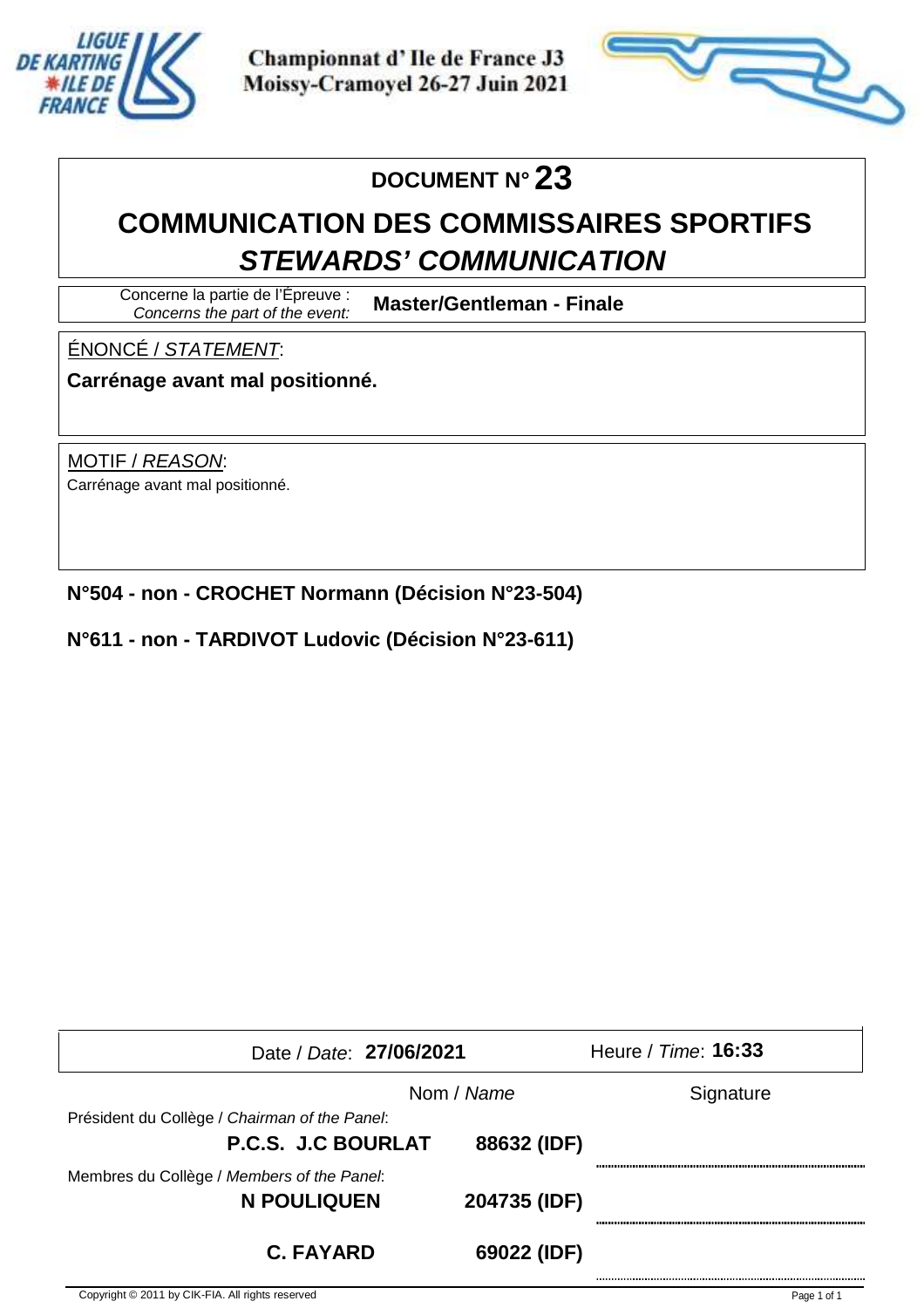



# **DOCUMENT N° 23**

# **COMMUNICATION DES COMMISSAIRES SPORTIFS STEWARDS' COMMUNICATION**

Concerne la partie de l'Épreuve : Concerns the part of the event:

**Master/Gentleman - Finale**

#### ÉNONCÉ / STATEMENT:

**Carrénage avant mal positionné.**

MOTIF / REASON: Carrénage avant mal positionné.

**N°504 - non - CROCHET Normann (Décision N°23-504)**

#### **N°611 - non - TARDIVOT Ludovic (Décision N°23-611)**

| Date / Date: 27/06/2021                       |              | Heure / Time: <b>16:33</b> |  |  |  |  |  |
|-----------------------------------------------|--------------|----------------------------|--|--|--|--|--|
|                                               | Nom / Name   | Signature                  |  |  |  |  |  |
| Président du Collège / Chairman of the Panel: |              |                            |  |  |  |  |  |
| <b>P.C.S. J.C BOURLAT</b>                     | 88632 (IDF)  |                            |  |  |  |  |  |
| Membres du Collège / Members of the Panel:    |              |                            |  |  |  |  |  |
| N POULIQUEN                                   | 204735 (IDF) |                            |  |  |  |  |  |
| <b>C. FAYARD</b>                              | 69022 (IDF)  |                            |  |  |  |  |  |

Copyright © 2011 by CIK-FIA. All rights reserved in the service of the services https://www.apex-timing.com/ Page 1 of 1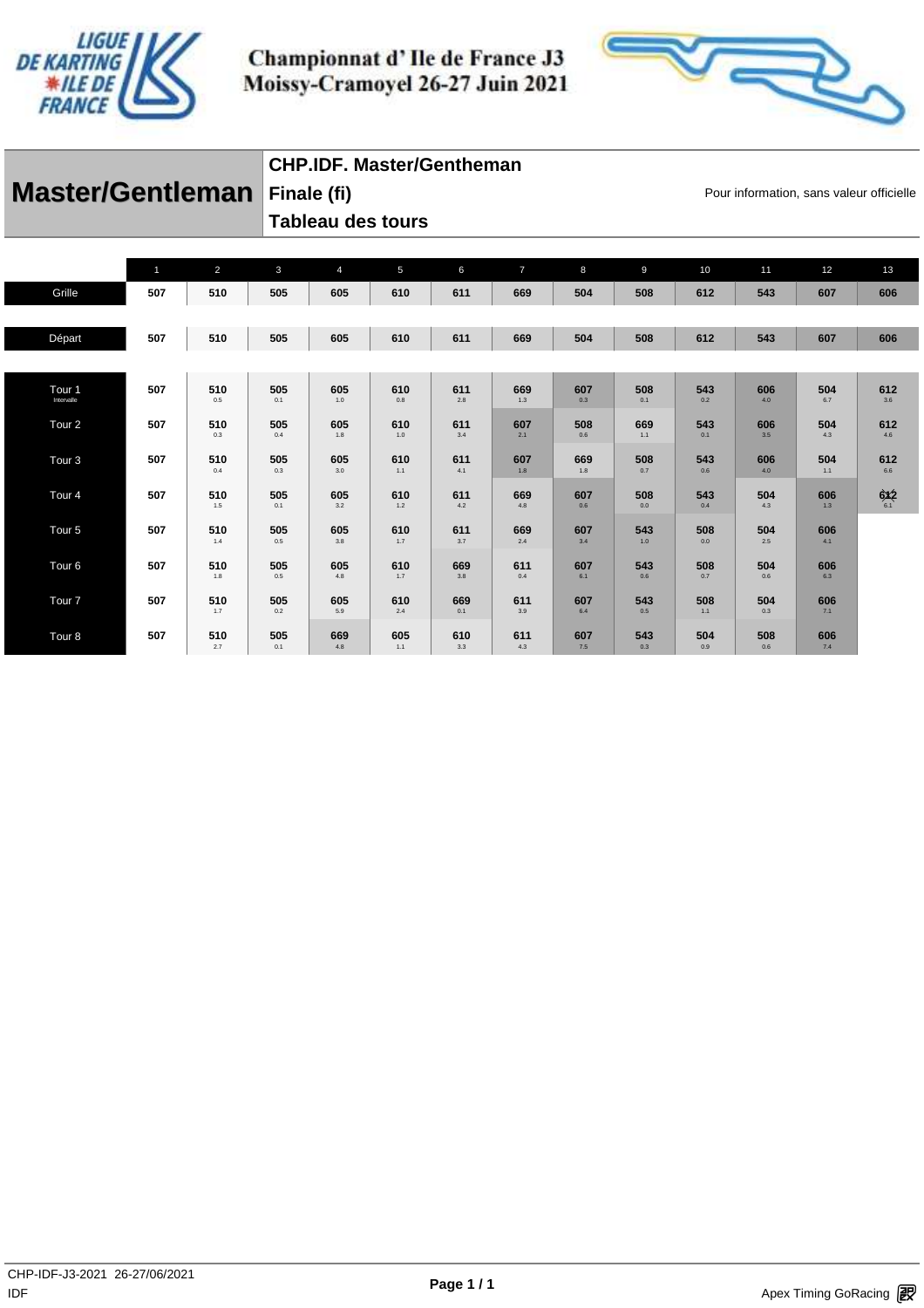



# **Master/Gentleman** Finale (fi) **Exercise Equation** Pour information, sans valeur officielle

#### **CHP.IDF. Master/Gentheman**

**Tableau des tours** 

**Finale (fi)**

|                                 | $\mathbf{1}$ | $\overline{2}$ | $\mathbf{3}$   | $\overline{4}$ | $5\phantom{.0}$ | 6          | $\overline{7}$ | 8          | 9          | 10         | 11             | 12         | 13             |
|---------------------------------|--------------|----------------|----------------|----------------|-----------------|------------|----------------|------------|------------|------------|----------------|------------|----------------|
| Grille                          | 507          | 510            | 505            | 605            | 610             | 611        | 669            | 504        | 508        | 612        | 543            | 607        | 606            |
|                                 |              |                |                |                |                 |            |                |            |            |            |                |            |                |
| Départ                          | 507          | 510            | 505            | 605            | 610             | 611        | 669            | 504        | 508        | 612        | 543            | 607        | 606            |
|                                 |              |                |                |                |                 |            |                |            |            |            |                |            |                |
| Tour <sub>1</sub><br>Intervalle | 507          | 510<br>0.5     | 505<br>0.1     | 605<br>$1.0$   | 610<br>0.8      | 611<br>2.8 | 669<br>1.3     | 607<br>0.3 | 508<br>0.1 | 543<br>0.2 | 606<br>4.0     | 504<br>6.7 | 612<br>$3.6\,$ |
| Tour <sub>2</sub>               | 507          | 510<br>0.3     | 505<br>0.4     | 605<br>1.8     | 610<br>$1.0\,$  | 611<br>3.4 | 607<br>2.1     | 508<br>0.6 | 669<br>1.1 | 543<br>0.1 | 606<br>3.5     | 504<br>4.3 | 612<br>4.6     |
| Tour <sub>3</sub>               | 507          | 510<br>0.4     | 505<br>$0.3\,$ | 605<br>3.0     | 610<br>1.1      | 611<br>4.1 | 607<br>$1.8$   | 669<br>1.8 | 508<br>0.7 | 543<br>0.6 | 606<br>4.0     | 504<br>1.1 | 612<br>$6.6\,$ |
| Tour <sub>4</sub>               | 507          | 510<br>1.5     | 505<br>0.1     | 605<br>3.2     | 610<br>$1.2$    | 611<br>4.2 | 669<br>4.8     | 607<br>0.6 | 508<br>0.0 | 543<br>0.4 | 504<br>4.3     | 606<br>1.3 | 6x2            |
| Tour <sub>5</sub>               | 507          | 510<br>1.4     | 505<br>$0.5\,$ | 605<br>$3.8\,$ | 610<br>1.7      | 611<br>3.7 | 669<br>2.4     | 607<br>3.4 | 543<br>1.0 | 508<br>0.0 | 504<br>$2.5\,$ | 606<br>4.1 |                |
| Tour <sub>6</sub>               | 507          | 510<br>1.8     | 505<br>$0.5\,$ | 605<br>4.8     | 610<br>1.7      | 669<br>3.8 | 611<br>$0.4\,$ | 607<br>6.1 | 543<br>0.6 | 508<br>0.7 | 504<br>0.6     | 606<br>6.3 |                |
| Tour <sub>7</sub>               | 507          | 510<br>1.7     | 505<br>0.2     | 605<br>5.9     | 610<br>2.4      | 669<br>0.1 | 611<br>3.9     | 607<br>6.4 | 543<br>0.5 | 508<br>1.1 | 504<br>0.3     | 606<br>7.1 |                |
| Tour <sub>8</sub>               | 507          | 510<br>2.7     | 505<br>0.1     | 669<br>4.8     | 605<br>1.1      | 610<br>3.3 | 611<br>4.3     | 607<br>7.5 | 543<br>0.3 | 504<br>0.9 | 508<br>0.6     | 606<br>7.4 |                |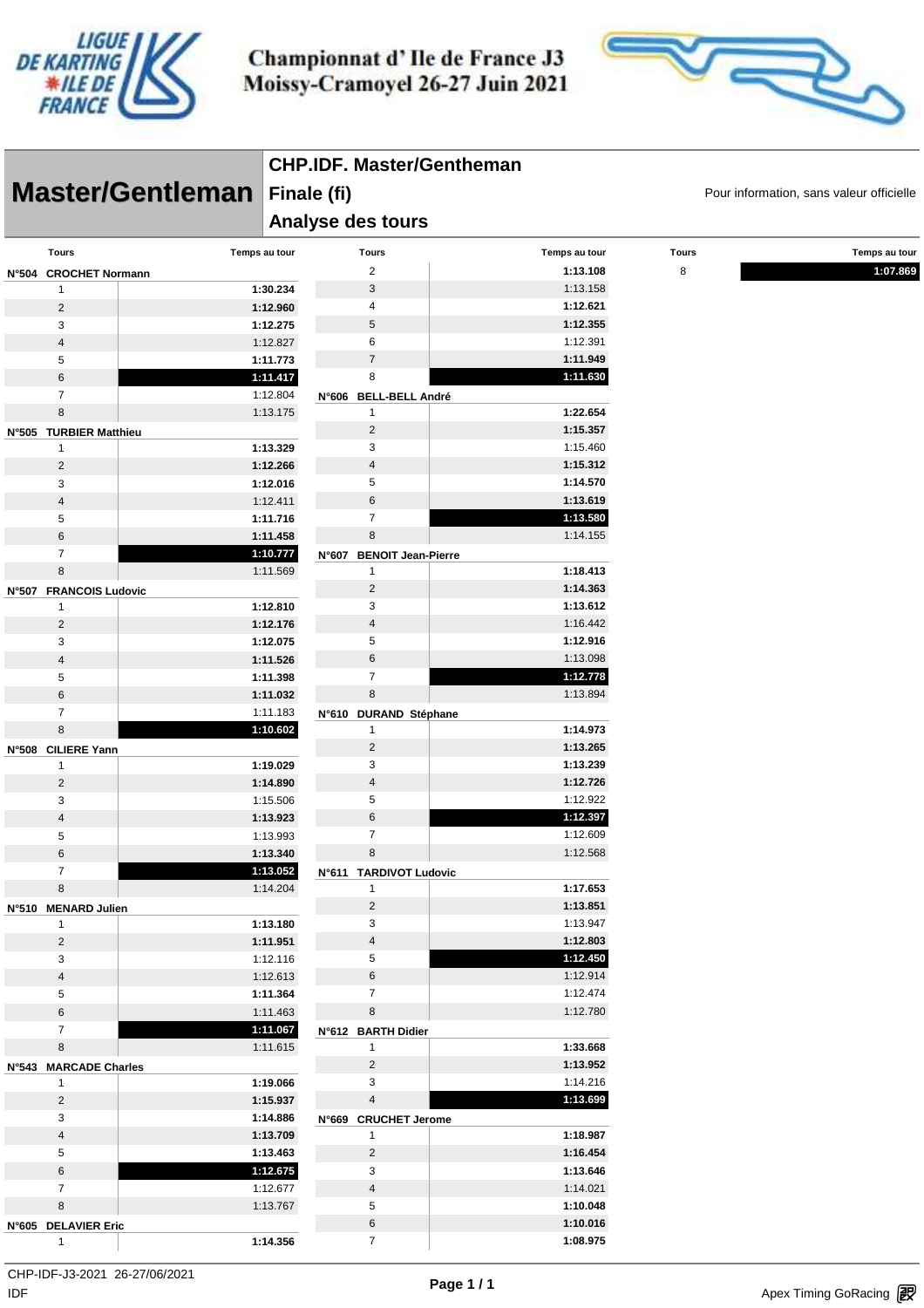



|                             |                      | <b>CHP.IDF. Master/Gentheman</b>                                             |                      |              |               |  |  |
|-----------------------------|----------------------|------------------------------------------------------------------------------|----------------------|--------------|---------------|--|--|
|                             | Master/Gentleman     | Finale (fi)<br>Pour information, sans valeur officielle<br>Analyse des tours |                      |              |               |  |  |
|                             |                      |                                                                              |                      |              |               |  |  |
| <b>Tours</b>                | Temps au tour        | <b>Tours</b>                                                                 | Temps au tour        | <b>Tours</b> | Temps au tour |  |  |
| N°504 CROCHET Normann       |                      | 2                                                                            | 1:13.108             | 8            | 1:07.869      |  |  |
| 1                           | 1:30.234             | 3                                                                            | 1:13.158             |              |               |  |  |
| 2                           | 1:12.960             | 4                                                                            | 1:12.621             |              |               |  |  |
| 3                           | 1:12.275             | 5                                                                            | 1:12.355             |              |               |  |  |
| $\sqrt{4}$                  | 1:12.827             | 6                                                                            | 1:12.391             |              |               |  |  |
| 5                           | 1:11.773             | $\overline{7}$                                                               | 1:11.949             |              |               |  |  |
| $\,6$                       | 1:11.417             | 8                                                                            | 1:11.630             |              |               |  |  |
| $\overline{7}$              | 1:12.804             | N°606 BELL-BELL André                                                        |                      |              |               |  |  |
| $\,8\,$                     | 1:13.175             | 1                                                                            | 1:22.654             |              |               |  |  |
| N°505 TURBIER Matthieu      |                      | $\sqrt{2}$                                                                   | 1:15.357             |              |               |  |  |
| $\mathbf{1}$                | 1:13.329             | 3                                                                            | 1:15.460             |              |               |  |  |
| 2                           | 1:12.266             | 4<br>5                                                                       | 1:15.312<br>1:14.570 |              |               |  |  |
| 3                           | 1:12.016             | 6                                                                            | 1:13.619             |              |               |  |  |
| $\sqrt{4}$<br>5             | 1:12.411<br>1:11.716 | $\overline{7}$                                                               | 1:13.580             |              |               |  |  |
| $\,6$                       | 1:11.458             | 8                                                                            | 1:14.155             |              |               |  |  |
| $\overline{7}$              | 1:10.777             |                                                                              |                      |              |               |  |  |
| 8                           | 1:11.569             | <b>BENOIT Jean-Pierre</b><br><b>N°607</b><br>1                               | 1:18.413             |              |               |  |  |
|                             |                      | $\overline{c}$                                                               | 1:14.363             |              |               |  |  |
| N°507 FRANCOIS Ludovic<br>1 | 1:12.810             | 3                                                                            | 1:13.612             |              |               |  |  |
| $\overline{2}$              | 1:12.176             | $\overline{4}$                                                               | 1:16.442             |              |               |  |  |
| 3                           | 1:12.075             | 5                                                                            | 1:12.916             |              |               |  |  |
| $\sqrt{4}$                  | 1:11.526             | 6                                                                            | 1:13.098             |              |               |  |  |
| 5                           | 1:11.398             | $\overline{7}$                                                               | 1:12.778             |              |               |  |  |
| $6\,$                       | 1:11.032             | 8                                                                            | 1:13.894             |              |               |  |  |
| $\overline{7}$              | 1:11.183             | N°610 DURAND Stéphane                                                        |                      |              |               |  |  |
| 8                           | 1:10.602             | 1                                                                            | 1:14.973             |              |               |  |  |
| N°508 CILIERE Yann          |                      | $\overline{c}$                                                               | 1:13.265             |              |               |  |  |
| $\mathbf{1}$                | 1:19.029             | 3                                                                            | 1:13.239             |              |               |  |  |
| $\overline{2}$              | 1:14.890             | $\overline{4}$                                                               | 1:12.726             |              |               |  |  |
| 3                           | 1:15.506             | 5                                                                            | 1:12.922             |              |               |  |  |
| $\sqrt{4}$                  | 1:13.923             | 6                                                                            | 1:12.397             |              |               |  |  |
| 5                           | 1:13.993             | $\overline{7}$                                                               | 1:12.609             |              |               |  |  |
| 6                           | 1:13.340             | 8                                                                            | 1:12.568             |              |               |  |  |
| $\overline{7}$              | 1:13.052             | N°611 TARDIVOT Ludovic                                                       |                      |              |               |  |  |
| 8                           | 1:14.204             | $\mathbf{1}$                                                                 | 1:17.653             |              |               |  |  |
| N°510 MENARD Julien         |                      | $\overline{2}$                                                               | 1:13.851             |              |               |  |  |
| $\mathbf{1}$                | 1:13.180             | 3                                                                            | 1:13.947             |              |               |  |  |
| $\overline{2}$              | 1:11.951             | $\overline{4}$                                                               | 1:12.803             |              |               |  |  |
| 3                           | 1:12.116             | 5                                                                            | 1:12.450             |              |               |  |  |
| $\overline{\mathbf{4}}$     | 1:12.613             | 6                                                                            | 1:12.914             |              |               |  |  |
| 5                           | 1:11.364             | $\overline{7}$                                                               | 1:12.474             |              |               |  |  |
| $\,6\,$                     | 1:11.463             | 8                                                                            | 1:12.780             |              |               |  |  |
| $\overline{7}$              | 1:11.067             | N°612 BARTH Didier                                                           |                      |              |               |  |  |
| 8                           | 1:11.615             | $\mathbf{1}$                                                                 | 1:33.668             |              |               |  |  |
| N°543 MARCADE Charles       |                      | $\overline{2}$                                                               | 1:13.952             |              |               |  |  |
| $\mathbf{1}$                | 1:19.066             | 3                                                                            | 1:14.216             |              |               |  |  |
| $\overline{2}$              | 1:15.937             | $\overline{4}$                                                               | 1:13.699             |              |               |  |  |
| 3                           | 1:14.886             | N°669 CRUCHET Jerome                                                         |                      |              |               |  |  |
| $\overline{\mathbf{4}}$     | 1:13.709             | $\mathbf{1}$                                                                 | 1:18.987             |              |               |  |  |
| 5                           | 1:13.463             | $\overline{2}$                                                               | 1:16.454             |              |               |  |  |
| $\,6\,$                     | 1:12.675             | 3                                                                            | 1:13.646             |              |               |  |  |
| $\overline{7}$              | 1:12.677             | $\overline{4}$                                                               | 1:14.021             |              |               |  |  |
| 8                           | 1:13.767             | 5                                                                            | 1:10.048             |              |               |  |  |
| N°605 DELAVIER Eric         |                      | 6                                                                            | 1:10.016             |              |               |  |  |
| $\mathbf{1}$                | 1:14.356             | $\overline{7}$                                                               | 1:08.975             |              |               |  |  |

 $\mathsf{IDF}$ CHP-IDF-J3-2021 26-27/06/2021